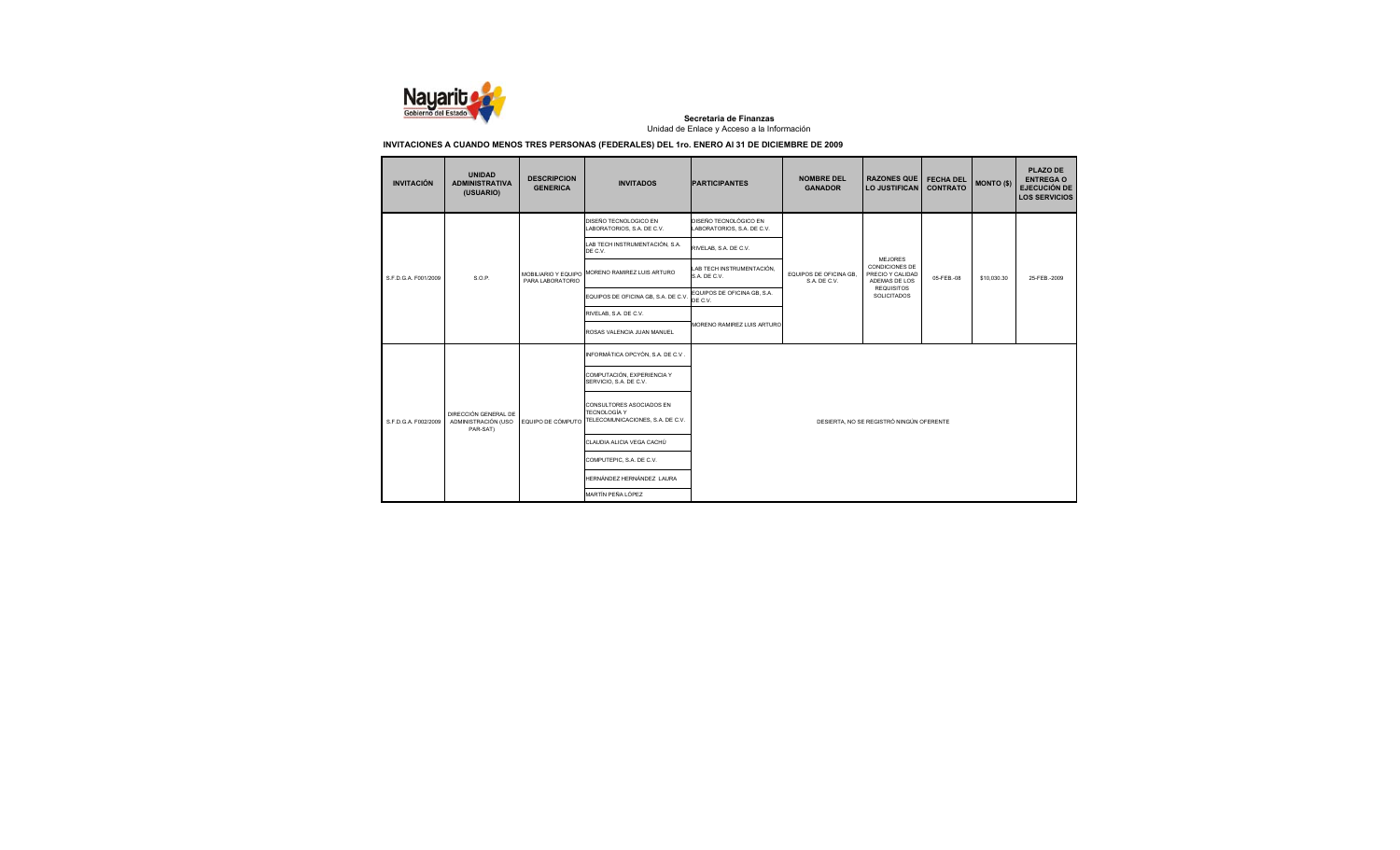

| <b>INVITACIÓN</b>    | <b>UNIDAD</b><br><b>ADMINISTRATIVA</b><br>(USUARIO)     | <b>DESCRIPCION</b><br><b>GENERICA</b> | <b>INVITADOS</b>                                                                    | <b>PARTICIPANTES</b>                                | <b>NOMBRE DEL</b><br><b>GANADOR</b>    | <b>RAZONES QUE</b><br><b>LO JUSTIFICAN</b>                            | <b>FECHA DEL</b><br><b>CONTRATO</b> | <b>MONTO (\$)</b> | <b>PLAZO DE</b><br><b>ENTREGA O</b><br><b>EJECUCIÓN DE</b><br><b>LOS SERVICIOS</b> |
|----------------------|---------------------------------------------------------|---------------------------------------|-------------------------------------------------------------------------------------|-----------------------------------------------------|----------------------------------------|-----------------------------------------------------------------------|-------------------------------------|-------------------|------------------------------------------------------------------------------------|
|                      |                                                         |                                       | DISEÑO TECNOLOGICO EN<br>LABORATORIOS, S.A. DE C.V.                                 | DISEÑO TECNOLÓGICO EN<br>LABORATORIOS, S.A. DE C.V. |                                        |                                                                       |                                     |                   |                                                                                    |
|                      |                                                         | PARA LABORATORIO                      | LAB TECH INSTRUMENTACIÓN, S.A.<br>DE C.V.                                           | RIVELAB, S.A. DE C.V.                               |                                        |                                                                       |                                     |                   |                                                                                    |
| S.F.D.G.A. F001/2009 | S.O.P.                                                  |                                       | MOBILIARIO Y EQUIPO MORENO RAMIREZ LUIS ARTURO                                      | LAB TECH INSTRUMENTACIÓN,<br>S.A. DE C.V.           | EQUIPOS DE OFICINA GB.<br>S.A. DE C.V. | <b>MEJORES</b><br>CONDICIONES DE<br>PRECIO Y CALIDAD<br>ADEMAS DE LOS | 05-FEB-08                           | \$10.030.30       | 25-FEB-2009                                                                        |
|                      |                                                         |                                       | EQUIPOS DE OFICINA GB. S.A. DE C.V.                                                 | EQUIPOS DE OFICINA GB, S.A.<br>DE C.V.              |                                        | <b>REQUISITOS</b><br>SOLICITADOS                                      |                                     |                   |                                                                                    |
|                      |                                                         |                                       | RIVELAB, S.A. DE C.V.                                                               |                                                     |                                        |                                                                       |                                     |                   |                                                                                    |
|                      |                                                         |                                       | ROSAS VALENCIA JUAN MANUEL                                                          | MORENO RAMIREZ LUIS ARTURO                          |                                        |                                                                       |                                     |                   |                                                                                    |
|                      |                                                         |                                       | INFORMÁTICA OPCYÓN, S.A. DE C.V.                                                    |                                                     |                                        |                                                                       |                                     |                   |                                                                                    |
|                      |                                                         |                                       | COMPUTACIÓN, EXPERIENCIA Y<br>SERVICIO, S.A. DE C.V.                                |                                                     |                                        |                                                                       |                                     |                   |                                                                                    |
| S.F.D.G.A. F002/2009 | DIRECCIÓN GENERAL DE<br>ADMINISTRACIÓN (USO<br>PAR-SAT) | EQUIPO DE CÓMPUTO                     | CONSULTORES ASOCIADOS EN<br><b>TECNOLOGÍA Y</b><br>TELECOMUNICACIONES, S.A. DE C.V. | DESIERTA, NO SE REGISTRÓ NINGÚN OFERENTE            |                                        |                                                                       |                                     |                   |                                                                                    |
|                      |                                                         |                                       | CLAUDIA ALICIA VEGA CACHÚ                                                           |                                                     |                                        |                                                                       |                                     |                   |                                                                                    |
|                      |                                                         |                                       | COMPUTEPIC, S.A. DE C.V.                                                            |                                                     |                                        |                                                                       |                                     |                   |                                                                                    |
|                      |                                                         |                                       | HERNÁNDEZ HERNÁNDEZ LAURA                                                           |                                                     |                                        |                                                                       |                                     |                   |                                                                                    |
|                      |                                                         |                                       | MARTÍN PEÑA LÓPEZ                                                                   |                                                     |                                        |                                                                       |                                     |                   |                                                                                    |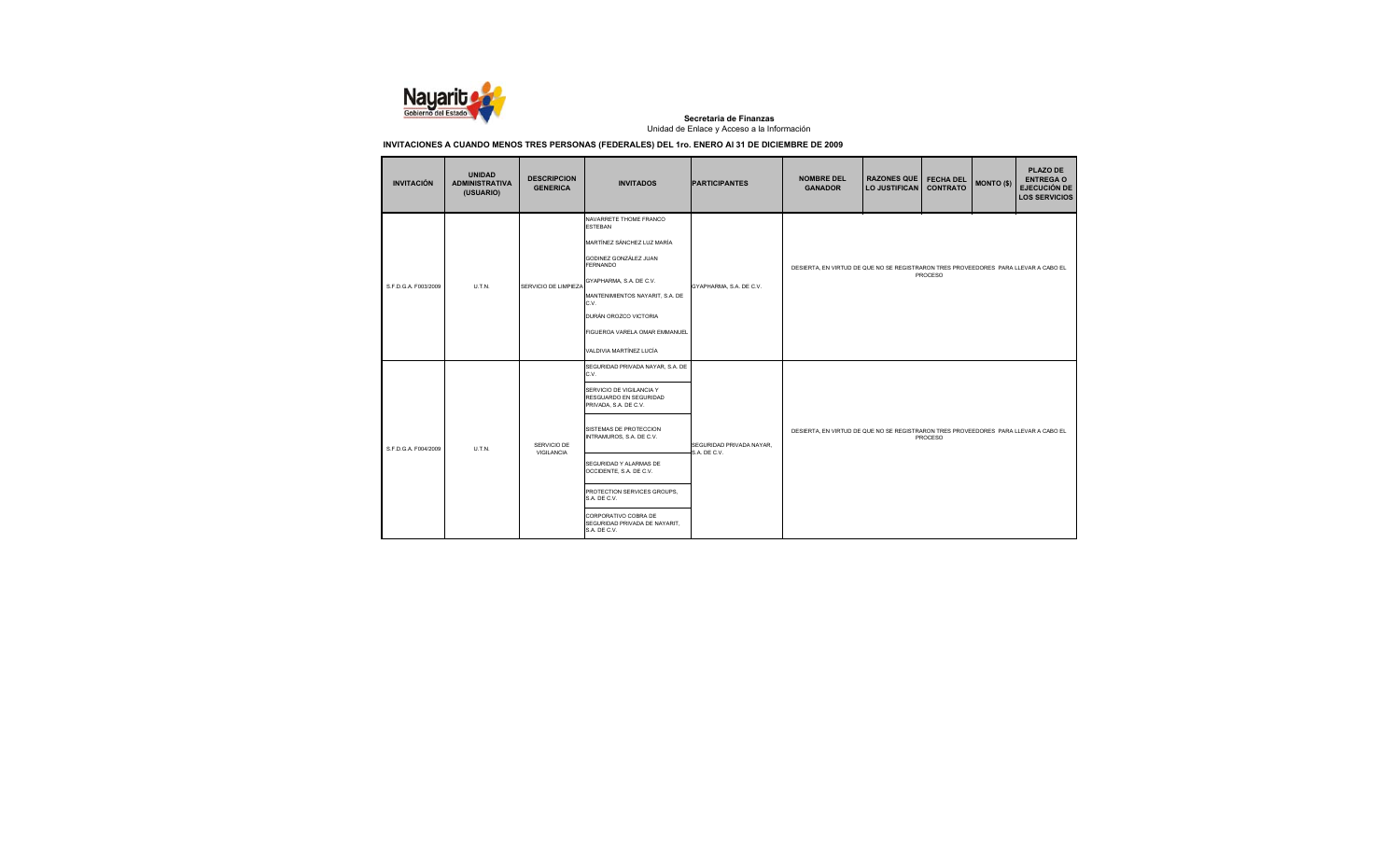

| <b>INVITACIÓN</b>    | <b>UNIDAD</b><br><b>ADMINISTRATIVA</b><br>(USUARIO) | <b>DESCRIPCION</b><br><b>GENERICA</b> | <b>INVITADOS</b>                                                                                                                                                                                                                                                                                                                                           | <b>PARTICIPANTES</b>                     | <b>NOMBRE DEL</b><br><b>GANADOR</b>                                                            | <b>RAZONES QUE</b><br><b>LO JUSTIFICAN</b> | <b>FECHA DEL</b><br><b>CONTRATO</b> | <b>MONTO (\$)</b> | <b>PLAZO DE</b><br><b>ENTREGA O</b><br><b>EJECUCIÓN DE</b><br><b>LOS SERVICIOS</b> |  |
|----------------------|-----------------------------------------------------|---------------------------------------|------------------------------------------------------------------------------------------------------------------------------------------------------------------------------------------------------------------------------------------------------------------------------------------------------------------------------------------------------------|------------------------------------------|------------------------------------------------------------------------------------------------|--------------------------------------------|-------------------------------------|-------------------|------------------------------------------------------------------------------------|--|
| S.F.D.G.A. F003/2009 | U.T.N.                                              | SERVICIO DE LIMPIEZA                  | NAVARRETE THOME FRANCO<br><b>ESTEBAN</b><br>MARTÍNEZ SÁNCHEZ LUZ MARÍA<br>GODINEZ GONZÁLEZ JUAN<br><b>FERNANDO</b><br>GYAPHARMA, S.A. DE C.V.<br>MANTENIMIENTOS NAYARIT, S.A. DE<br>C.V.<br>DURÁN OROZCO VICTORIA<br>FIGUEROA VARELA OMAR EMMANUEL<br>VALDIVIA MARTÍNEZ LUCÍA                                                                              | GYAPHARMA, S.A. DE C.V.                  | DESIERTA, EN VIRTUD DE QUE NO SE REGISTRARON TRES PROVEEDORES PARA LLEVAR A CABO EL<br>PROCESO |                                            |                                     |                   |                                                                                    |  |
| S.F.D.G.A. F004/2009 | U.T.N.                                              | SERVICIO DE<br>VIGILANCIA             | SEGURIDAD PRIVADA NAYAR, S.A. DE<br>C.V.<br>SERVICIO DE VIGILANCIA Y<br>RESGUARDO EN SEGURIDAD<br>PRIVADA, S.A. DE C.V.<br>SISTEMAS DE PROTECCION<br>INTRAMUROS, S.A. DE C.V.<br>SEGURIDAD Y ALARMAS DE<br>OCCIDENTE, S.A. DE C.V.<br>PROTECTION SERVICES GROUPS.<br>S.A. DE C.V.<br>CORPORATIVO COBRA DE<br>SEGURIDAD PRIVADA DE NAYARIT,<br>S.A. DE C.V. | SEGURIDAD PRIVADA NAYAR,<br>S.A. DE C.V. | DESIERTA, EN VIRTUD DE QUE NO SE REGISTRARON TRES PROVEEDORES PARA LLEVAR A CABO EL            |                                            | PROCESO                             |                   |                                                                                    |  |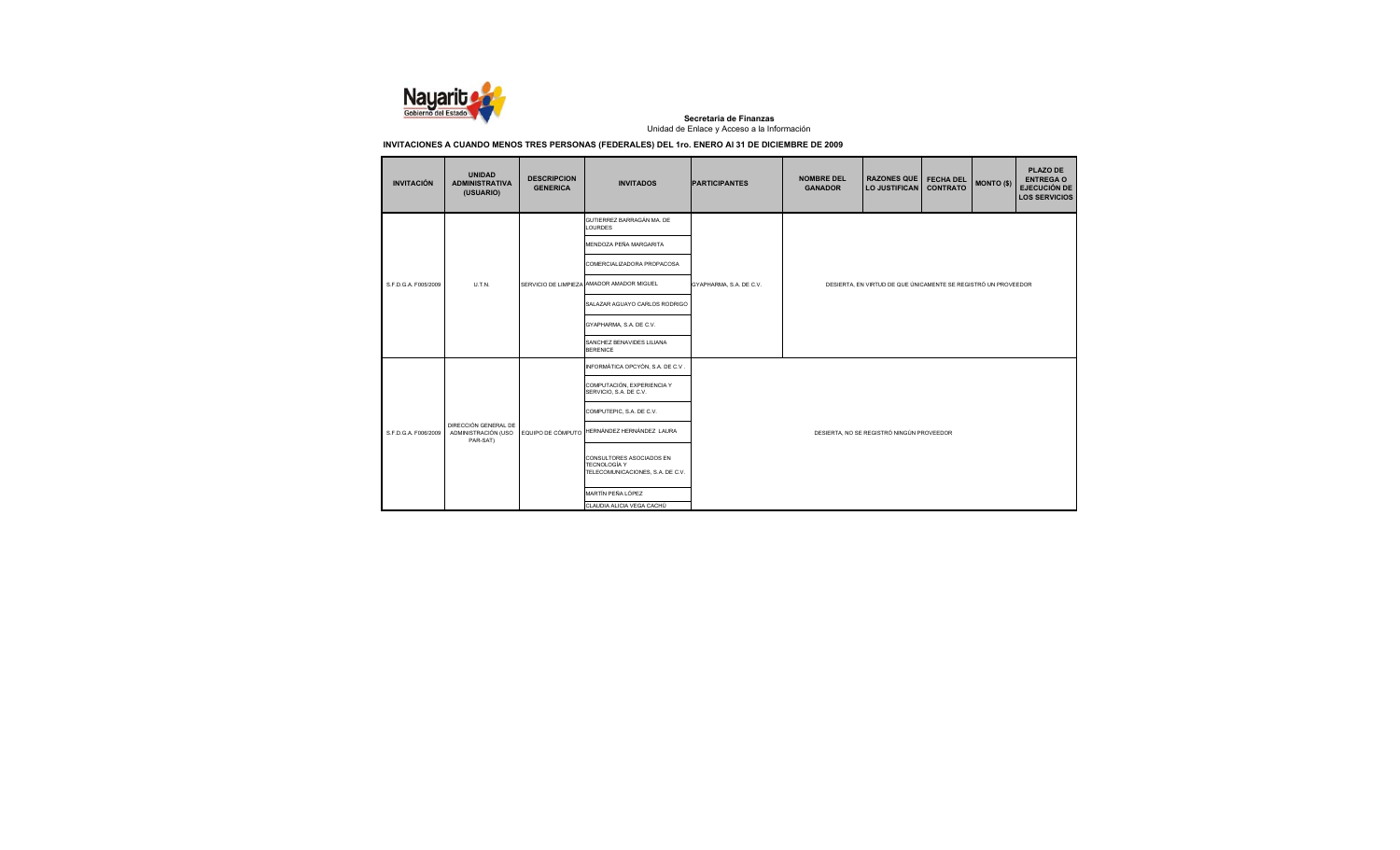

|  | <b>INVITACIÓN</b>                                                               | <b>UNIDAD</b><br><b>ADMINISTRATIVA</b><br>(USUARIO) | <b>DESCRIPCION</b><br><b>GENERICA</b>                                               | <b>INVITADOS</b>                                     | <b>PARTICIPANTES</b>    | <b>NOMBRE DEL</b><br><b>GANADOR</b>       | <b>RAZONES QUE</b><br><b>LO JUSTIFICAN</b>                     | <b>FECHA DEL</b><br><b>CONTRATO</b> | <b>MONTO (\$)</b> | <b>PLAZO DE</b><br><b>ENTREGA O</b><br><b>EJECUCIÓN DE</b><br><b>LOS SERVICIOS</b> |  |
|--|---------------------------------------------------------------------------------|-----------------------------------------------------|-------------------------------------------------------------------------------------|------------------------------------------------------|-------------------------|-------------------------------------------|----------------------------------------------------------------|-------------------------------------|-------------------|------------------------------------------------------------------------------------|--|
|  |                                                                                 |                                                     |                                                                                     | GUTIERREZ BARRAGÁN MA. DE<br><b>LOURDES</b>          |                         |                                           |                                                                |                                     |                   |                                                                                    |  |
|  |                                                                                 |                                                     |                                                                                     | MENDOZA PEÑA MARGARITA                               |                         |                                           |                                                                |                                     |                   |                                                                                    |  |
|  |                                                                                 |                                                     |                                                                                     | COMERCIALIZADORA PROPACOSA                           |                         |                                           |                                                                |                                     |                   |                                                                                    |  |
|  | S.F.D.G.A. F005/2009                                                            | U.T.N.                                              |                                                                                     | SERVICIO DE LIMPIEZA AMADOR AMADOR MIGUEL            | GYAPHARMA, S.A. DE C.V. |                                           | DESIERTA, EN VIRTUD DE QUE ÚNICAMENTE SE REGISTRÓ UN PROVEEDOR |                                     |                   |                                                                                    |  |
|  |                                                                                 |                                                     |                                                                                     | SALAZAR AGUAYO CARLOS RODRIGO                        |                         |                                           |                                                                |                                     |                   |                                                                                    |  |
|  |                                                                                 |                                                     |                                                                                     | GYAPHARMA, S.A. DE C.V.                              |                         |                                           |                                                                |                                     |                   |                                                                                    |  |
|  |                                                                                 |                                                     |                                                                                     | SANCHEZ BENAVIDES LILIANA<br><b>BERENICE</b>         |                         |                                           |                                                                |                                     |                   |                                                                                    |  |
|  |                                                                                 |                                                     |                                                                                     | INFORMÁTICA OPCYÓN, S.A. DE C.V.                     |                         |                                           |                                                                |                                     |                   |                                                                                    |  |
|  |                                                                                 |                                                     |                                                                                     | COMPUTACIÓN, EXPERIENCIA Y<br>SERVICIO, S.A. DE C.V. |                         |                                           |                                                                |                                     |                   |                                                                                    |  |
|  |                                                                                 |                                                     |                                                                                     | COMPUTEPIC, S.A. DE C.V.                             |                         |                                           |                                                                |                                     |                   |                                                                                    |  |
|  | DIRECCIÓN GENERAL DE<br>ADMINISTRACIÓN (USO<br>S.F.D.G.A. F006/2009<br>PAR-SAT) | EQUIPO DE CÓMPUTO                                   | HERNÁNDEZ HERNÁNDEZ LAURA                                                           |                                                      |                         | DESIERTA, NO SE REGISTRÓ NINGÚN PROVEEDOR |                                                                |                                     |                   |                                                                                    |  |
|  |                                                                                 |                                                     | CONSULTORES ASOCIADOS EN<br><b>TECNOLOGÍA Y</b><br>TELECOMUNICACIONES, S.A. DE C.V. |                                                      |                         |                                           |                                                                |                                     |                   |                                                                                    |  |
|  |                                                                                 |                                                     |                                                                                     | MARTÍN PEÑA LÓPEZ                                    |                         |                                           |                                                                |                                     |                   |                                                                                    |  |
|  |                                                                                 |                                                     |                                                                                     | CLAUDIA ALICIA VEGA CACHÚ                            |                         |                                           |                                                                |                                     |                   |                                                                                    |  |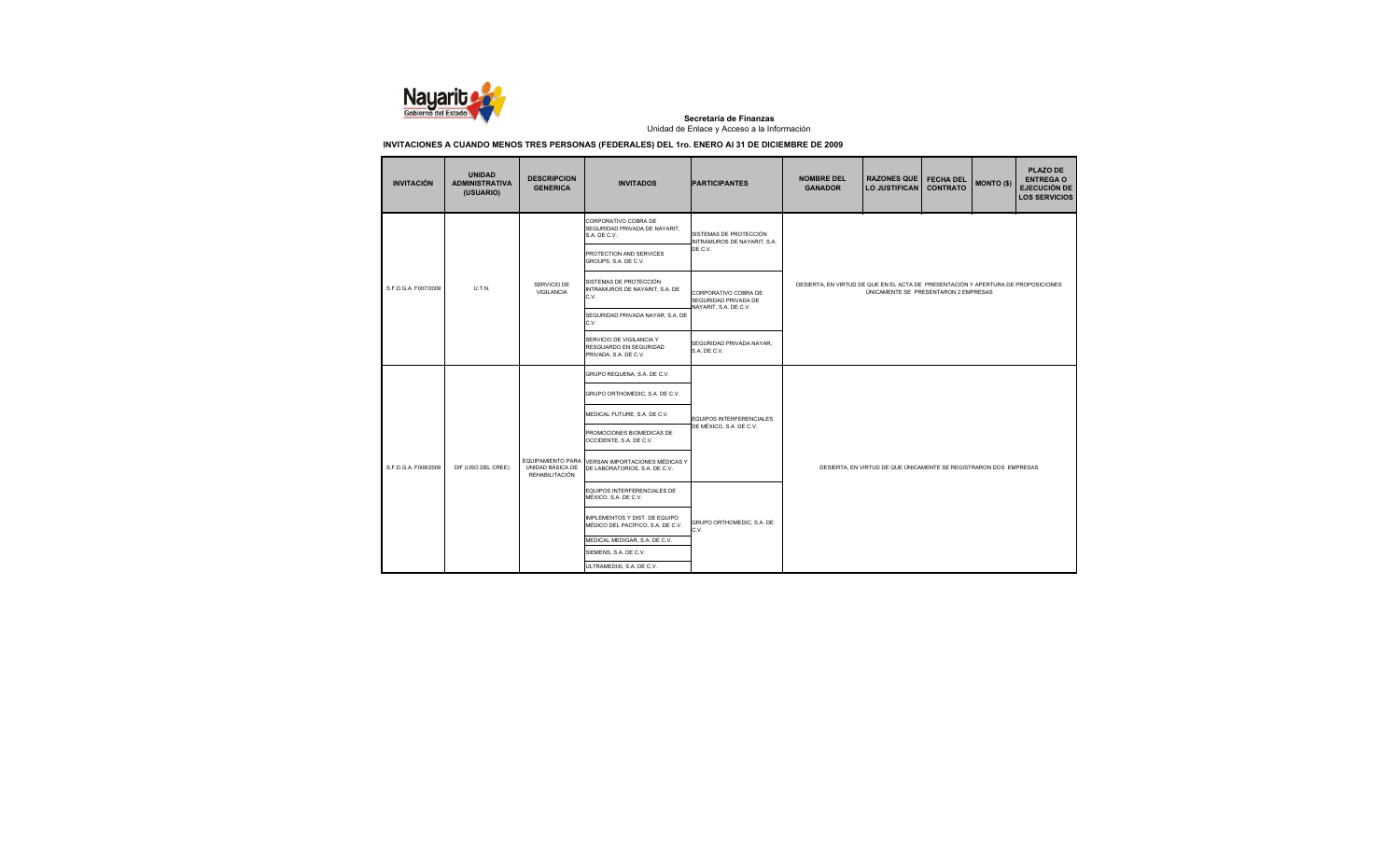

| <b>INVITACIÓN</b>    | <b>UNIDAD</b><br><b>ADMINISTRATIVA</b><br>(USUARIO) | <b>DESCRIPCION</b><br><b>GENERICA</b> | <b>INVITADOS</b>                                                                  | <b>PARTICIPANTES</b>                                  | <b>NOMBRE DEL</b><br><b>GANADOR</b>                                                                                       | <b>RAZONES QUE</b><br>LO JUSTIFICAN | <b>FECHA DEL</b><br><b>CONTRATO</b> | <b>MONTO (\$)</b> | <b>PLAZO DE</b><br><b>ENTREGA O</b><br><b>EJECUCIÓN DE</b><br><b>LOS SERVICIOS</b> |  |
|----------------------|-----------------------------------------------------|---------------------------------------|-----------------------------------------------------------------------------------|-------------------------------------------------------|---------------------------------------------------------------------------------------------------------------------------|-------------------------------------|-------------------------------------|-------------------|------------------------------------------------------------------------------------|--|
|                      |                                                     |                                       | CORPORATIVO COBRA DE<br>SEGURIDAD PRIVADA DE NAYARIT,<br>S.A. DE C.V.             | SISTEMAS DE PROTECCIÓN<br>INTRAMUROS DE NAYARIT, S.A. |                                                                                                                           |                                     |                                     |                   |                                                                                    |  |
|                      |                                                     | SERVICIO DE<br>VIGILANCIA             | PROTECTION AND SERVICES<br>GROUPS, S.A. DE C.V.                                   | DE C.V.                                               | DESIERTA, EN VIRTUD DE QUE EN EL ACTA DE PRESENTACIÓN Y APERTURA DE PROPOSICIONES<br>ÚNICAMENTE SE PRESENTARON 2 EMPRESAS |                                     |                                     |                   |                                                                                    |  |
| S.F.D.G.A. F007/2009 | U.T.N.                                              |                                       | SISTEMAS DE PROTECCIÓN<br>INTRAMUROS DE NAYARIT, S.A. DE<br>C.V.                  | CORPORATIVO COBRA DE<br>SEGURIDAD PRIVADA DE          |                                                                                                                           |                                     |                                     |                   |                                                                                    |  |
|                      |                                                     |                                       | SEGURIDAD PRIVADA NAYAR, S.A. DE<br>C.V.                                          | NAYARIT, S.A. DE C.V.                                 |                                                                                                                           |                                     |                                     |                   |                                                                                    |  |
|                      |                                                     |                                       | SERVICIO DE VIGILANCIA Y<br>RESGUARDO EN SEGURIDAD<br>PRIVADA, S.A. DE C.V.       | SEGURIDAD PRIVADA NAYAR,<br>S.A. DE C.V.              |                                                                                                                           |                                     |                                     |                   |                                                                                    |  |
|                      |                                                     |                                       | GRUPO REQUENA, S.A. DE C.V.                                                       |                                                       |                                                                                                                           |                                     |                                     |                   |                                                                                    |  |
|                      |                                                     |                                       | GRUPO ORTHOMEDIC, S.A. DE C.V.                                                    |                                                       |                                                                                                                           |                                     |                                     |                   |                                                                                    |  |
|                      |                                                     |                                       | MEDICAL FUTURE, S.A. DE C.V.                                                      | EQUIPOS INTERFERENCIALES                              |                                                                                                                           |                                     |                                     |                   |                                                                                    |  |
|                      |                                                     |                                       | PROMOCIONES BIOMEDICAS DE<br>OCCIDENTE, S.A. DE C.V.                              | DE MÉXICO, S.A. DE C.V.                               |                                                                                                                           |                                     |                                     |                   |                                                                                    |  |
| S.F.D.G.A. F008/2009 | DIF (USO DEL CREE)                                  | UNIDAD BÁSICA DE<br>REHABILITACIÓN    | EQUIPAMIENTO PARA VERSAN IMPORTACIONES MÉDICAS Y<br>DE LABORATORIOS, S.A. DE C.V. |                                                       | DESIERTA, EN VIRTUD DE QUE ÚNICAMENTE SE REGISTRARON DOS EMPRESAS                                                         |                                     |                                     |                   |                                                                                    |  |
|                      |                                                     |                                       | EQUIPOS INTERFERENCIALES DE<br>MÉXICO, S.A. DE C.V.                               |                                                       |                                                                                                                           |                                     |                                     |                   |                                                                                    |  |
|                      |                                                     |                                       | IMPLEMENTOS Y DIST. DE EQUIPO<br>MÉDICO DEL PACÍFICO, S.A. DE C.V.                | GRUPO ORTHOMEDIC, S.A. DE<br>C.V.                     |                                                                                                                           |                                     |                                     |                   |                                                                                    |  |
|                      |                                                     |                                       | MEDICAL MEDIGAR, S.A. DE C.V.                                                     |                                                       |                                                                                                                           |                                     |                                     |                   |                                                                                    |  |
|                      |                                                     |                                       | SIEMENS, S.A. DE C.V.                                                             |                                                       |                                                                                                                           |                                     |                                     |                   |                                                                                    |  |
|                      |                                                     |                                       | ULTRAMEDIXI, S.A. DE C.V.                                                         |                                                       |                                                                                                                           |                                     |                                     |                   |                                                                                    |  |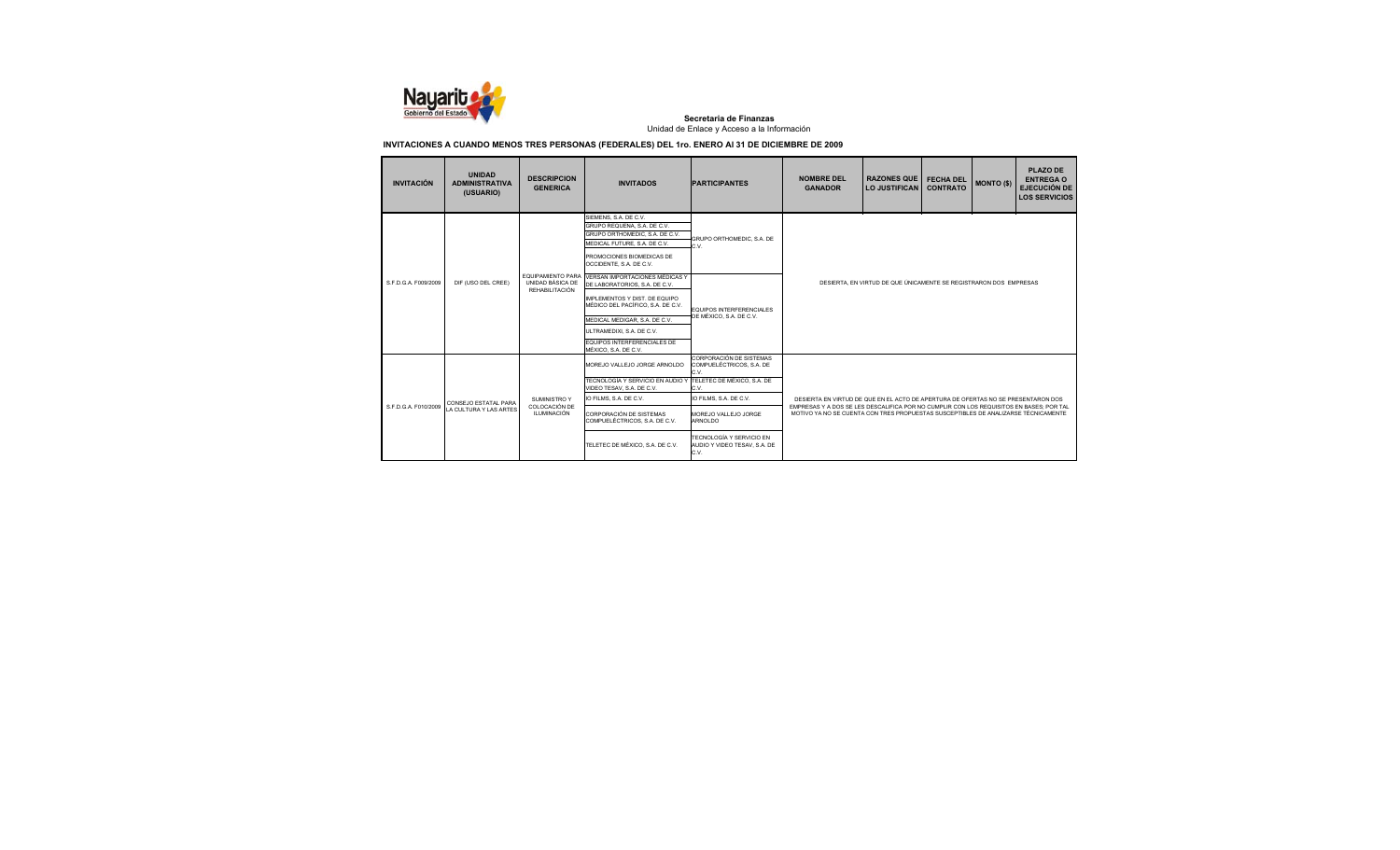

| <b>INVITACIÓN</b>                          | <b>UNIDAD</b><br><b>ADMINISTRATIVA</b><br>(USUARIO) | <b>DESCRIPCION</b><br><b>GENERICA</b>                          | <b>INVITADOS</b>                                                                                                                                                                                                                          | <b>PARTICIPANTES</b>                                                                                                                                                  | <b>NOMBRE DEL</b><br><b>GANADOR</b>                                                                                                                                                                                                                                | <b>RAZONES QUE</b><br><b>LO JUSTIFICAN</b> | <b>FECHA DEL</b><br><b>CONTRATO</b> | <b>MONTO (\$)</b> | <b>PLAZO DE</b><br><b>ENTREGA O</b><br><b>EJECUCIÓN DE</b><br><b>LOS SERVICIOS</b> |  |
|--------------------------------------------|-----------------------------------------------------|----------------------------------------------------------------|-------------------------------------------------------------------------------------------------------------------------------------------------------------------------------------------------------------------------------------------|-----------------------------------------------------------------------------------------------------------------------------------------------------------------------|--------------------------------------------------------------------------------------------------------------------------------------------------------------------------------------------------------------------------------------------------------------------|--------------------------------------------|-------------------------------------|-------------------|------------------------------------------------------------------------------------|--|
|                                            |                                                     |                                                                | SIEMENS, S.A. DE C.V.<br>GRUPO REQUENA, S.A. DE C.V.<br>GRUPO ORTHOMEDIC. S.A. DE C.V.<br>MEDICAL FUTURE, S.A. DE C.V.<br>PROMOCIONES BIOMEDICAS DE<br>OCCIDENTE, S.A. DE C.V.                                                            | GRUPO ORTHOMEDIC, S.A. DE<br>C.V.                                                                                                                                     |                                                                                                                                                                                                                                                                    |                                            |                                     |                   |                                                                                    |  |
| S.F.D.G.A. F009/2009<br>DIF (USO DEL CREE) |                                                     | <b>EQUIPAMIENTO PARA</b><br>UNIDAD BÁSICA DE<br>REHABILITACIÓN | <b>VERSAN IMPORTACIONES MÉDICAS Y</b><br>DE LABORATORIOS, S.A. DE C.V.<br>IMPLEMENTOS Y DIST. DE EQUIPO<br>MÉDICO DEL PACÍFICO, S.A. DE C.V.<br>MEDICAL MEDIGAR, S.A. DE C.V.<br>ULTRAMEDIXI, S.A. DE C.V.<br>EQUIPOS INTERFERENCIALES DE | <b>EQUIPOS INTERFERENCIALES</b><br>DE MÉXICO, S.A. DE C.V.                                                                                                            | DESIERTA. EN VIRTUD DE QUE ÚNICAMENTE SE REGISTRARON DOS EMPRESAS                                                                                                                                                                                                  |                                            |                                     |                   |                                                                                    |  |
| S.F.D.G.A. F010/2009                       | CONSEJO ESTATAL PARA<br>LA CULTURA Y LAS ARTES      | <b>SUMINISTRO Y</b><br>COLOCACIÓN DE<br><b>ILUMINACIÓN</b>     | MÉXICO, S.A. DE C.V.<br>MOREJO VALLEJO JORGE ARNOLDO<br>TECNOLOGÍA Y SERVICIO EN AUDIO Y<br>VIDEO TESAV. S.A. DE C.V.<br>IO FILMS, S.A. DE C.V.<br>CORPORACIÓN DE SISTEMAS<br>COMPUELÉCTRICOS, S.A. DE C.V.                               | CORPORACIÓN DE SISTEMAS<br>COMPUELÉCTRICOS, S.A. DE<br>C.V.<br>TELETEC DE MÉXICO, S.A. DE<br>C.V.<br>IO FILMS, S.A. DE C.V.<br>MOREJO VALLEJO JORGE<br><b>ARNOLDO</b> | DESIERTA EN VIRTUD DE QUE EN EL ACTO DE APERTURA DE OFERTAS NO SE PRESENTARON DOS<br>EMPRESAS Y A DOS SE LES DESCALIFICA POR NO CUMPLIR CON LOS REQUISITOS EN BASES: POR TAL<br>MOTIVO YA NO SE CUENTA CON TRES PROPUESTAS SUSCEPTIBLES DE ANALIZARSE TÉCNICAMENTE |                                            |                                     |                   |                                                                                    |  |
|                                            |                                                     |                                                                | TELETEC DE MÉXICO, S.A. DE C.V.                                                                                                                                                                                                           | TECNOLOGÍA Y SERVICIO EN<br>AUDIO Y VIDEO TESAV, S.A. DE<br>C.V.                                                                                                      |                                                                                                                                                                                                                                                                    |                                            |                                     |                   |                                                                                    |  |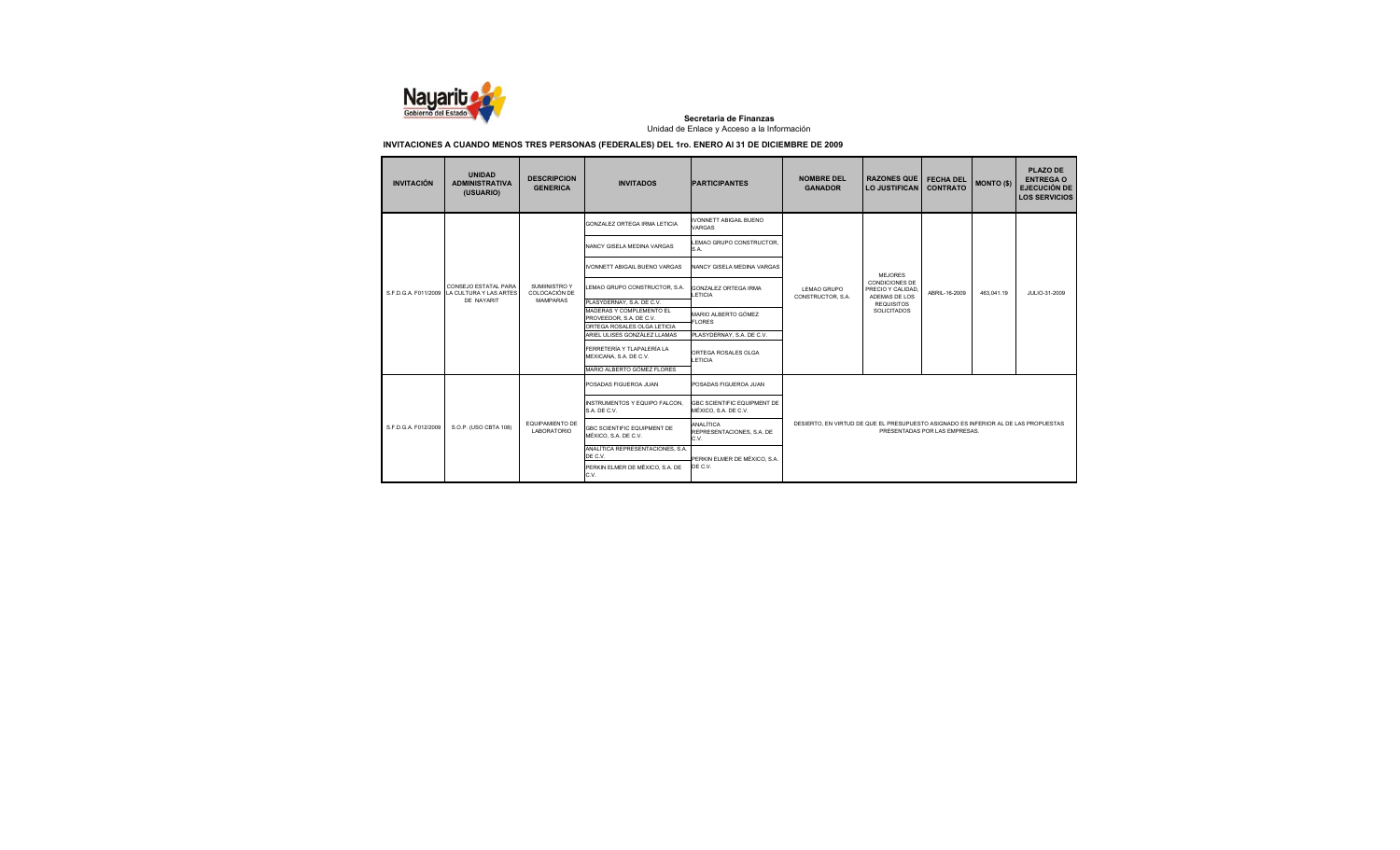

| <b>INVITACIÓN</b>    | <b>UNIDAD</b><br><b>ADMINISTRATIVA</b><br>(USUARIO)          | <b>DESCRIPCION</b><br><b>GENERICA</b>        | <b>INVITADOS</b>                                            | <b>PARTICIPANTES</b>                                       | <b>NOMBRE DEL</b><br><b>GANADOR</b>                                                 | <b>RAZONES QUE</b><br><b>LO JUSTIFICAN</b>          | <b>FECHA DEL</b><br><b>CONTRATO</b> | <b>MONTO (\$)</b> | <b>PLAZO DE</b><br><b>ENTREGA O</b><br><b>EJECUCIÓN DE</b><br><b>LOS SERVICIOS</b> |
|----------------------|--------------------------------------------------------------|----------------------------------------------|-------------------------------------------------------------|------------------------------------------------------------|-------------------------------------------------------------------------------------|-----------------------------------------------------|-------------------------------------|-------------------|------------------------------------------------------------------------------------|
|                      |                                                              |                                              | GONZALEZ ORTEGA IRMA LETICIA                                | <b>IVONNETT ABIGAIL BUENO</b><br><b>VARGAS</b>             |                                                                                     |                                                     |                                     |                   |                                                                                    |
|                      | CONSEJO ESTATAL PARA<br>LA CULTURA Y LAS ARTES<br>DE NAYARIT |                                              | NANCY GISELA MEDINA VARGAS                                  | LEMAO GRUPO CONSTRUCTOR,<br>S.A.                           |                                                                                     |                                                     |                                     |                   |                                                                                    |
| S F D G A F011/2009  |                                                              |                                              | VONNETT ABIGAIL BUENO VARGAS                                | NANCY GISELA MEDINA VARGAS                                 |                                                                                     | <b>MEJORES</b>                                      |                                     |                   |                                                                                    |
|                      |                                                              | <b>SUMINISTRO Y</b><br>COLOCACIÓN DE         | LEMAO GRUPO CONSTRUCTOR, S.A.                               | <b>GONZALEZ ORTEGA IRMA</b><br>LETICIA                     | LEMAO GRUPO<br>CONSTRUCTOR, S.A.                                                    | CONDICIONES DE<br>PRECIO Y CALIDAD<br>ADEMAS DE LOS | ABRIL-16-2009                       | 463.041.19        | JULIO-31-2009                                                                      |
|                      |                                                              | <b>MAMPARAS</b>                              | PLASYDERNAY, S.A. DE C.V.<br>MADERAS Y COMPLEMENTO EL       |                                                            |                                                                                     | <b>REQUISITOS</b><br>SOLICITADOS                    |                                     |                   |                                                                                    |
|                      |                                                              |                                              | PROVEEDOR, S.A. DE C.V.                                     | MARIO ALBERTO GÓMEZ<br><b>FLORES</b>                       |                                                                                     |                                                     |                                     |                   |                                                                                    |
|                      |                                                              |                                              | ORTEGA ROSALES OLGA LETICIA<br>ARIEL ULISES GONZÁLEZ LLAMAS | PLASYDERNAY, S.A. DE C.V.                                  |                                                                                     |                                                     |                                     |                   |                                                                                    |
|                      |                                                              |                                              | FFRRFTFRÍA Y TI APAI FRÍA I A<br>MEXICANA, S.A. DE C.V.     | ORTEGA ROSALES OLGA<br>LETICIA                             |                                                                                     |                                                     |                                     |                   |                                                                                    |
|                      |                                                              |                                              | MARIO ALBERTO GÓMEZ FLORES                                  |                                                            |                                                                                     |                                                     |                                     |                   |                                                                                    |
|                      |                                                              |                                              | POSADAS FIGUEROA JUAN                                       | POSADAS FIGUEROA JUAN                                      |                                                                                     |                                                     |                                     |                   |                                                                                    |
|                      |                                                              |                                              | INSTRUMENTOS Y EQUIPO FALCON.<br>S.A. DE C.V.               | <b>GBC SCIENTIFIC EQUIPMENT DE</b><br>MÉXICO, S.A. DE C.V. |                                                                                     |                                                     |                                     |                   |                                                                                    |
| S.F.D.G.A. F012/2009 | S.O.P. (USO CBTA 108)                                        | <b>EQUIPAMIENTO DE</b><br><b>LABORATORIO</b> | <b>GBC SCIENTIFIC EQUIPMENT DE</b><br>MÉXICO, S.A. DE C.V.  | ANALÍTICA<br>REPRESENTACIONES, S.A. DE<br>C.V.             | DESIERTO. EN VIRTUD DE QUE EL PRESUPUESTO ASIGNADO ES INFERIOR AL DE LAS PROPUESTAS |                                                     | PRESENTADAS POR LAS EMPRESAS.       |                   |                                                                                    |
|                      |                                                              |                                              | ANALÍTICA REPRESENTACIONES, S.A.<br>DE C.V.                 |                                                            |                                                                                     |                                                     |                                     |                   |                                                                                    |
|                      |                                                              |                                              | PERKIN ELMER DE MÉXICO, S.A. DE<br>C.V.                     | PERKIN ELMER DE MÉXICO, S.A.<br>DE C.V.                    |                                                                                     |                                                     |                                     |                   |                                                                                    |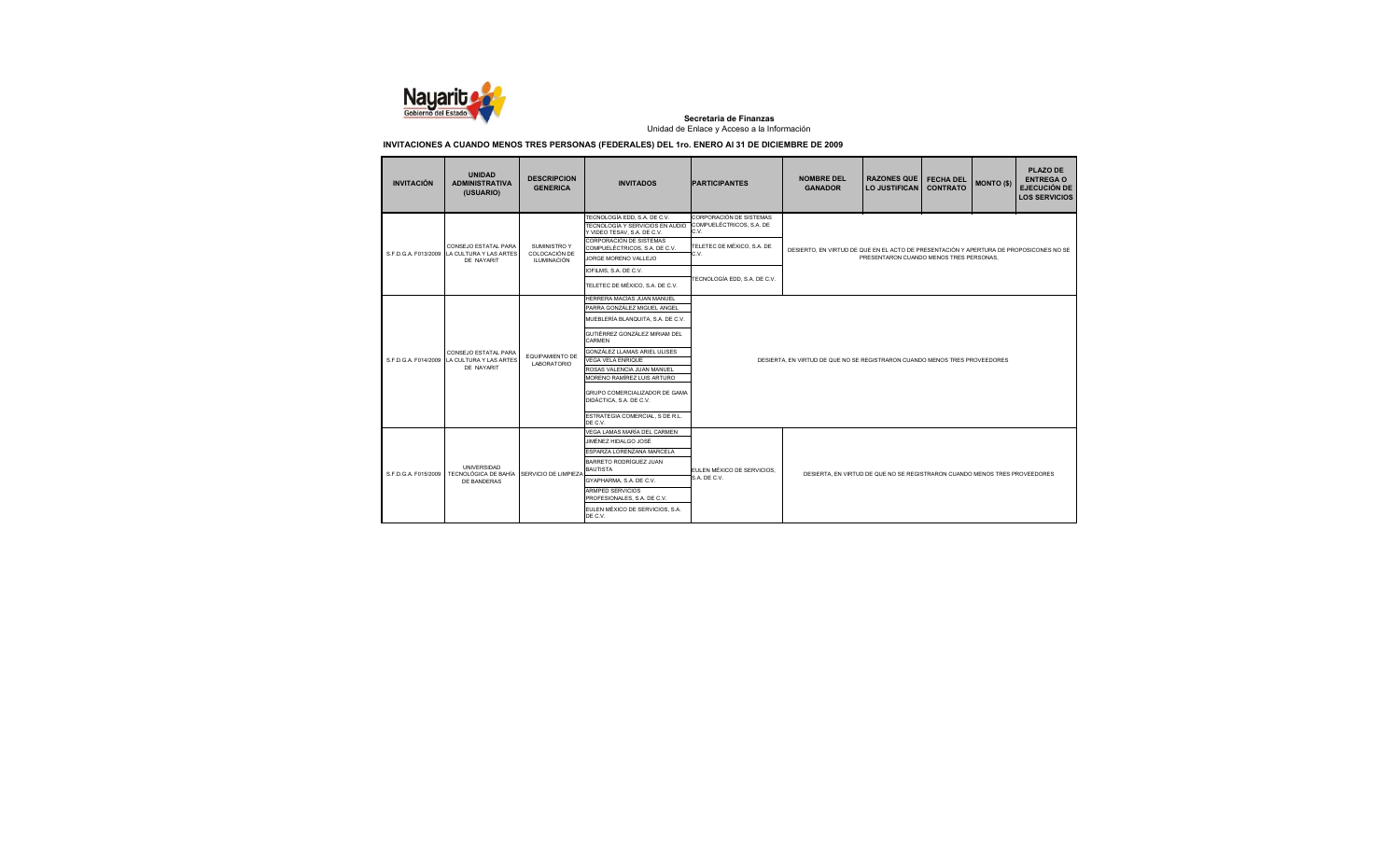

| <b>INVITACIÓN</b>    | <b>UNIDAD</b><br><b>ADMINISTRATIVA</b><br>(USUARIO)                     | <b>DESCRIPCION</b><br><b>GENERICA</b>               | <b>INVITADOS</b>                                                                                                                                                                                                                                                                                                                                                            | <b>PARTICIPANTES</b>                                                                                                              | <b>NOMBRE DEL</b><br><b>GANADOR</b>                                                    | <b>RAZONES QUE</b><br><b>LO JUSTIFICAN</b> | <b>FECHA DEL</b><br><b>CONTRATO</b> | <b>MONTO (\$)</b> | <b>PLAZO DE</b><br><b>ENTREGA O</b><br><b>EJECUCIÓN DE</b><br><b>LOS SERVICIOS</b> |
|----------------------|-------------------------------------------------------------------------|-----------------------------------------------------|-----------------------------------------------------------------------------------------------------------------------------------------------------------------------------------------------------------------------------------------------------------------------------------------------------------------------------------------------------------------------------|-----------------------------------------------------------------------------------------------------------------------------------|----------------------------------------------------------------------------------------|--------------------------------------------|-------------------------------------|-------------------|------------------------------------------------------------------------------------|
| S.F.D.G.A. F013/2009 | CONSEJO ESTATAL PARA<br>LA CULTURA Y LAS ARTES<br>DE NAYARIT            | SUMINISTRO Y<br>COLOCACIÓN DE<br><b>ILUMINACIÓN</b> | TECNOLOGÍA EDD. S.A. DE C.V.<br>TECNOLOGÍA Y SERVICIOS EN AUDIO<br>Y VIDEO TESAV. S.A. DE C.V.<br>CORPORACIÓN DE SISTEMAS<br>COMPUELÉCTRICOS, S.A. DE C.V.<br>JORGE MORENO VALLEJO<br>IOFILMS, S.A. DE C.V.<br>TELETEC DE MÉXICO. S.A. DE C.V.                                                                                                                              | CORPORACIÓN DE SISTEMAS<br>COMPUELÉCTRICOS, S.A. DE<br>C.V.<br>TELETEC DE MÉXICO, S.A. DE<br>C.V.<br>TECNOLOGÍA EDD. S.A. DE C.V. | DESIERTO. EN VIRTUD DE QUE EN EL ACTO DE PRESENTACIÓN Y APERTURA DE PROPOSICONES NO SE | PRESENTARON CUANDO MENOS TRES PERSONAS.    |                                     |                   |                                                                                    |
| S.F.D.G.A. F014/2009 | CONSEJO ESTATAL PARA<br>LA CULTURA Y LAS ARTES<br>DE NAYARIT            | <b>EQUIPAMIENTO DE</b><br>LABORATORIO               | HERRERA MACÍAS JUAN MANUEL<br>PARRA GONZÁLEZ MIGUEL ANGEL<br>MUEBLERÍA BLANQUITA. S.A. DE C.V.<br>GUTIÉRREZ GONZÁLEZ MIRIAM DEL<br>CARMEN<br>GONZÁLEZ LLAMAS ARIEL ULISES<br><b>VEGA VELA ENRIQUE</b><br>ROSAS VALENCIA JUAN MANUEL<br>MORENO RAMÍREZ LUIS ARTURO<br>GRUPO COMERCIALIZADOR DE GAMA<br>DIDÁCTICA, S.A. DE C.V.<br>ESTRATEGIA COMERCIAL. S DE R.L.<br>DE C.V. |                                                                                                                                   | DESIERTA. EN VIRTUD DE QUE NO SE REGISTRARON CUANDO MENOS TRES PROVEEDORES             |                                            |                                     |                   |                                                                                    |
| S F D G A F015/2009  | UNIVERSIDAD<br>TECNOLÓGICA DE BAHÍA SERVICIO DE LIMPIEZA<br>DE BANDERAS |                                                     | VEGA LAMAS MARÍA DEL CARMEN<br>JIMÉNEZ HIDALGO JOSÉ<br>ESPARZA LORENZANA MARCELA<br>BARRETO RODRÍGUEZ JUAN<br><b>BAUTISTA</b><br>GYAPHARMA, S.A. DE C.V.<br>ARMPED SERVICIOS<br>PROFESIONALES, S.A. DE C.V.<br>EULEN MÉXICO DE SERVICIOS, S.A.<br>DE C.V.                                                                                                                   | EULEN MÉXICO DE SERVICIOS.<br>S.A. DE C.V.                                                                                        | DESIERTA. EN VIRTUD DE QUE NO SE REGISTRARON CUANDO MENOS TRES PROVEEDORES             |                                            |                                     |                   |                                                                                    |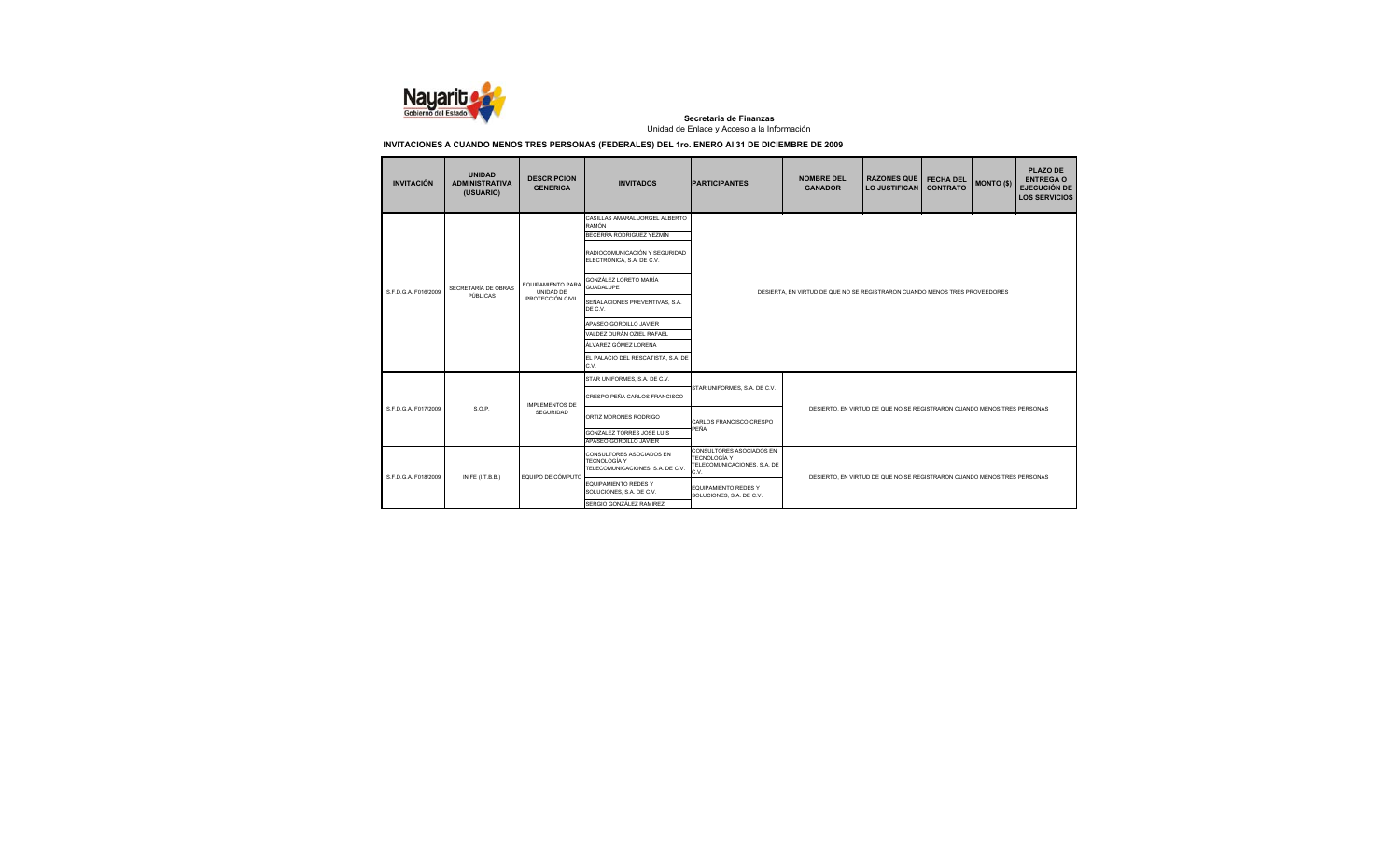

| <b>INVITACIÓN</b>                                                           | <b>UNIDAD</b><br><b>ADMINISTRATIVA</b><br>(USUARIO) | <b>DESCRIPCION</b><br><b>GENERICA</b>                                                                                                                                                                                                                           | <b>INVITADOS</b>                                                                                                                                                                                                                                                                                                                                         | <b>PARTICIPANTES</b>                                                       | <b>NOMBRE DEL</b><br><b>GANADOR</b>                                     | <b>RAZONES QUE</b><br><b>LO JUSTIFICAN</b> | <b>FECHA DEL</b><br><b>CONTRATO</b> | <b>MONTO (\$)</b> | <b>PLAZO DE</b><br><b>ENTREGA O</b><br><b>EJECUCIÓN DE</b><br><b>LOS SERVICIOS</b> |  |
|-----------------------------------------------------------------------------|-----------------------------------------------------|-----------------------------------------------------------------------------------------------------------------------------------------------------------------------------------------------------------------------------------------------------------------|----------------------------------------------------------------------------------------------------------------------------------------------------------------------------------------------------------------------------------------------------------------------------------------------------------------------------------------------------------|----------------------------------------------------------------------------|-------------------------------------------------------------------------|--------------------------------------------|-------------------------------------|-------------------|------------------------------------------------------------------------------------|--|
| S.F.D.G.A. F016/2009                                                        | SECRETARÍA DE OBRAS<br>PÚBLICAS                     | EQUIPAMIENTO PARA<br>UNIDAD DE<br>PROTECCIÓN CIVIL                                                                                                                                                                                                              | CASILLAS AMARAL JORGEL ALBERTO<br><b>RAMÓN</b><br>BECERRA RODRIGUEZ YEZMÍN<br>RADIOCOMUNICACIÓN Y SEGURIDAD<br>ELECTRÓNICA, S.A. DE C.V.<br>GONZÁLEZ LORETO MARÍA<br>GUADALUPE<br>SEÑALACIONES PREVENTIVAS, S.A.<br>DE C.V.<br>APASEO GORDILLO JAVIER<br>VALDEZ DURÁN OZIEL RAFAEL<br>ÁLVAREZ GÓMEZ LORENA<br>EL PALACIO DEL RESCATISTA, S.A. DE<br>C.V. | DESIERTA. EN VIRTUD DE QUE NO SE REGISTRARON CUANDO MENOS TRES PROVEEDORES |                                                                         |                                            |                                     |                   |                                                                                    |  |
| S.F.D.G.A. F017/2009                                                        | S.O.P.                                              | <b>IMPLEMENTOS DE</b>                                                                                                                                                                                                                                           | STAR UNIFORMES, S.A. DE C.V.<br>CRESPO PEÑA CARLOS FRANCISCO                                                                                                                                                                                                                                                                                             | STAR UNIFORMES, S.A. DE C.V.                                               |                                                                         |                                            |                                     |                   |                                                                                    |  |
|                                                                             |                                                     | <b>SEGURIDAD</b>                                                                                                                                                                                                                                                | ORTIZ MORONES RODRIGO<br><b>GONZALEZ TORRES JOSE LUIS</b><br>APASEO GORDILLO JAVIER                                                                                                                                                                                                                                                                      | CARLOS FRANCISCO CRESPO<br>PEÑA                                            | DESIERTO. EN VIRTUD DE QUE NO SE REGISTRARON CUANDO MENOS TRES PERSONAS |                                            |                                     |                   |                                                                                    |  |
| S.F.D.G.A. F018/2009                                                        | INIFE (I.T.B.B.)                                    | CONSULTORES ASOCIADOS EN<br>CONSULTORES ASOCIADOS EN<br>TECNOLOGÍA Y<br>TECNOLOGÍA Y<br>TELECOMUNICACIONES, S.A. DE<br>TELECOMUNICACIONES, S.A. DE C.V.<br>C.V.<br>EQUIPO DE CÓMPUTO<br>DESIERTO. EN VIRTUD DE QUE NO SE REGISTRARON CUANDO MENOS TRES PERSONAS |                                                                                                                                                                                                                                                                                                                                                          |                                                                            |                                                                         |                                            |                                     |                   |                                                                                    |  |
| EQUIPAMIENTO REDES Y<br>SOLUCIONES, S.A. DE C.V.<br>SERGIO GONZÁLEZ RAMIREZ |                                                     |                                                                                                                                                                                                                                                                 |                                                                                                                                                                                                                                                                                                                                                          | EQUIPAMIENTO REDES Y<br>SOLUCIONES, S.A. DE C.V.                           |                                                                         |                                            |                                     |                   |                                                                                    |  |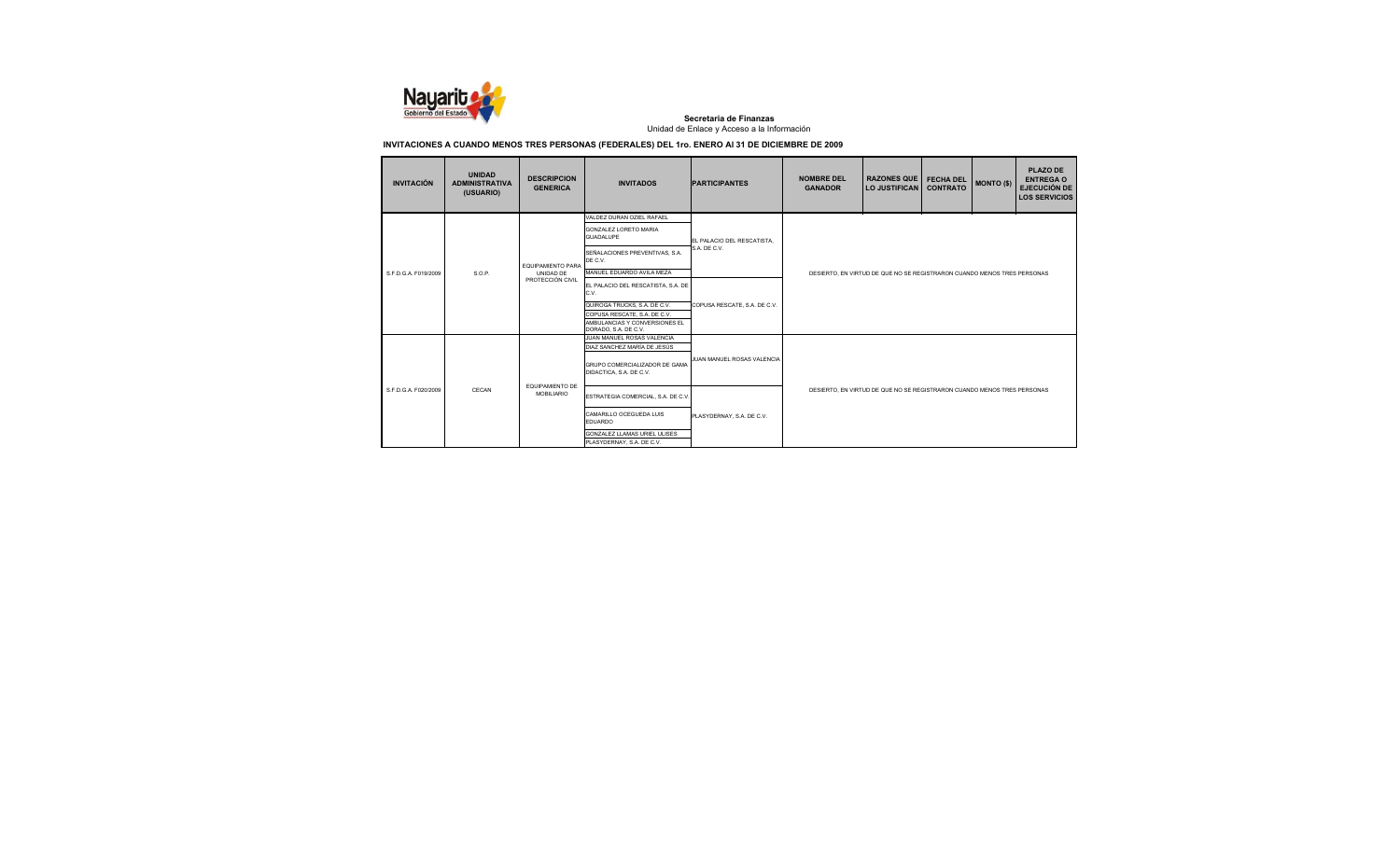

| <b>INVITACIÓN</b>    | <b>UNIDAD</b><br><b>ADMINISTRATIVA</b><br>(USUARIO) | <b>DESCRIPCION</b><br><b>GENERICA</b> | <b>INVITADOS</b>                                                                      | <b>PARTICIPANTES</b>         | <b>NOMBRE DEL</b><br><b>GANADOR</b>                                     | <b>RAZONES QUE</b><br>LO JUSTIFICAN                                     | <b>FECHA DEL</b><br><b>CONTRATO</b> | <b>MONTO (\$)</b> | PLAZO DE<br><b>ENTREGA O</b><br><b>EJECUCIÓN DE</b><br><b>LOS SERVICIOS</b> |  |
|----------------------|-----------------------------------------------------|---------------------------------------|---------------------------------------------------------------------------------------|------------------------------|-------------------------------------------------------------------------|-------------------------------------------------------------------------|-------------------------------------|-------------------|-----------------------------------------------------------------------------|--|
|                      |                                                     |                                       | VALDEZ DURAN OZIEL RAFAEL                                                             |                              |                                                                         |                                                                         |                                     |                   |                                                                             |  |
|                      |                                                     |                                       | <b>GONZALEZ LORETO MARIA</b><br><b>GUADALUPE</b>                                      | EL PALACIO DEL RESCATISTA.   |                                                                         |                                                                         |                                     |                   |                                                                             |  |
|                      |                                                     | <b>EQUIPAMIENTO PARA</b>              | SEÑALACIONES PREVENTIVAS, S.A.<br>DE C.V.                                             | S.A. DE C.V.                 |                                                                         |                                                                         |                                     |                   |                                                                             |  |
| S.F.D.G.A. F019/2009 | S.O.P.                                              | UNIDAD DE<br>PROTECCIÓN CIVIL         | MANUEL EDUARDO AVILA MEZA                                                             |                              | DESIERTO. EN VIRTUD DE QUE NO SE REGISTRARON CUANDO MENOS TRES PERSONAS |                                                                         |                                     |                   |                                                                             |  |
|                      |                                                     |                                       | EL PALACIO DEL RESCATISTA, S.A. DE<br>C.V.                                            | COPUSA RESCATE, S.A. DE C.V. |                                                                         |                                                                         |                                     |                   |                                                                             |  |
|                      |                                                     |                                       | QUIROGA TRUCKS, S.A. DE C.V.                                                          |                              |                                                                         |                                                                         |                                     |                   |                                                                             |  |
|                      |                                                     |                                       | COPUSA RESCATE, S.A. DE C.V.<br>AMBULANCIAS Y CONVERSIONES EL<br>DORADO, S.A. DE C.V. |                              |                                                                         |                                                                         |                                     |                   |                                                                             |  |
|                      |                                                     |                                       | JUAN MANUEL ROSAS VALENCIA<br>DIAZ SANCHEZ MARÍA DE JESÚS                             |                              |                                                                         |                                                                         |                                     |                   |                                                                             |  |
|                      |                                                     |                                       | GRUPO COMERCIALIZADOR DE GAMA<br>DIDACTICA, S.A. DE C.V.                              | JUAN MANUEL ROSAS VALENCIA   |                                                                         |                                                                         |                                     |                   |                                                                             |  |
| S.F.D.G.A. F020/2009 | CECAN                                               | EQUIPAMIENTO DE<br><b>MOBILIARIO</b>  | ESTRATEGIA COMERCIAL, S.A. DE C.V.                                                    |                              |                                                                         | DESIERTO. EN VIRTUD DE QUE NO SE REGISTRARON CUANDO MENOS TRES PERSONAS |                                     |                   |                                                                             |  |
|                      |                                                     |                                       | CAMARILLO OCEGUEDA LUIS<br>EDUARDO                                                    | PLASYDERNAY, S.A. DE C.V.    |                                                                         |                                                                         |                                     |                   |                                                                             |  |
|                      |                                                     |                                       | GONZALEZ LLAMAS URIEL ULISES                                                          |                              |                                                                         |                                                                         |                                     |                   |                                                                             |  |
|                      |                                                     |                                       | PLASYDERNAY, S.A. DE C.V.                                                             |                              |                                                                         |                                                                         |                                     |                   |                                                                             |  |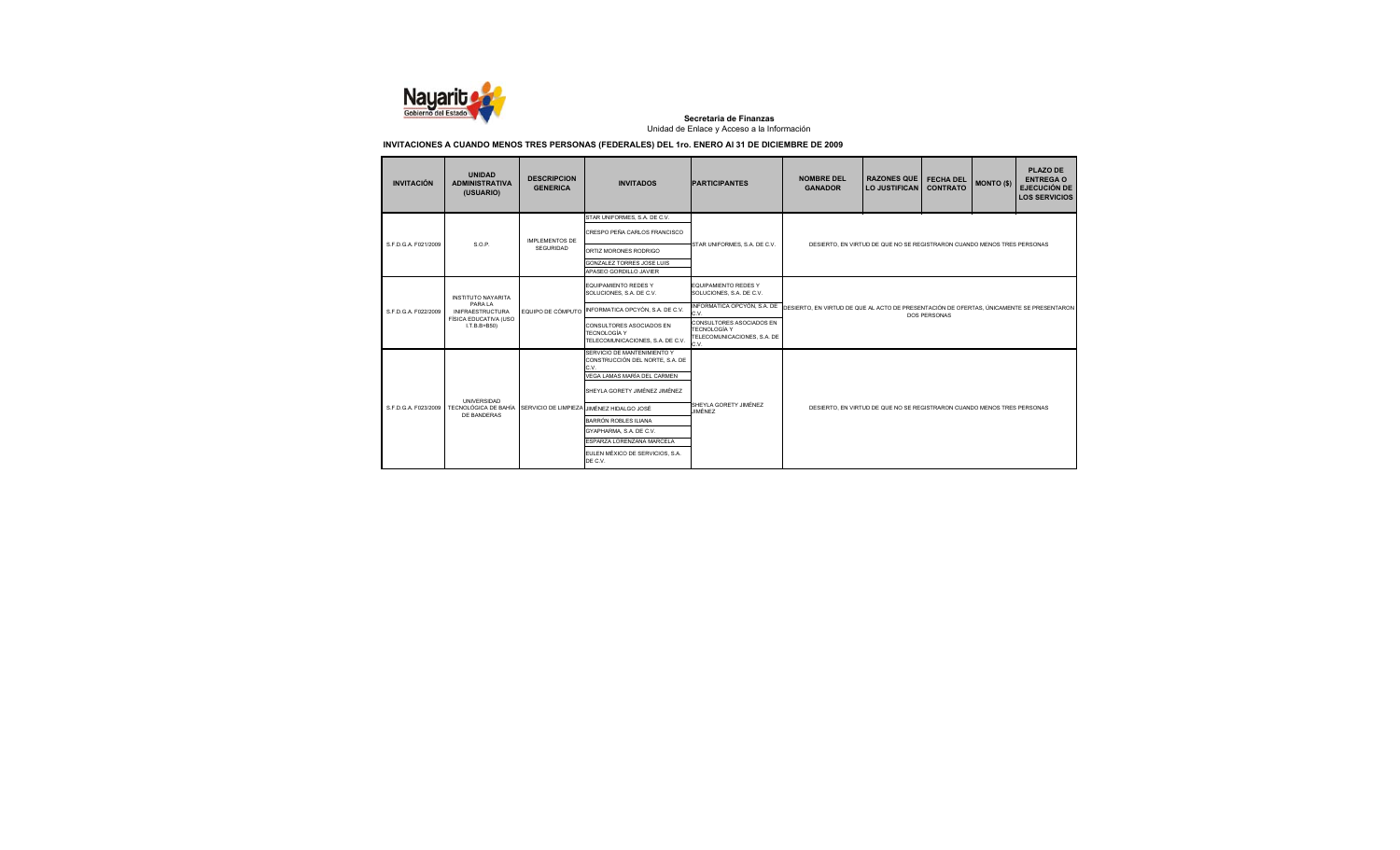

| <b>INVITACIÓN</b>    | <b>UNIDAD</b><br><b>ADMINISTRATIVA</b><br>(USUARIO) | <b>DESCRIPCION</b><br><b>GENERICA</b> | <b>INVITADOS</b>                                                                                      | <b>PARTICIPANTES</b>                                                                   | <b>NOMBRE DEL</b><br><b>GANADOR</b>                                                      | <b>RAZONES QUE</b><br><b>LO JUSTIFICAN</b>                              | <b>FECHA DEL</b><br><b>CONTRATO</b> | <b>MONTO (\$)</b> | <b>PLAZO DE</b><br><b>ENTREGA O</b><br><b>EJECUCIÓN DE</b><br><b>LOS SERVICIOS</b> |
|----------------------|-----------------------------------------------------|---------------------------------------|-------------------------------------------------------------------------------------------------------|----------------------------------------------------------------------------------------|------------------------------------------------------------------------------------------|-------------------------------------------------------------------------|-------------------------------------|-------------------|------------------------------------------------------------------------------------|
| S.F.D.G.A. F021/2009 | S.O.P.                                              | IMPI EMENTOS DE                       | STAR UNIFORMES, S.A. DE C.V.<br>CRESPO PEÑA CARLOS FRANCISCO                                          | STAR UNIFORMES, S.A. DE C.V.                                                           |                                                                                          | DESIERTO. EN VIRTUD DE QUE NO SE REGISTRARON CUANDO MENOS TRES PERSONAS |                                     |                   |                                                                                    |
|                      |                                                     | SEGURIDAD                             | ORTIZ MORONES RODRIGO<br><b>GONZALEZ TORRES JOSE LUIS</b><br>APASEO GORDILLO JAVIER                   |                                                                                        |                                                                                          |                                                                         |                                     |                   |                                                                                    |
|                      | <b>INSTITUTO NAYARITA</b>                           |                                       | <b>EQUIPAMIENTO REDES Y</b><br>SOLUCIONES, S.A. DE C.V.                                               | <b>EQUIPAMIENTO REDES Y</b><br>SOLUCIONES, S.A. DE C.V.                                |                                                                                          |                                                                         |                                     |                   |                                                                                    |
| S.F.D.G.A. F022/2009 | PARA LA<br><b>INIFRAESTRUCTURA</b>                  | EQUIPO DE CÓMPUTO                     | INFORMATICA OPCYÓN, S.A. DE C.V.                                                                      | INFORMATICA OPCYÓN, S.A. DE<br>C.V.                                                    | DESIERTO. EN VIRTUD DE QUE AL ACTO DE PRESENTACIÓN DE OFERTAS. ÚNICAMENTE SE PRESENTARON | <b>DOS PERSONAS</b>                                                     |                                     |                   |                                                                                    |
|                      | FÍSICA EDUCATIVA (USO<br>$I.T.B.B+B50$              |                                       | CONSULTORES ASOCIADOS EN<br>TECNOLOGÍA Y<br>TELECOMUNICACIONES, S.A. DE C.V.                          | CONSULTORES ASOCIADOS EN<br><b>TECNOLOGÍA Y</b><br>TELECOMUNICACIONES, S.A. DE<br>C.V. |                                                                                          |                                                                         |                                     |                   |                                                                                    |
|                      |                                                     |                                       | SERVICIO DE MANTENIMIENTO Y<br>CONSTRUCCIÓN DEL NORTE, S.A. DE<br>C.V.<br>VEGA LAMAS MARÍA DEL CARMEN |                                                                                        |                                                                                          |                                                                         |                                     |                   |                                                                                    |
|                      | <b>UNIVERSIDAD</b>                                  |                                       | SHEYLA GORETY JIMÉNEZ JIMÉNEZ                                                                         |                                                                                        |                                                                                          |                                                                         |                                     |                   |                                                                                    |
| S.F.D.G.A. F023/2009 | TECNOLÓGICA DE BAHÍA<br>DE BANDERAS                 | SERVICIO DE LIMPIEZA                  | <b>HMÉNEZ HIDALGO JOSÉ</b>                                                                            | SHEYLA GORETY JIMÉNEZ<br>JIMÉNEZ                                                       |                                                                                          | DESIERTO. EN VIRTUD DE QUE NO SE REGISTRARON CUANDO MENOS TRES PERSONAS |                                     |                   |                                                                                    |
|                      |                                                     |                                       | BARRÓN ROBLES ILIANA                                                                                  |                                                                                        |                                                                                          |                                                                         |                                     |                   |                                                                                    |
|                      |                                                     |                                       | GYAPHARMA, S.A. DE C.V.<br>ESPARZA LORENZANA MARCELA                                                  |                                                                                        |                                                                                          |                                                                         |                                     |                   |                                                                                    |
|                      |                                                     |                                       | EULEN MÉXICO DE SERVICIOS. S.A.<br>DE C.V.                                                            |                                                                                        |                                                                                          |                                                                         |                                     |                   |                                                                                    |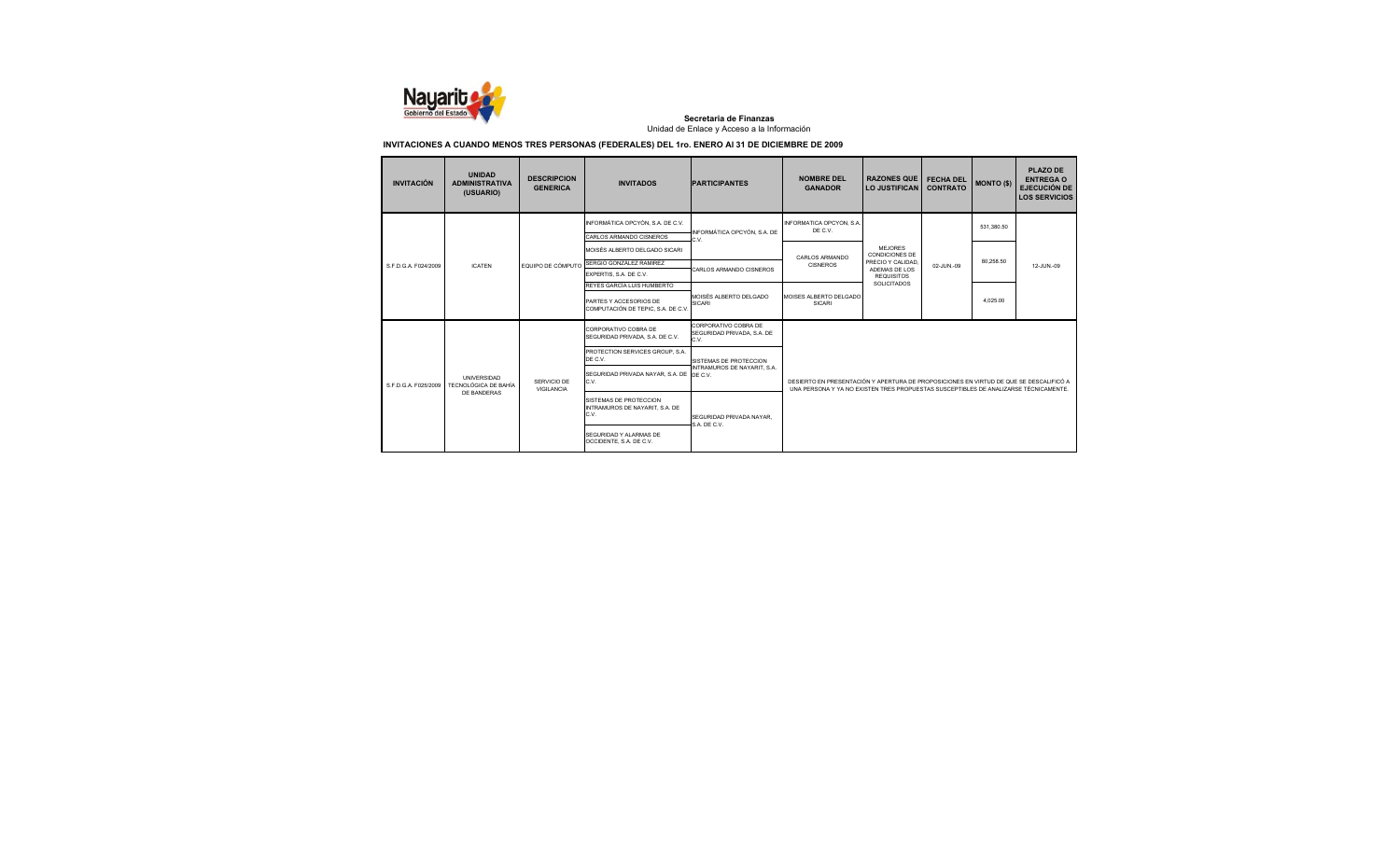

| <b>INVITACIÓN</b>    | <b>UNIDAD</b><br><b>ADMINISTRATIVA</b><br>(USUARIO) | <b>DESCRIPCION</b><br><b>GENERICA</b> | <b>INVITADOS</b>                                                 | <b>PARTICIPANTES</b>                                       | <b>NOMBRE DEL</b><br><b>GANADOR</b>                                                                                                                                            | <b>RAZONES QUE</b><br><b>LO JUSTIFICAN</b> | <b>FECHA DEL</b><br><b>CONTRATO</b> | <b>MONTO (\$)</b> | <b>PLAZO DE</b><br><b>ENTREGA O</b><br><b>EJECUCIÓN DE</b><br><b>LOS SERVICIOS</b> |
|----------------------|-----------------------------------------------------|---------------------------------------|------------------------------------------------------------------|------------------------------------------------------------|--------------------------------------------------------------------------------------------------------------------------------------------------------------------------------|--------------------------------------------|-------------------------------------|-------------------|------------------------------------------------------------------------------------|
|                      |                                                     |                                       | INFORMÁTICA OPCYÓN, S.A. DE C.V.                                 | INFORMÁTICA OPCYÓN, S.A. DE                                | INFORMATICA OPCYON, S.A.<br>DE C.V.                                                                                                                                            |                                            |                                     | 531.380.50        |                                                                                    |
|                      |                                                     |                                       | CARLOS ARMANDO CISNEROS                                          | C.V.                                                       |                                                                                                                                                                                |                                            |                                     |                   |                                                                                    |
|                      |                                                     | EQUIPO DE CÓMPUTO                     | MOISÉS ALBERTO DELGADO SICARI                                    |                                                            | CARLOS ARMANDO                                                                                                                                                                 | <b>MEJORES</b><br><b>CONDICIONES DE</b>    |                                     |                   |                                                                                    |
| S.F.D.G.A. F024/2009 | <b>ICATEN</b>                                       |                                       | SERGIO GONZÁLEZ RAMIREZ                                          | CARLOS ARMANDO CISNEROS                                    | <b>CISNEROS</b>                                                                                                                                                                | PRECIO Y CALIDAD<br>ADEMAS DE LOS          | 02-JUN.-09                          | 80.258.50         | 12-JUN.-09                                                                         |
|                      |                                                     |                                       | EXPERTIS, S.A. DE C.V.                                           |                                                            |                                                                                                                                                                                | <b>REQUISITOS</b>                          |                                     |                   |                                                                                    |
|                      |                                                     |                                       | REYES GARCÍA LUIS HUMBERTO                                       | MOISÉS ALBERTO DELGADO<br><b>SICARI</b>                    | MOISES ALBERTO DELGADO<br><b>SICARI</b>                                                                                                                                        | SOLICITADOS                                |                                     |                   |                                                                                    |
|                      |                                                     |                                       | PARTES Y ACCESORIOS DE<br>COMPUTACIÓN DE TEPIC. S.A. DE C.V.     |                                                            |                                                                                                                                                                                |                                            |                                     | 4.025.00          |                                                                                    |
|                      |                                                     |                                       | CORPORATIVO COBRA DE<br>SEGURIDAD PRIVADA, S.A. DE C.V.          | CORPORATIVO COBRA DE<br>SEGURIDAD PRIVADA, S.A. DE<br>C.V. |                                                                                                                                                                                |                                            |                                     |                   |                                                                                    |
|                      |                                                     |                                       | PROTECTION SERVICES GROUP, S.A.<br>DE C.V.                       | SISTEMAS DE PROTECCION                                     |                                                                                                                                                                                |                                            |                                     |                   |                                                                                    |
| S.F.D.G.A. F025/2009 | UNIVERSIDAD<br>TECNOLÓGICA DE BAHÍA                 | SERVICIO DE<br><b>VIGILANCIA</b>      | SEGURIDAD PRIVADA NAYAR, S.A. DE<br>C.V.                         | INTRAMUROS DE NAYARIT, S.A.<br>DE C.V.                     | DESIERTO EN PRESENTACIÓN Y APERTURA DE PROPOSICIONES EN VIRTUD DE QUE SE DESCALIFICÓ A<br>UNA PERSONA Y YA NO EXISTEN TRES PROPUESTAS SUSCEPTIBLES DE ANALIZARSE TÉCNICAMENTE. |                                            |                                     |                   |                                                                                    |
|                      | DE BANDERAS                                         |                                       | SISTEMAS DE PROTECCION<br>INTRAMUROS DE NAYARIT, S.A. DE<br>C.V. | SEGURIDAD PRIVADA NAYAR.                                   |                                                                                                                                                                                |                                            |                                     |                   |                                                                                    |
|                      |                                                     |                                       | SEGURIDAD Y ALARMAS DE<br>OCCIDENTE, S.A. DE C.V.                | S.A. DE C.V.                                               |                                                                                                                                                                                |                                            |                                     |                   |                                                                                    |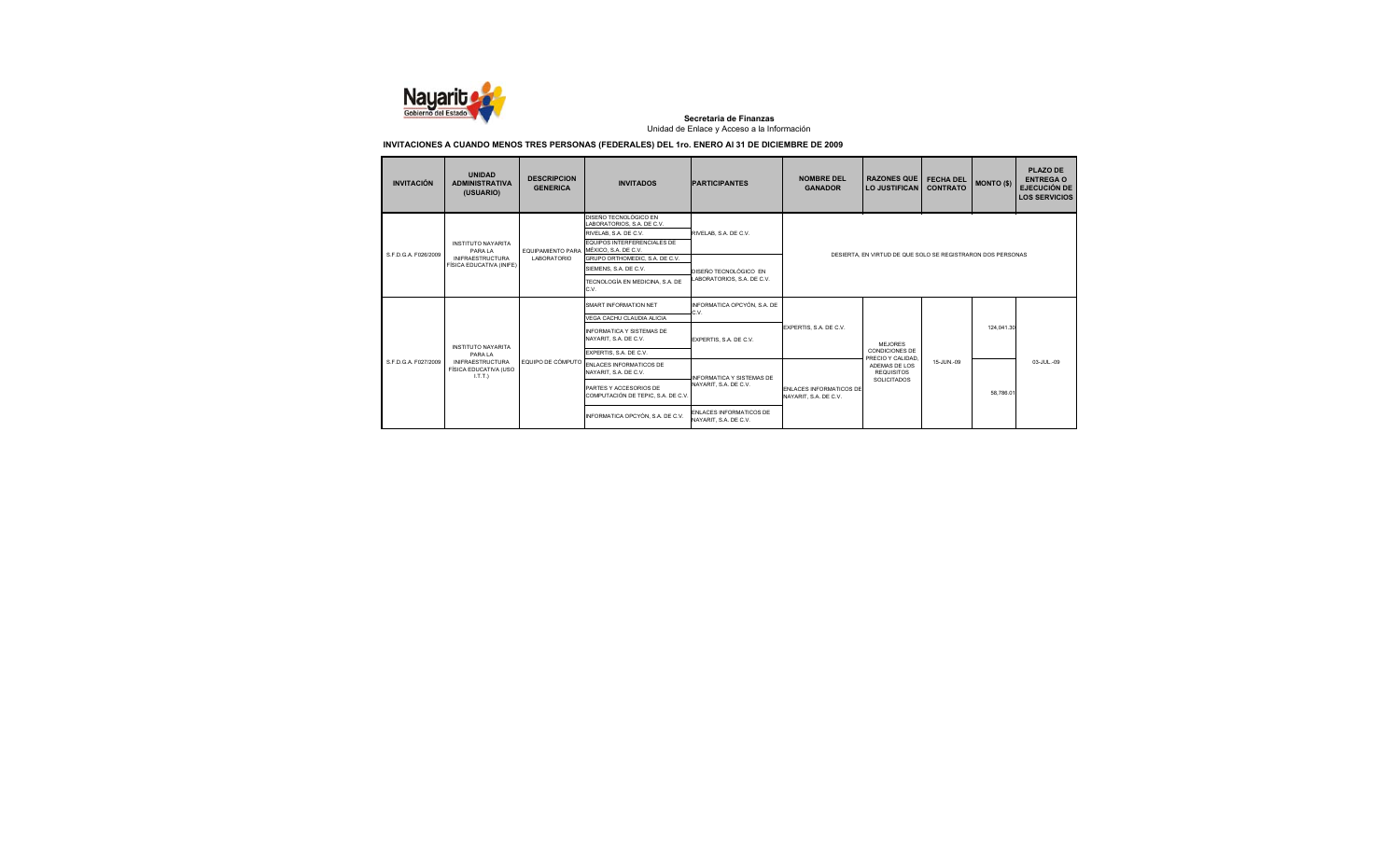

| <b>INVITACIÓN</b>                                       | <b>UNIDAD</b><br><b>ADMINISTRATIVA</b><br>(USUARIO) | <b>DESCRIPCION</b><br><b>GENERICA</b> | <b>INVITADOS</b>                                             | <b>PARTICIPANTES</b>                                    | <b>NOMBRE DEL</b><br><b>GANADOR</b>                     | <b>RAZONES QUE</b><br>LO JUSTIFICAN                         | <b>FECHA DEL</b><br><b>CONTRATO</b> | <b>MONTO (\$)</b> | <b>PLAZO DE</b><br><b>ENTREGA O</b><br><b>EJECUCIÓN DE</b><br><b>LOS SERVICIOS</b> |  |
|---------------------------------------------------------|-----------------------------------------------------|---------------------------------------|--------------------------------------------------------------|---------------------------------------------------------|---------------------------------------------------------|-------------------------------------------------------------|-------------------------------------|-------------------|------------------------------------------------------------------------------------|--|
|                                                         |                                                     |                                       | DISEÑO TECNOLÓGICO EN<br>LABORATORIOS, S.A. DE C.V.          |                                                         |                                                         |                                                             |                                     |                   |                                                                                    |  |
|                                                         |                                                     |                                       | RIVELAB, S.A. DE C.V.                                        | RIVELAB, S.A. DE C.V.                                   |                                                         |                                                             |                                     |                   |                                                                                    |  |
| S.F.D.G.A. F026/2009                                    | <b>INSTITUTO NAYARITA</b><br>PARA LA                | EQUIPAMIENTO PARA                     | <b>EQUIPOS INTERFERENCIALES DE</b><br>MÉXICO, S.A. DE C.V.   |                                                         |                                                         | DESIERTA, EN VIRTUD DE QUE SOLO SE REGISTRARON DOS PERSONAS |                                     |                   |                                                                                    |  |
|                                                         | <b>INIFRAESTRUCTURA</b>                             | LABORATORIO                           | GRUPO ORTHOMEDIC, S.A. DE C.V.                               |                                                         |                                                         |                                                             |                                     |                   |                                                                                    |  |
|                                                         | FÍSICA EDUCATIVA (INIFE)                            |                                       | SIEMENS, S.A. DE C.V.                                        | DISEÑO TECNOLÓGICO EN                                   |                                                         |                                                             |                                     |                   |                                                                                    |  |
|                                                         |                                                     |                                       | TECNOLOGÍA EN MEDICINA, S.A. DE<br>C.V.                      | LABORATORIOS, S.A. DE C.V.                              |                                                         |                                                             |                                     |                   |                                                                                    |  |
|                                                         |                                                     |                                       | <b>SMART INFORMATION NET</b>                                 | INFORMATICA OPCYÓN, S.A. DE<br>C.V.                     | EXPERTIS, S.A. DE C.V.                                  |                                                             |                                     |                   |                                                                                    |  |
|                                                         |                                                     |                                       | VEGA CACHU CLAUDIA ALICIA                                    |                                                         |                                                         | MEJORES                                                     |                                     |                   |                                                                                    |  |
|                                                         | <b>INSTITUTO NAYARITA</b>                           |                                       | INFORMATICA Y SISTEMAS DE<br>NAYARIT, S.A. DE C.V.           | EXPERTIS, S.A. DE C.V.                                  |                                                         |                                                             |                                     |                   | 124.041.30                                                                         |  |
|                                                         | PARA LA                                             |                                       | EXPERTIS, S.A. DE C.V.                                       |                                                         |                                                         | <b>CONDICIONES DE</b><br>PRECIO Y CALIDAD                   |                                     |                   |                                                                                    |  |
| S F D G A F027/2009<br><b>INIFRAESTRUCTURA</b><br>LT.T. | FÍSICA EDUCATIVA (USO                               | EQUIPO DE CÓMPUTO                     | ENLACES INFORMATICOS DE<br>NAYARIT, S.A. DE C.V.             | INFORMATICA Y SISTEMAS DE                               |                                                         | ADEMAS DE LOS<br><b>REQUISITOS</b>                          | 15-JUN.-09                          |                   | 03-JUL-09                                                                          |  |
|                                                         |                                                     |                                       | PARTES Y ACCESORIOS DE<br>COMPUTACIÓN DE TEPIC, S.A. DE C.V. | NAYARIT, S.A. DE C.V.                                   | <b>ENLACES INFORMATICOS DE</b><br>NAYARIT, S.A. DE C.V. | SOLICITADOS                                                 |                                     | 58,786.0          |                                                                                    |  |
|                                                         |                                                     |                                       | INFORMATICA OPCYÓN, S.A. DE C.V.                             | <b>ENLACES INFORMATICOS DE</b><br>NAYARIT, S.A. DE C.V. |                                                         |                                                             |                                     |                   |                                                                                    |  |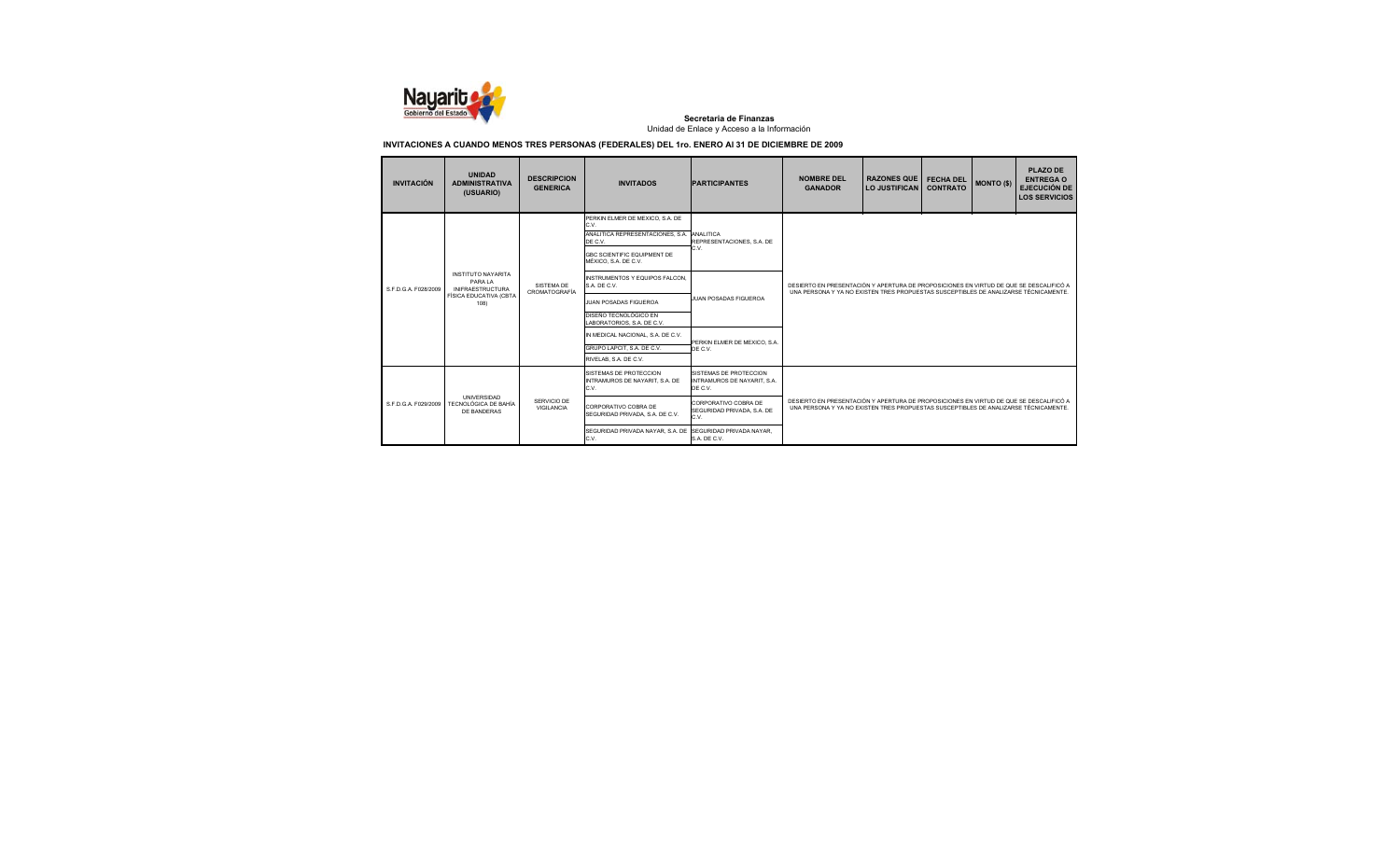

| <b>INVITACIÓN</b>    | <b>UNIDAD</b><br><b>ADMINISTRATIVA</b><br>(USUARIO)                                              | <b>DESCRIPCION</b><br><b>GENERICA</b>    | <b>INVITADOS</b>                                                                                                                                     | <b>PARTICIPANTES</b>                                             | <b>NOMBRE DEL</b><br><b>GANADOR</b>                                                                                                                                            | <b>RAZONES QUE</b><br><b>LO JUSTIFICAN</b> | <b>FECHA DEL</b><br><b>CONTRATO</b> | <b>MONTO (\$)</b> | <b>PLAZO DE</b><br><b>ENTREGA O</b><br><b>EJECUCIÓN DE</b><br><b>LOS SERVICIOS</b> |  |
|----------------------|--------------------------------------------------------------------------------------------------|------------------------------------------|------------------------------------------------------------------------------------------------------------------------------------------------------|------------------------------------------------------------------|--------------------------------------------------------------------------------------------------------------------------------------------------------------------------------|--------------------------------------------|-------------------------------------|-------------------|------------------------------------------------------------------------------------|--|
|                      |                                                                                                  |                                          | PERKIN ELMER DE MEXICO, S.A. DE<br>C.V.<br>ANALITICA REPRESENTACIONES. S.A.<br>DE C.V.<br><b>GBC SCIENTIFIC EQUIPMENT DE</b><br>MÉXICO, S.A. DE C.V. | ANALITICA<br>REPRESENTACIONES, S.A. DE<br>C.V.                   | DESIERTO EN PRESENTACIÓN Y APERTURA DE PROPOSICIONES EN VIRTUD DE QUE SE DESCALIFICÓ A<br>UNA PERSONA Y YA NO EXISTEN TRES PROPUESTAS SUSCEPTIBLES DE ANALIZARSE TÉCNICAMENTE. |                                            |                                     |                   |                                                                                    |  |
| S.F.D.G.A. F028/2009 | <b>INSTITUTO NAYARITA</b><br>PARAIA<br><b>INIFRAESTRUCTURA</b><br>FÍSICA EDUCATIVA (CBTA<br>108) | SISTEMA DE<br>CROMATOGRAFÍA              | INSTRUMENTOS Y EQUIPOS FALCON.<br>S.A. DE C.V.                                                                                                       | JUAN POSADAS FIGUEROA                                            |                                                                                                                                                                                |                                            |                                     |                   |                                                                                    |  |
|                      |                                                                                                  |                                          | <b>JUAN POSADAS FIGUEROA</b>                                                                                                                         |                                                                  |                                                                                                                                                                                |                                            |                                     |                   |                                                                                    |  |
|                      |                                                                                                  |                                          | DISEÑO TECNOLÓGICO EN<br>LABORATORIOS, S.A. DE C.V.                                                                                                  |                                                                  |                                                                                                                                                                                |                                            |                                     |                   |                                                                                    |  |
|                      |                                                                                                  |                                          | IN MEDICAL NACIONAL, S.A. DE C.V.                                                                                                                    | PERKIN ELMER DE MEXICO. S.A.                                     |                                                                                                                                                                                |                                            |                                     |                   |                                                                                    |  |
|                      |                                                                                                  |                                          | GRUPO LAPCIT. S.A. DE C.V.<br>RIVELAB, S.A. DE C.V.                                                                                                  | DE C.V.                                                          |                                                                                                                                                                                |                                            |                                     |                   |                                                                                    |  |
|                      |                                                                                                  |                                          | SISTEMAS DE PROTECCION<br>INTRAMUROS DE NAYARIT. S.A. DE<br>C.V.                                                                                     | SISTEMAS DE PROTECCION<br>INTRAMUROS DE NAYARIT, S.A.<br>DE C.V. |                                                                                                                                                                                |                                            |                                     |                   |                                                                                    |  |
| S F D G A F029/2009  | <b>UNIVERSIDAD</b><br>SERVICIO DE<br>TECNOLÓGICA DE BAHÍA<br>VIGILANCIA<br>DE BANDERAS           |                                          | CORPORATIVO COBRA DE<br>SEGURIDAD PRIVADA, S.A. DE C.V.                                                                                              | CORPORATIVO COBRA DE<br>SEGURIDAD PRIVADA, S.A. DE<br>C.V.       | DESIERTO EN PRESENTACIÓN Y APERTURA DE PROPOSICIONES EN VIRTUD DE QUE SE DESCALIFICÓ A<br>UNA PERSONA Y YA NO EXISTEN TRES PROPUESTAS SUSCEPTIBLES DE ANALIZARSE TÉCNICAMENTE. |                                            |                                     |                   |                                                                                    |  |
|                      |                                                                                                  | SEGURIDAD PRIVADA NAYAR, S.A. DE<br>C.V. | SEGURIDAD PRIVADA NAYAR.<br>S.A. DE C.V.                                                                                                             |                                                                  |                                                                                                                                                                                |                                            |                                     |                   |                                                                                    |  |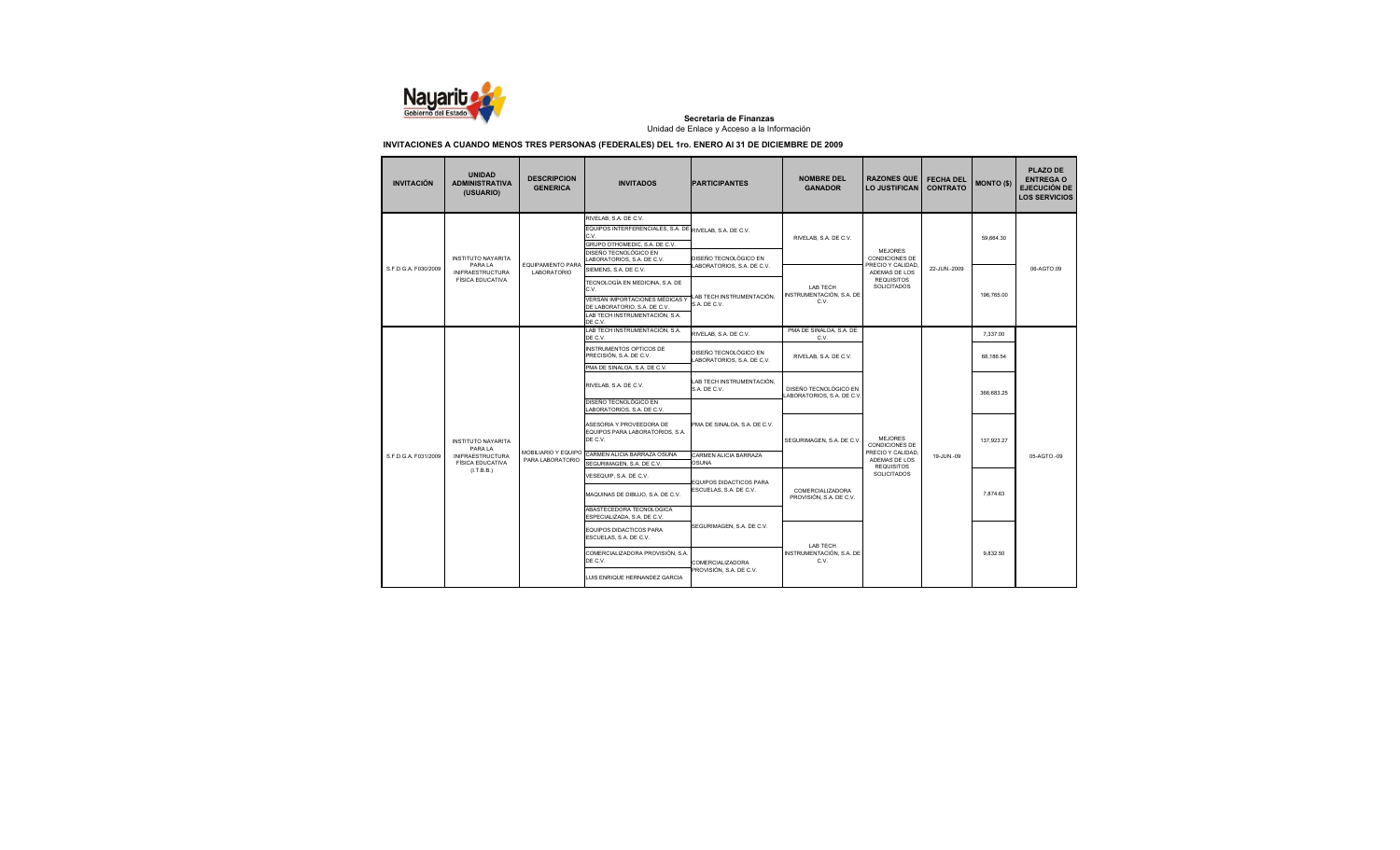

| <b>INVITACIÓN</b>    | <b>UNIDAD</b><br><b>ADMINISTRATIVA</b><br>(USUARIO)           | <b>DESCRIPCION</b><br><b>GENERICA</b>          | <b>INVITADOS</b>                                                                                                                                   | <b>PARTICIPANTES</b>                               | <b>NOMBRE DEL</b><br><b>GANADOR</b>                  | <b>RAZONES QUE</b><br><b>LO JUSTIFICAN</b>             | <b>FECHA DEL</b><br><b>CONTRATO</b> | <b>MONTO (\$)</b> | <b>PLAZO DE</b><br><b>ENTREGA O</b><br><b>EJECUCIÓN DE</b><br><b>LOS SERVICIOS</b> |
|----------------------|---------------------------------------------------------------|------------------------------------------------|----------------------------------------------------------------------------------------------------------------------------------------------------|----------------------------------------------------|------------------------------------------------------|--------------------------------------------------------|-------------------------------------|-------------------|------------------------------------------------------------------------------------|
|                      | <b>INSTITUTO NAYARITA</b>                                     |                                                | RIVELAB, S.A. DE C.V.<br>EQUIPOS INTERFERENCIALES, S.A. DE RIVELAB, S.A. DE C.V.<br>C.V.<br>GRUPO OTHOMEDIC, S.A. DE C.V.<br>DISEÑO TECNOLÓGICO EN | DISEÑO TECNOLÓGICO EN                              | RIVELAB, S.A. DE C.V.                                | MEJORES<br><b>CONDICIONES DE</b>                       |                                     | 59.664.30         |                                                                                    |
| S.F.D.G.A. F030/2009 | PARA LA<br><b>INIFRAESTRUCTURA</b><br><b>FÍSICA EDUCATIVA</b> | <b>EQUIPAMIENTO PARA</b><br><b>LABORATORIO</b> | LABORATORIOS, S.A. DE C.V.<br>SIEMENS, S.A. DE C.V.<br>TECNOLOGÍA EN MEDICINA. S.A. DE                                                             | LABORATORIOS, S.A. DE C.V.                         |                                                      | PRECIO Y CALIDAD<br>ADEMAS DE LOS<br><b>REQUISITOS</b> | 22-JUN.-2009                        |                   | 06-AGTO.09                                                                         |
|                      |                                                               |                                                | C.V.<br>VERSAN IMPORTACIONES MÉDICAS Y<br>DE LABORATORIO, S.A. DE C.V.<br>LAB TECH INSTRUMENTACIÓN, S.A.                                           | LAB TECH INSTRUMENTACIÓN,<br>S.A. DE C.V.          | <b>I AB TECH</b><br>INSTRUMENTACIÓN, S.A. DE<br>C.V. | <b>SOLICITADOS</b>                                     |                                     | 196,765.00        |                                                                                    |
|                      |                                                               |                                                | DE C.V.<br>LAB TECH INSTRUMENTACIÓN, S.A.<br>DE C.V.                                                                                               | RIVELAB, S.A. DE C.V.                              | PMA DE SINALOA, S.A. DE<br>C.V.                      |                                                        |                                     | 7.337.00          |                                                                                    |
|                      |                                                               |                                                | INSTRUMENTOS OPTICOS DE<br>PRECISIÓN, S.A. DE C.V.<br>PMA DE SINALOA, S.A. DE C.V.                                                                 | DISEÑO TECNOLÓGICO EN<br>ABORATORIOS, S.A. DE C.V. | RIVELAB, S.A. DE C.V.                                |                                                        |                                     | 68.186.54         |                                                                                    |
|                      |                                                               |                                                | RIVELAB, S.A. DE C.V.                                                                                                                              | LAB TECH INSTRUMENTACIÓN,<br>S.A. DE C.V.          | DISEÑO TECNOLÓGICO EN<br>ABORATORIOS, S.A. DE C.V.   |                                                        |                                     | 366.683.25        |                                                                                    |
|                      |                                                               |                                                | DISEÑO TECNOLÓGICO EN<br>LABORATORIOS, S.A. DE C.V.                                                                                                |                                                    |                                                      |                                                        |                                     |                   |                                                                                    |
|                      | <b>INSTITUTO NAYARITA</b><br>PARA LA                          |                                                | ASESORIA Y PROVEEDORA DE<br>EQUIPOS PARA LABORATORIOS, S.A.<br>DE C.V.                                                                             | PMA DE SINALOA, S.A. DE C.V.                       | SEGURIMAGEN, S.A. DE C.V.                            | <b>MEJORES</b><br><b>CONDICIONES DE</b>                |                                     | 137,923.27        |                                                                                    |
| S.F.D.G.A. F031/2009 | <b>INIFRAESTRUCTURA</b><br><b>FÍSICA EDUCATIVA</b>            | MOBILIARIO Y EQUIPO<br>PARA LABORATORIO        | CARMEN ALICIA BARRAZA OSUNA<br>SEGURIMAGEN, S.A. DE C.V.                                                                                           | CARMEN ALICIA BARRAZA<br>OSUNA                     |                                                      | PRECIO Y CALIDAD<br>ADEMAS DE LOS<br><b>REQUISITOS</b> | 19-JUN.-09                          |                   | 05-AGTO.-09                                                                        |
|                      | (I.T.B.B.)                                                    |                                                | VESEQUIP, S.A. DE C.V.                                                                                                                             | EQUIPOS DIDACTICOS PARA                            |                                                      | SOLICITADOS                                            |                                     |                   |                                                                                    |
|                      |                                                               |                                                | MAQUINAS DE DIBUJO, S.A. DE C.V.                                                                                                                   | ESCUELAS, S.A. DE C.V.                             | COMERCIALIZADORA<br>PROVISIÓN, S.A. DE C.V.          |                                                        |                                     | 7,874.63          |                                                                                    |
|                      |                                                               |                                                | ABASTECEDORA TECNOLOGICA<br>ESPECIALIZADA, S.A. DE C.V.                                                                                            |                                                    |                                                      |                                                        |                                     |                   |                                                                                    |
|                      |                                                               |                                                | EQUIPOS DIDACTICOS PARA<br>ESCUELAS, S.A. DE C.V.                                                                                                  | SEGURIMAGEN, S.A. DE C.V.                          | <b>LAB TECH</b>                                      |                                                        |                                     |                   |                                                                                    |
|                      |                                                               |                                                | COMERCIALIZADORA PROVISIÓN, S.A.<br>DE C.V.                                                                                                        | <b>COMERCIALIZADORA</b>                            | INSTRUMENTACIÓN, S.A. DE<br>C.V.                     |                                                        |                                     | 9.832.50          |                                                                                    |
|                      |                                                               | LUIS ENRIQUE HERNANDEZ GARCIA                  | PROVISIÓN, S.A. DE C.V.                                                                                                                            |                                                    |                                                      |                                                        |                                     |                   |                                                                                    |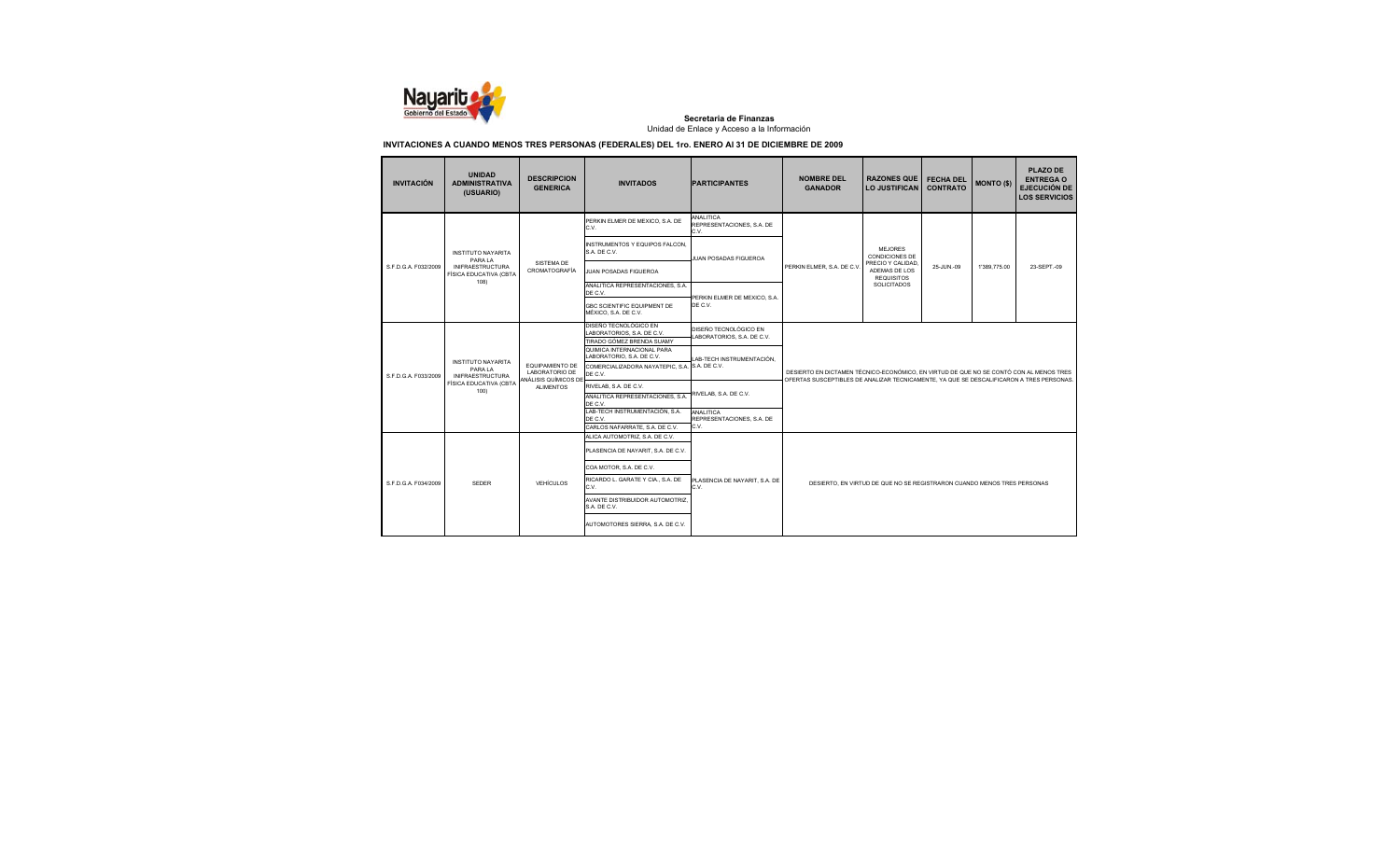

| <b>INVITACIÓN</b>    | <b>UNIDAD</b><br><b>ADMINISTRATIVA</b><br>(USUARIO) | <b>DESCRIPCION</b><br><b>GENERICA</b>                            | <b>INVITADOS</b>                                                                 | <b>PARTICIPANTES</b>                                | <b>NOMBRE DEL</b><br><b>GANADOR</b> | <b>RAZONES QUE</b><br><b>LO JUSTIFICAN</b>                                                                                                                                         | <b>FECHA DEL</b><br><b>CONTRATO</b> | <b>MONTO (\$)</b> | <b>PLAZO DE</b><br><b>ENTREGA O</b><br><b>EJECUCIÓN DE</b><br><b>LOS SERVICIOS</b> |  |
|----------------------|-----------------------------------------------------|------------------------------------------------------------------|----------------------------------------------------------------------------------|-----------------------------------------------------|-------------------------------------|------------------------------------------------------------------------------------------------------------------------------------------------------------------------------------|-------------------------------------|-------------------|------------------------------------------------------------------------------------|--|
|                      |                                                     |                                                                  | PERKIN ELMER DE MEXICO, S.A. DE<br>C.V.                                          | ANALITICA<br>REPRESENTACIONES, S.A. DE<br>C.V.      |                                     |                                                                                                                                                                                    |                                     |                   |                                                                                    |  |
|                      | <b>INSTITUTO NAYARITA</b><br>PARA LA                |                                                                  | INSTRUMENTOS Y EQUIPOS FALCON,<br>S.A. DE C.V.                                   | JUAN POSADAS FIGUEROA                               |                                     | <b>MEJORES</b><br><b>CONDICIONES DE</b>                                                                                                                                            |                                     |                   |                                                                                    |  |
| S.F.D.G.A. F032/2009 | <b>INIFRAESTRUCTURA</b><br>FÍSICA EDUCATIVA (CBTA   | SISTEMA DE<br>CROMATOGRAFÍA                                      | JUAN POSADAS FIGUEROA                                                            |                                                     | PERKIN ELMER, S.A. DE C.V           | PRECIO Y CALIDAD,<br>ADEMAS DE LOS<br><b>REQUISITOS</b>                                                                                                                            | 25-JUN.-09                          | 1'389.775.00      | 23-SEPT.-09                                                                        |  |
|                      | 108)                                                |                                                                  | ANALITICA REPRESENTACIONES, S.A.<br>DE C.V.                                      | PERKIN ELMER DE MEXICO, S.A.                        |                                     | <b>SOLICITADOS</b>                                                                                                                                                                 |                                     |                   |                                                                                    |  |
|                      |                                                     |                                                                  | <b>GBC SCIENTIFIC EQUIPMENT DE</b><br>MÉXICO, S.A. DE C.V.                       | DE C.V.                                             |                                     |                                                                                                                                                                                    |                                     |                   |                                                                                    |  |
|                      |                                                     |                                                                  | DISEÑO TECNOLÓGICO EN<br>LABORATORIOS, S.A. DE C.V.<br>TIRADO GÓMEZ BRENDA SUAMY | DISEÑO TECNOLÓGICO EN<br>LABORATORIOS, S.A. DE C.V. |                                     |                                                                                                                                                                                    |                                     |                   |                                                                                    |  |
|                      | <b>INSTITUTO NAYARITA</b>                           | <b>EQUIPAMIENTO DE</b><br>LABORATORIO DE<br>ANÁLISIS QUÍMICOS DE | QUIMICA INTERNACIONAL PARA<br>LABORATORIO, S.A. DE C.V.                          | LAB-TECH INSTRUMENTACIÓN,                           |                                     |                                                                                                                                                                                    |                                     |                   |                                                                                    |  |
| S.F.D.G.A. F033/2009 | PARA LA<br><b>INIFRAESTRUCTURA</b>                  |                                                                  | COMERCIALIZADORA NAYATEPIC, S.A. S.A. DE C.V.<br>DE C.V.                         |                                                     |                                     | DESIERTO EN DICTAMEN TÉCNICO-ECONÓMICO, EN VIRTUD DE QUE NO SE CONTÓ CON AL MENOS TRES<br>OFERTAS SUSCEPTIBLES DE ANALIZAR TECNICAMENTE. YA QUE SE DESCALIFICARON A TRES PERSONAS. |                                     |                   |                                                                                    |  |
|                      | FÍSICA EDUCATIVA (CBTA<br>100)                      | <b>ALIMENTOS</b>                                                 | RIVELAB, S.A. DE C.V.                                                            |                                                     |                                     |                                                                                                                                                                                    |                                     |                   |                                                                                    |  |
|                      |                                                     |                                                                  | ANALITICA REPRESENTACIONES, S.A.<br>DE C.V.                                      | RIVELAB. S.A. DE C.V.                               |                                     |                                                                                                                                                                                    |                                     |                   |                                                                                    |  |
|                      |                                                     |                                                                  | LAB-TECH INSTRUMENTACIÓN, S.A.<br>DE C.V.                                        | ANALITICA<br>REPRESENTACIONES, S.A. DE              |                                     |                                                                                                                                                                                    |                                     |                   |                                                                                    |  |
|                      |                                                     |                                                                  | CARLOS NAFARRATE, S.A. DE C.V.                                                   | C.V.                                                |                                     |                                                                                                                                                                                    |                                     |                   |                                                                                    |  |
|                      |                                                     |                                                                  | ALICA AUTOMOTRIZ, S.A. DE C.V.                                                   |                                                     |                                     |                                                                                                                                                                                    |                                     |                   |                                                                                    |  |
|                      |                                                     |                                                                  | PLASENCIA DE NAYARIT, S.A. DE C.V.                                               |                                                     |                                     |                                                                                                                                                                                    |                                     |                   |                                                                                    |  |
|                      |                                                     |                                                                  | COA MOTOR. S.A. DE C.V.                                                          |                                                     |                                     |                                                                                                                                                                                    |                                     |                   |                                                                                    |  |
| S.F.D.G.A. F034/2009 | <b>SEDER</b>                                        | VEHÍCULOS                                                        | RICARDO L. GARATE Y CIA., S.A. DE<br>C.V.                                        | PLASENCIA DE NAYARIT. S.A. DE<br>C.V.               |                                     | DESIERTO. EN VIRTUD DE QUE NO SE REGISTRARON CUANDO MENOS TRES PERSONAS                                                                                                            |                                     |                   |                                                                                    |  |
|                      |                                                     |                                                                  | AVANTE DISTRIBUIDOR AUTOMOTRIZ,<br>S.A. DE C.V.                                  |                                                     |                                     |                                                                                                                                                                                    |                                     |                   |                                                                                    |  |
|                      |                                                     |                                                                  | AUTOMOTORES SIERRA, S.A. DE C.V.                                                 |                                                     |                                     |                                                                                                                                                                                    |                                     |                   |                                                                                    |  |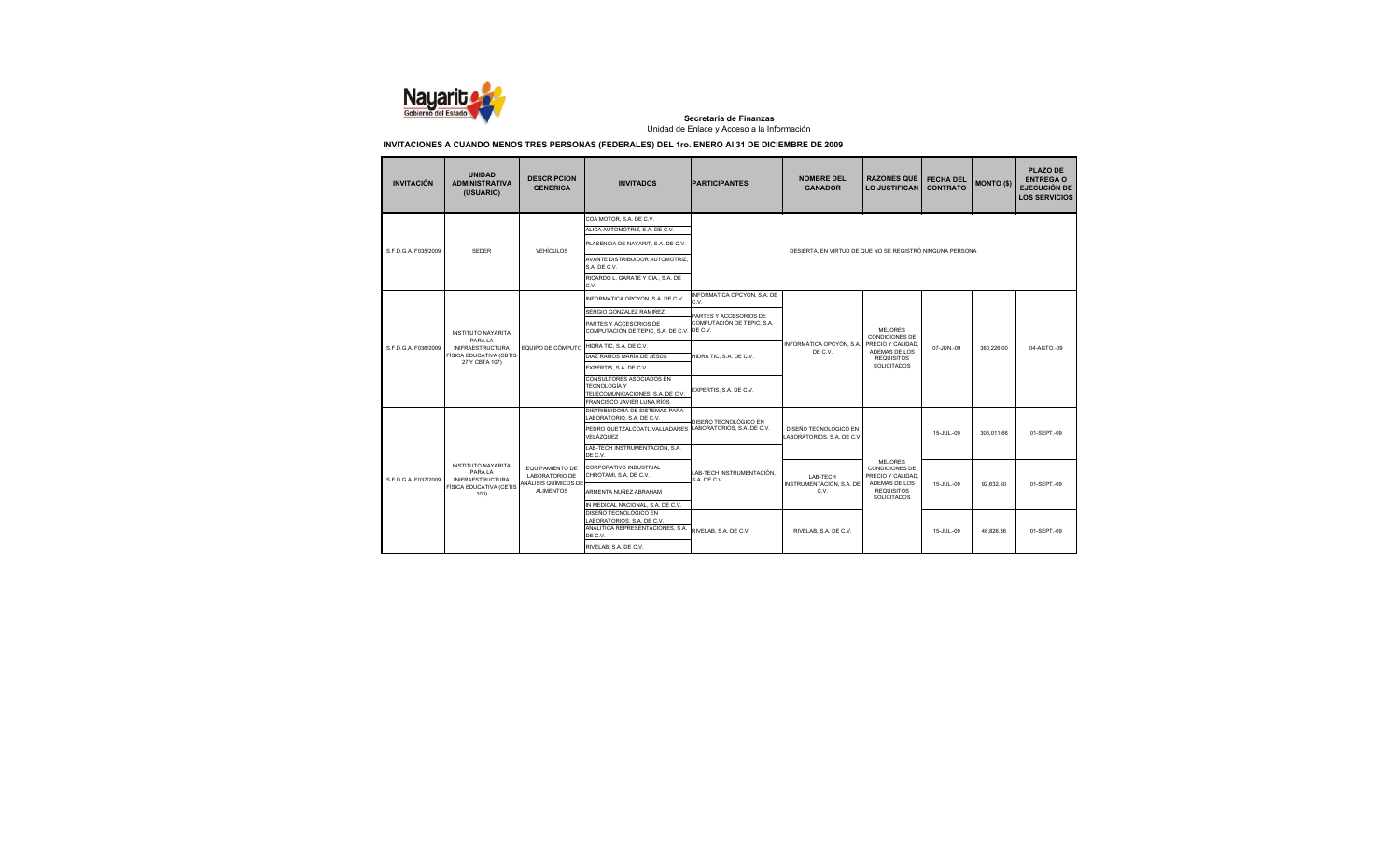

| <b>INVITACIÓN</b>    | <b>UNIDAD</b><br><b>ADMINISTRATIVA</b><br>(USUARIO)                                                                 | <b>DESCRIPCION</b><br><b>GENERICA</b>                | <b>INVITADOS</b>                                                                                                                                                                                                                                                                                                                                   | <b>PARTICIPANTES</b>                                                                                                                             | <b>NOMBRE DEL</b><br><b>GANADOR</b>                                   | <b>RAZONES QUE</b><br><b>LO JUSTIFICAN</b>                                                                              | <b>FECHA DEL</b><br><b>CONTRATO</b> | <b>MONTO (\$)</b>      | <b>PLAZO DE</b><br><b>ENTREGA O</b><br><b>EJECUCIÓN DE</b><br><b>LOS SERVICIOS</b> |
|----------------------|---------------------------------------------------------------------------------------------------------------------|------------------------------------------------------|----------------------------------------------------------------------------------------------------------------------------------------------------------------------------------------------------------------------------------------------------------------------------------------------------------------------------------------------------|--------------------------------------------------------------------------------------------------------------------------------------------------|-----------------------------------------------------------------------|-------------------------------------------------------------------------------------------------------------------------|-------------------------------------|------------------------|------------------------------------------------------------------------------------|
| S.F.D.G.A. F035/2009 | <b>SEDER</b>                                                                                                        | <b>VEHÍCULOS</b>                                     | COA MOTOR, S.A. DE C.V.<br>ALICA AUTOMOTRIZ, S.A. DE C.V.<br>PLASENCIA DE NAYARIT, S.A. DE C.V.<br>AVANTE DISTRIBUIDOR AUTOMOTRIZ.<br>S.A. DE C.V.<br>RICARDO L. GARATE Y CIA., S.A. DE                                                                                                                                                            |                                                                                                                                                  | DESIERTA. EN VIRTUD DE QUE NO SE REGISTRÓ NINGUNA PERSONA             |                                                                                                                         |                                     |                        |                                                                                    |
| S.F.D.G.A. F036/2009 | <b>INSTITUTO NAYARITA</b><br>PARA LA<br><b>INIFRAESTRUCTURA</b><br><b>FÍSICA EDUCATIVA (CBTIS</b><br>27 Y CBTA 107) | EQUIPO DE CÓMPUTO                                    | C.V.<br>INFORMATICA OPCYON, S.A. DE C.V.<br>SERGIO GONZALEZ RAMIREZ<br>PARTES Y ACCESORIOS DE<br>COMPUTACIÓN DE TEPIC, S.A. DE C.V. DE C.V.<br>HIDRA TIC. S.A. DE C.V.<br>DIAZ RAMOS MARÍA DE JESÚS<br>EXPERTIS, S.A. DE C.V.<br>CONSULTORES ASOCIADOS EN<br><b>TECNOLOGÍA Y</b><br>TELECOMUNICACIONES, S.A. DE C.V.<br>FRANCISCO JAVIER LUNA RÍOS | INFORMATICA OPCYÓN, S.A. DE<br>C.V.<br>PARTES Y ACCESORIOS DE<br>COMPUTACIÓN DE TEPIC. S.A.<br>HIDRA TIC. S.A. DE C.V.<br>EXPERTIS, S.A. DE C.V. | INFORMÁTICA OPCYÓN, S.A.<br>DE C.V.                                   | <b>MEJORES</b><br><b>CONDICIONES DE</b><br>PRECIO Y CALIDAD<br>ADEMAS DE LOS<br><b>REQUISITOS</b><br><b>SOLICITADOS</b> | 07-JUN.-09                          | 360.226.00             | 04-AGTO.-09                                                                        |
|                      | <b>INSTITUTO NAYARITA</b><br>PARA LA                                                                                | EQUIPAMIENTO DE                                      | DISTRIBUIDORA DE SISTEMAS PARA<br>LABORATORIO, S.A. DE C.V.<br>PEDRO QUETZALCOATL VALLADARES<br>VELÁZQUEZ<br>LAB-TECH INSTRUMENTACIÓN, S.A.<br>DE C.V.<br>CORPORATIVO INDUSTRIAL<br>CHROTAMI, S.A. DE C.V.                                                                                                                                         | DISEÑO TECNOLÓGICO EN<br>LABORATORIOS, S.A. DE C.V.<br>LAB-TECH INSTRUMENTACIÓN.                                                                 | DISEÑO TECNOLÓGICO EN<br>LABORATORIOS, S.A. DE C.V                    | <b>MEJORES</b><br>CONDICIONES DE                                                                                        | 15-JUL-09                           | 306.011.66             | 01-SEPT.-09                                                                        |
| S.F.D.G.A. F037/2009 | <b>INIFRAESTRUCTURA</b><br>FÍSICA EDUCATIVA (CETIS<br>100)                                                          | LABORATORIO DE<br>ANÁLISIS QUÍMICOS DE<br>AI IMENTOS | ARMENTA NUÑEZ ABRAHAM<br>IN MEDICAL NACIONAL, S.A. DE C.V.<br>DISEÑO TECNOLÓGICO EN<br>ABORATORIOS, S.A. DE C.V.<br>ANALITICA REPRESENTACIONES. S.A.<br>DE C.V.<br>RIVELAB, S.A. DE C.V.                                                                                                                                                           | S.A. DE C.V.<br>RIVELAB, S.A. DE C.V.                                                                                                            | LAB-TECH<br>INSTRUMENTACIÓN, S.A. DE<br>C.V.<br>RIVELAB, S.A. DE C.V. | PRECIO Y CALIDAD<br>ADEMAS DE LOS<br><b>REQUISITOS</b><br>SOLICITADOS                                                   | 15-JUL-09<br>15-JUL-09              | 92.632.50<br>48.826.36 | 01-SEPT.-09<br>01-SEPT.-09                                                         |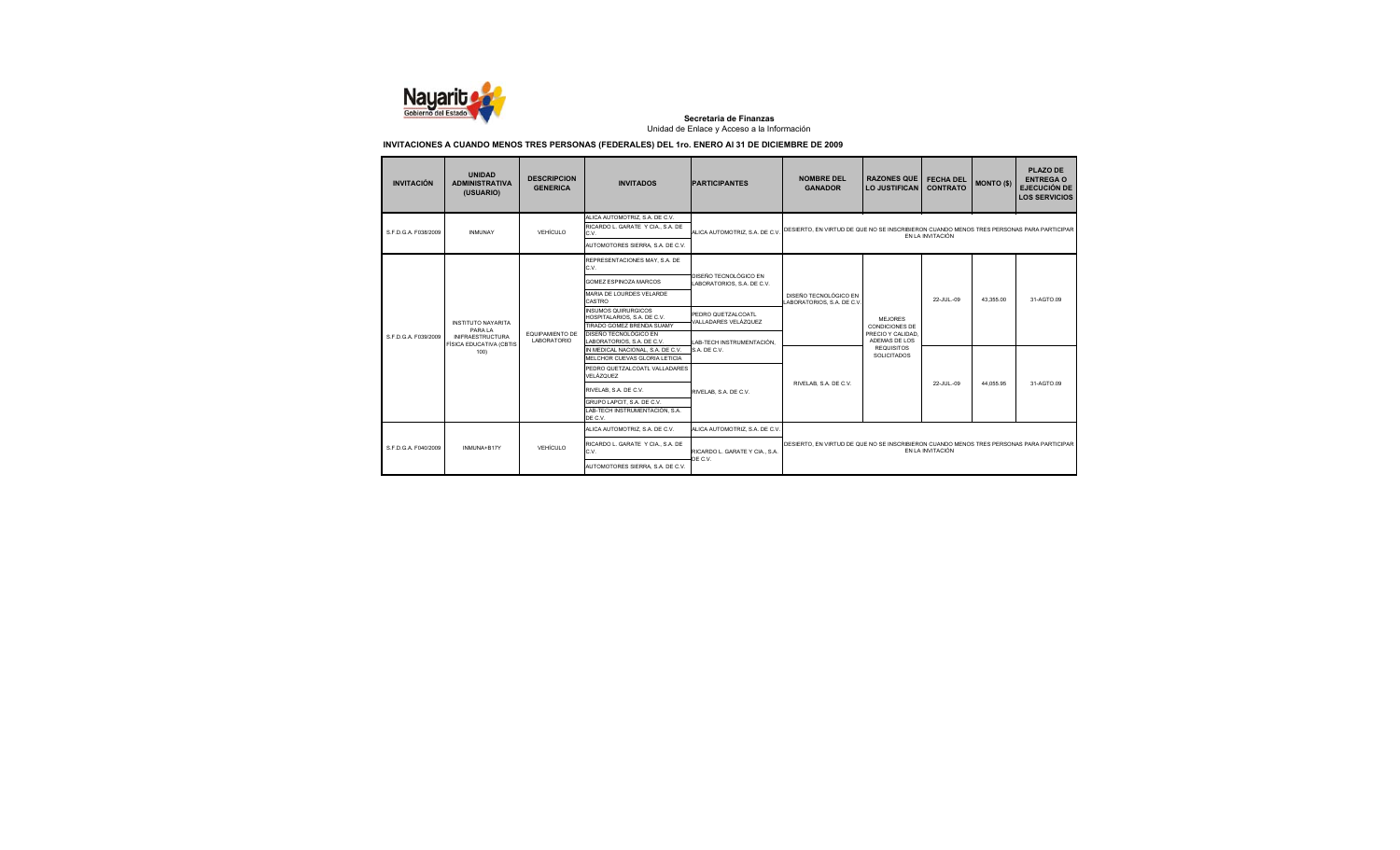

| <b>INVITACIÓN</b>    | <b>UNIDAD</b><br><b>ADMINISTRATIVA</b><br>(USUARIO)                                                | <b>DESCRIPCION</b><br><b>GENERICA</b> | <b>INVITADOS</b>                                                                                                                                                                                          | <b>PARTICIPANTES</b>                                                        | <b>NOMBRE DEL</b><br><b>GANADOR</b>                                                      | <b>RAZONES QUE</b><br><b>LO JUSTIFICAN</b>                                                                       | <b>FECHA DEL</b><br><b>CONTRATO</b> | <b>MONTO (\$)</b> | <b>PLAZO DE</b><br><b>ENTREGA O</b><br><b>EJECUCIÓN DE</b><br><b>LOS SERVICIOS</b> |
|----------------------|----------------------------------------------------------------------------------------------------|---------------------------------------|-----------------------------------------------------------------------------------------------------------------------------------------------------------------------------------------------------------|-----------------------------------------------------------------------------|------------------------------------------------------------------------------------------|------------------------------------------------------------------------------------------------------------------|-------------------------------------|-------------------|------------------------------------------------------------------------------------|
| S.F.D.G.A. F038/2009 | <b>INMUNAY</b>                                                                                     | VEHÍCULO                              | ALICA AUTOMOTRIZ, S.A. DE C.V.<br>RICARDO L. GARATE Y CIA., S.A. DE<br>C.V.<br>AUTOMOTORES SIERRA, S.A. DE C.V.                                                                                           | ALICA AUTOMOTRIZ, S.A. DE C.V.                                              | DESIERTO. EN VIRTUD DE QUE NO SE INSCRIBIERON CUANDO MENOS TRES PERSONAS PARA PARTICIPAR |                                                                                                                  | EN LA INVITACIÓN                    |                   |                                                                                    |
|                      |                                                                                                    |                                       | REPRESENTACIONES MAY, S.A. DE<br>C.V.<br>GOMEZ ESPINOZA MARCOS<br>MARIA DE LOURDES VELARDE<br>CASTRO                                                                                                      | DISEÑO TECNOLÓGICO EN<br>LABORATORIOS, S.A. DE C.V.                         | DISEÑO TECNOLÓGICO EN<br>LABORATORIOS, S.A. DE C.V.                                      |                                                                                                                  | 22-JUL-09                           | 43.355.00         | 31-AGTO 09                                                                         |
| S.F.D.G.A. F039/2009 | <b>INSTITUTO NAYARITA</b><br>PARA LA<br><b>INIFRAESTRUCTURA</b><br>FÍSICA EDUCATIVA (CBTIS<br>100) | FOUPAMIENTO DE<br><b>LABORATORIO</b>  | <b>INSUMOS QUIRURGICOS</b><br>HOSPITALARIOS, S.A. DE C.V.<br>TIRADO GOMEZ BRENDA SUAMY<br>DISEÑO TECNOLÓGICO EN<br>LABORATORIOS, S.A. DE C.V.                                                             | PEDRO QUETZALCOATL<br>VALLADARES VELÁZQUEZ<br>LAB-TECH INSTRUMENTACIÓN.     |                                                                                          | MEJORES<br><b>CONDICIONES DE</b><br>PRECIO Y CALIDAD<br>ADEMAS DE LOS<br><b>REQUISITOS</b><br><b>SOLICITADOS</b> |                                     |                   |                                                                                    |
|                      |                                                                                                    |                                       | IN MEDICAL NACIONAL, S.A. DE C.V.<br>MELCHOR CUEVAS GLORIA LETICIA<br>PEDRO QUETZALCOATL VALLADARES<br>VELÁZQUEZ<br>RIVELAB, S.A. DE C.V.<br>GRUPO LAPCIT, S.A. DE C.V.<br>LAB-TECH INSTRUMENTACIÓN, S.A. | S.A. DE C.V.<br>RIVELAB, S.A. DE C.V.                                       | RIVELAB. S.A. DE C.V.                                                                    |                                                                                                                  | 22-JUL-09                           | 44.055.95         | 31-AGTO 09                                                                         |
| S.F.D.G.A. F040/2009 | INMUNA+B17Y                                                                                        | VEHÍCULO                              | DE C.V.<br>ALICA AUTOMOTRIZ. S.A. DE C.V.<br>RICARDO L. GARATE Y CIA., S.A. DE<br>C.V.<br>AUTOMOTORES SIERRA, S.A. DE C.V.                                                                                | ALICA AUTOMOTRIZ. S.A. DE C.V.<br>RICARDO L. GARATE Y CIA., S.A.<br>DE C.V. | DESIERTO, EN VIRTUD DE QUE NO SE INSCRIBIERON CUANDO MENOS TRES PERSONAS PARA PARTICIPAR |                                                                                                                  | EN LA INVITACIÓN                    |                   |                                                                                    |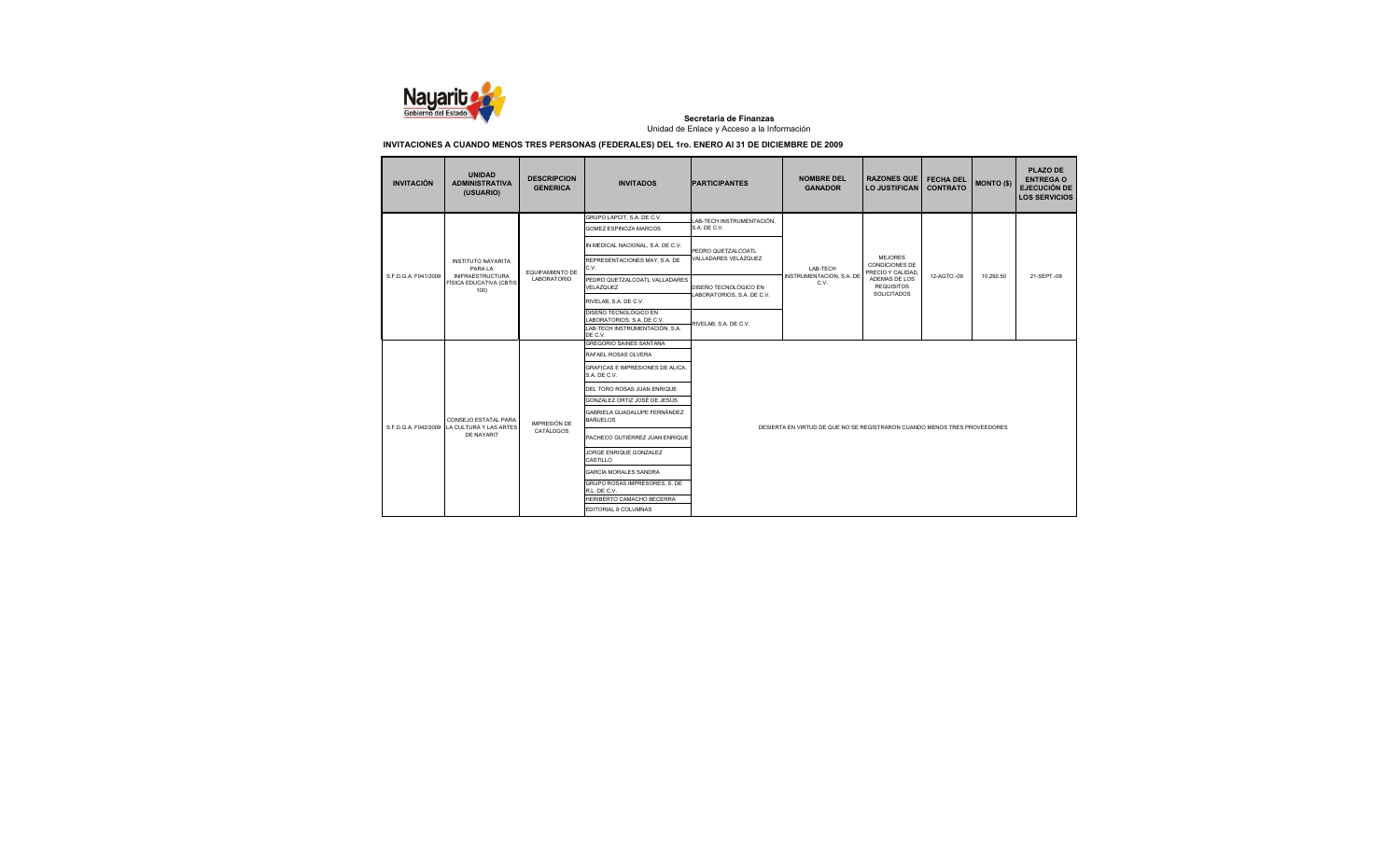

| <b>INVITACIÓN</b>    | <b>UNIDAD</b><br><b>ADMINISTRATIVA</b><br>(USUARIO)        | <b>DESCRIPCION</b><br><b>GENERICA</b> | <b>INVITADOS</b>                                                                      | <b>PARTICIPANTES</b>       | <b>NOMBRE DEL</b><br><b>GANADOR</b>                                       | <b>RAZONES QUE</b><br><b>LO JUSTIFICAN</b>                   | <b>FECHA DEL</b><br><b>CONTRATO</b> | <b>MONTO (\$)</b> | PLAZO DE<br><b>ENTREGA O</b><br><b>EJECUCIÓN DE</b><br><b>LOS SERVICIOS</b> |  |
|----------------------|------------------------------------------------------------|---------------------------------------|---------------------------------------------------------------------------------------|----------------------------|---------------------------------------------------------------------------|--------------------------------------------------------------|-------------------------------------|-------------------|-----------------------------------------------------------------------------|--|
|                      |                                                            |                                       | GRUPO LAPCIT, S.A. DE C.V.                                                            | LAB-TECH INSTRUMENTACIÓN,  |                                                                           |                                                              |                                     |                   |                                                                             |  |
|                      |                                                            |                                       | GOMEZ ESPINOZA MARCOS                                                                 | S.A. DE C.V.               |                                                                           |                                                              |                                     |                   |                                                                             |  |
|                      |                                                            |                                       | IN MEDICAL NACIONAL, S.A. DE C.V.                                                     | PEDRO QUETZALCOATL         |                                                                           |                                                              |                                     |                   |                                                                             |  |
|                      | <b>INSTITUTO NAYARITA</b><br>PARAIA                        | EQUIPAMIENTO DE                       | REPRESENTACIONES MAY, S.A. DE<br>C.V.                                                 | VALLADARES VELÁZQUEZ       | I AB-TFCH                                                                 | <b>MEJORES</b><br><b>CONDICIONES DE</b><br>PRECIO Y CALIDAD, |                                     |                   |                                                                             |  |
| S.F.D.G.A. F041/2009 | <b>INIFRAESTRUCTURA</b><br>FÍSICA EDUCATIVA (CBTIS<br>100) | LABORATORIO                           | PEDRO QUETZALCOATL VALLADARES<br>VELÁZQUEZ                                            | DISEÑO TECNOLÓGICO EN      | INSTRUMENTACIÓN, S.A. DE<br>C.V.                                          | ADEMAS DE LOS<br><b>REQUISITOS</b>                           | 12-AGTO.-09                         | 10.292.50         | 21-SEPT.-09                                                                 |  |
|                      |                                                            |                                       | RIVELAB, S.A. DE C.V.                                                                 | LABORATORIOS, S.A. DE C.V. |                                                                           | <b>SOLICITADOS</b>                                           |                                     |                   |                                                                             |  |
|                      |                                                            |                                       | DISEÑO TECNOLÓGICO EN<br>LABORATORIOS, S.A. DE C.V.<br>LAB-TECH INSTRUMENTACIÓN, S.A. | RIVELAB, S.A. DE C.V.      |                                                                           |                                                              |                                     |                   |                                                                             |  |
|                      |                                                            |                                       | DE C.V.                                                                               |                            |                                                                           |                                                              |                                     |                   |                                                                             |  |
|                      |                                                            |                                       | <b>GREGORIO SAINES SANTANA</b>                                                        |                            |                                                                           |                                                              |                                     |                   |                                                                             |  |
|                      |                                                            |                                       | RAFAEL ROSAS OLVERA                                                                   |                            |                                                                           |                                                              |                                     |                   |                                                                             |  |
|                      |                                                            |                                       | GRAFICAS E IMPRESIONES DE ALICA.<br>S.A. DE C.V.                                      |                            |                                                                           |                                                              |                                     |                   |                                                                             |  |
|                      |                                                            |                                       | DEL TORO ROSAS JUAN ENRIQUE                                                           |                            |                                                                           |                                                              |                                     |                   |                                                                             |  |
|                      |                                                            |                                       | GONZALEZ ORTIZ JOSÉ DE JESÚS                                                          |                            |                                                                           |                                                              |                                     |                   |                                                                             |  |
|                      | CONSEJO ESTATAL PARA                                       | <b>IMPRESIÓN DE</b>                   | GABRIELA GUADALUPE FERNÁNDEZ<br><b>BAÑUELOS</b>                                       |                            |                                                                           |                                                              |                                     |                   |                                                                             |  |
| S.F.D.G.A. F042/2009 | LA CULTURA Y LAS ARTES<br>DE NAYARIT                       | CATÁLOGOS                             | PACHECO GUTIÈRREZ JUAN ENRIQUE                                                        |                            | DESIERTA EN VIRTUD DE QUE NO SE REGISTRARON CUANDO MENOS TRES PROVEEDORES |                                                              |                                     |                   |                                                                             |  |
|                      |                                                            |                                       | JORGE ENRIQUE GONZALEZ<br>CASTILLO                                                    |                            |                                                                           |                                                              |                                     |                   |                                                                             |  |
|                      |                                                            |                                       | GARCÍA MORALES SANDRA                                                                 |                            |                                                                           |                                                              |                                     |                   |                                                                             |  |
|                      |                                                            |                                       | GRUPO ROSAS IMPRESORES, S. DE<br>R.L. DE C.V.                                         |                            |                                                                           |                                                              |                                     |                   |                                                                             |  |
|                      |                                                            |                                       | HERIBERTO CAMACHO BECERRA                                                             |                            |                                                                           |                                                              |                                     |                   |                                                                             |  |
|                      |                                                            |                                       | EDITORIAL 8 COLUMNAS                                                                  |                            |                                                                           |                                                              |                                     |                   |                                                                             |  |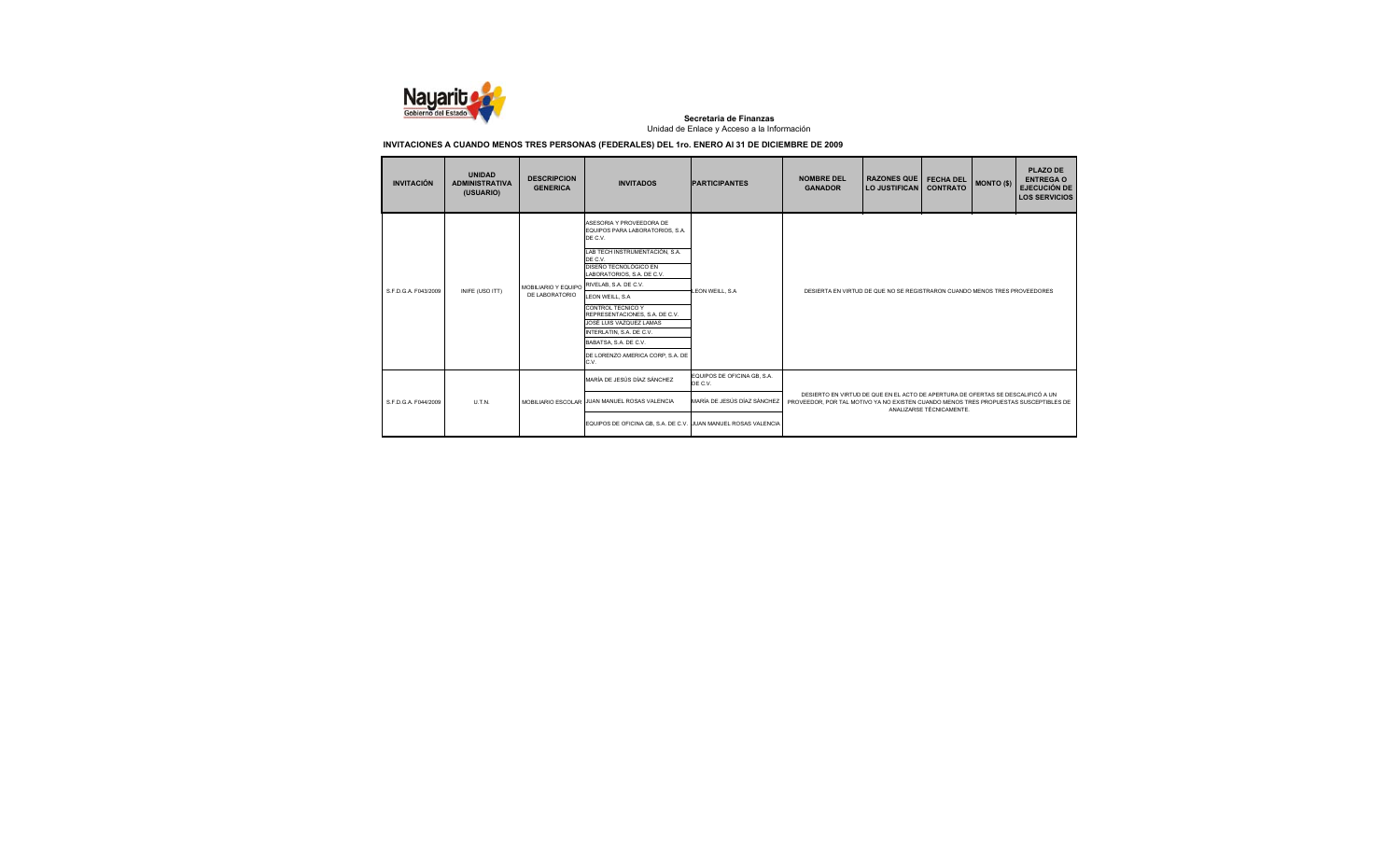

| <b>INVITACIÓN</b>    | <b>UNIDAD</b><br><b>ADMINISTRATIVA</b><br>(USUARIO) | <b>DESCRIPCION</b><br><b>GENERICA</b> | <b>INVITADOS</b>                                                                                                                                                                                                                                                                                                                                                                                           | <b>PARTICIPANTES</b>                   | <b>NOMBRE DEL</b><br><b>GANADOR</b>                                                                                                                                                                 | <b>RAZONES QUE</b><br>LO JUSTIFICAN                                       | <b>FECHA DEL</b><br><b>CONTRATO</b> | MONTO (\$) | <b>PLAZO DE</b><br><b>ENTREGA O</b><br><b>EJECUCIÓN DE</b><br><b>LOS SERVICIOS</b> |
|----------------------|-----------------------------------------------------|---------------------------------------|------------------------------------------------------------------------------------------------------------------------------------------------------------------------------------------------------------------------------------------------------------------------------------------------------------------------------------------------------------------------------------------------------------|----------------------------------------|-----------------------------------------------------------------------------------------------------------------------------------------------------------------------------------------------------|---------------------------------------------------------------------------|-------------------------------------|------------|------------------------------------------------------------------------------------|
| S E D G A F043/2009  | INIFE (USO ITT)                                     | MOBILIARIO Y EQUIPO<br>DE LABORATORIO | ASESORIA Y PROVEEDORA DE<br>EQUIPOS PARA LABORATORIOS. S.A.<br>DE C.V.<br>LAB TECH INSTRUMENTACIÓN, S.A.<br>DE C.V.<br>DISEÑO TECNOLÓGICO EN<br>LABORATORIOS, S.A. DE C.V.<br>RIVELAB, S.A. DE C.V.<br>LEON WEILL, S.A.<br>CONTROL TECNICO Y<br>REPRESENTACIONES, S.A. DE C.V.<br>JOSÉ LUIS VAZQUEZ LAMAS<br>INTERLATIN, S.A. DE C.V.<br>BABATSA, S.A. DE C.V.<br>DE LORENZO AMERICA CORP. S.A. DE<br>C.V. | LEON WEILL, S.A.                       |                                                                                                                                                                                                     | DESIERTA EN VIRTUD DE QUE NO SE REGISTRARON CUANDO MENOS TRES PROVEEDORES |                                     |            |                                                                                    |
|                      |                                                     |                                       | MARÍA DE JESÚS DÍAZ SÁNCHEZ                                                                                                                                                                                                                                                                                                                                                                                | EQUIPOS DE OFICINA GB, S.A.<br>DE C.V. |                                                                                                                                                                                                     |                                                                           |                                     |            |                                                                                    |
| S.F.D.G.A. F044/2009 | U.T.N.                                              |                                       | MOBILIARIO ESCOLAR JUAN MANUEL ROSAS VALENCIA                                                                                                                                                                                                                                                                                                                                                              | MARÍA DE JESÚS DÍAZ SÁNCHEZ            | DESIERTO EN VIRTUD DE QUE EN EL ACTO DE APERTURA DE OFERTAS SE DESCALIFICÓ A UN<br>PROVEEDOR, POR TAL MOTIVO YA NO EXISTEN CUANDO MENOS TRES PROPUESTAS SUSCEPTIBLES DE<br>ANALIZARSE TÉCNICAMENTE. |                                                                           |                                     |            |                                                                                    |
|                      |                                                     |                                       | EQUIPOS DE OFICINA GB, S.A. DE C.V. JUAN MANUEL ROSAS VALENCIA                                                                                                                                                                                                                                                                                                                                             |                                        |                                                                                                                                                                                                     |                                                                           |                                     |            |                                                                                    |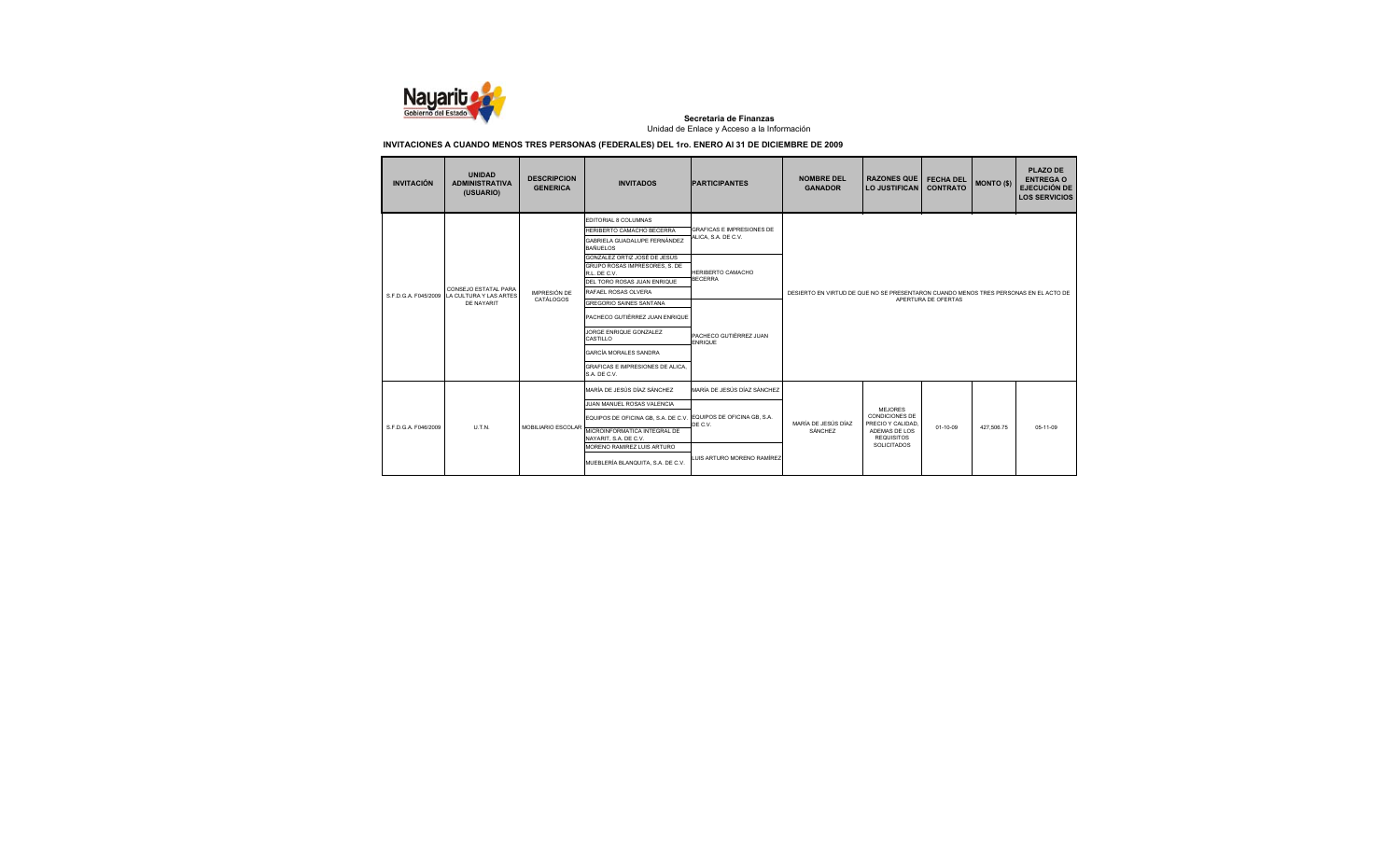

| <b>INVITACIÓN</b>                           | <b>UNIDAD</b><br><b>ADMINISTRATIVA</b><br>(USUARIO) | <b>DESCRIPCION</b><br><b>GENERICA</b> | <b>INVITADOS</b>                                                                                                                    | <b>PARTICIPANTES</b>                                    | <b>NOMBRE DEL</b><br><b>GANADOR</b> | <b>RAZONES QUE</b><br><b>LO JUSTIFICAN</b> | <b>FECHA DEL</b><br><b>CONTRATO</b>                                                  | <b>MONTO (\$)</b> | <b>PLAZO DE</b><br><b>ENTREGA O</b><br><b>EJECUCIÓN DE</b><br><b>LOS SERVICIOS</b> |  |
|---------------------------------------------|-----------------------------------------------------|---------------------------------------|-------------------------------------------------------------------------------------------------------------------------------------|---------------------------------------------------------|-------------------------------------|--------------------------------------------|--------------------------------------------------------------------------------------|-------------------|------------------------------------------------------------------------------------|--|
|                                             |                                                     |                                       | EDITORIAL 8 COLUMNAS<br>HERIBERTO CAMACHO BECERRA<br>GABRIELA GUADALUPE FERNÁNDEZ<br><b>BAÑUELOS</b>                                | <b>GRAFICAS E IMPRESIONES DE</b><br>ALICA, S.A. DE C.V. |                                     |                                            |                                                                                      |                   |                                                                                    |  |
|                                             | CONSEJO ESTATAL PARA                                | <b>IMPRESIÓN DE</b>                   | GONZALEZ ORTIZ JOSÉ DE JESÚS<br>GRUPO ROSAS IMPRESORES, S. DE<br>R.L. DE C.V.<br>DEL TORO ROSAS JUAN ENRIQUE<br>RAFAEL ROSAS OLVERA | <b>HERIBERTO CAMACHO</b><br><b>BECERRA</b>              |                                     |                                            | DESIERTO EN VIRTUD DE QUE NO SE PRESENTARON CUANDO MENOS TRES PERSONAS EN EL ACTO DE |                   |                                                                                    |  |
| S.F.D.G.A. F045/2009 LA CULTURA Y LAS ARTES | <b>DE NAYARIT</b>                                   | CATÁLOGOS                             | GREGORIO SAINES SANTANA                                                                                                             | PACHECO GUTIÈRREZ JUAN<br><b>ENRIQUE</b>                | APERTURA DE OFERTAS                 |                                            |                                                                                      |                   |                                                                                    |  |
|                                             |                                                     |                                       | PACHECO GUTIÈRREZ JUAN ENRIQUE<br>JORGE ENRIQUE GONZALEZ<br>CASTILLO                                                                |                                                         |                                     |                                            |                                                                                      |                   |                                                                                    |  |
|                                             |                                                     |                                       | <b>GARCÍA MORALES SANDRA</b>                                                                                                        |                                                         |                                     |                                            |                                                                                      |                   |                                                                                    |  |
|                                             |                                                     |                                       | GRAFICAS E IMPRESIONES DE ALICA<br>S.A. DE C.V.                                                                                     |                                                         |                                     |                                            |                                                                                      |                   |                                                                                    |  |
|                                             |                                                     |                                       | MARÍA DE JESÚS DÍAZ SÁNCHEZ                                                                                                         | MARÍA DE JESÚS DÍAZ SÁNCHEZ                             |                                     |                                            |                                                                                      |                   |                                                                                    |  |
|                                             |                                                     |                                       | JUAN MANUEL ROSAS VALENCIA                                                                                                          |                                                         |                                     | <b>MEJORES</b>                             |                                                                                      |                   |                                                                                    |  |
|                                             | U.T.N.                                              |                                       | EQUIPOS DE OFICINA GB, S.A. DE C.V.                                                                                                 | EQUIPOS DE OFICINA GB, S.A.                             |                                     | <b>CONDICIONES DE</b><br>PRECIO Y CALIDAD  |                                                                                      |                   |                                                                                    |  |
| S.F.D.G.A. F046/2009                        |                                                     | MOBILIARIO ESCOLAR                    | MICROINFORMATICA INTEGRAL DE<br>NAYARIT, S.A. DE C.V.                                                                               | DE C.V.                                                 | MARÍA DE JESÚS DÍAZ<br>SÁNCHEZ      | ADEMAS DE LOS<br><b>REQUISITOS</b>         | $01-10-09$                                                                           | 427.506.75        | 05-11-09                                                                           |  |
|                                             |                                                     |                                       | MORENO RAMIREZ LUIS ARTURO<br>MUEBLERÍA BLANQUITA, S.A. DE C.V.                                                                     | LUIS ARTURO MORENO RAMÍREZ                              |                                     | SOLICITADOS                                |                                                                                      |                   |                                                                                    |  |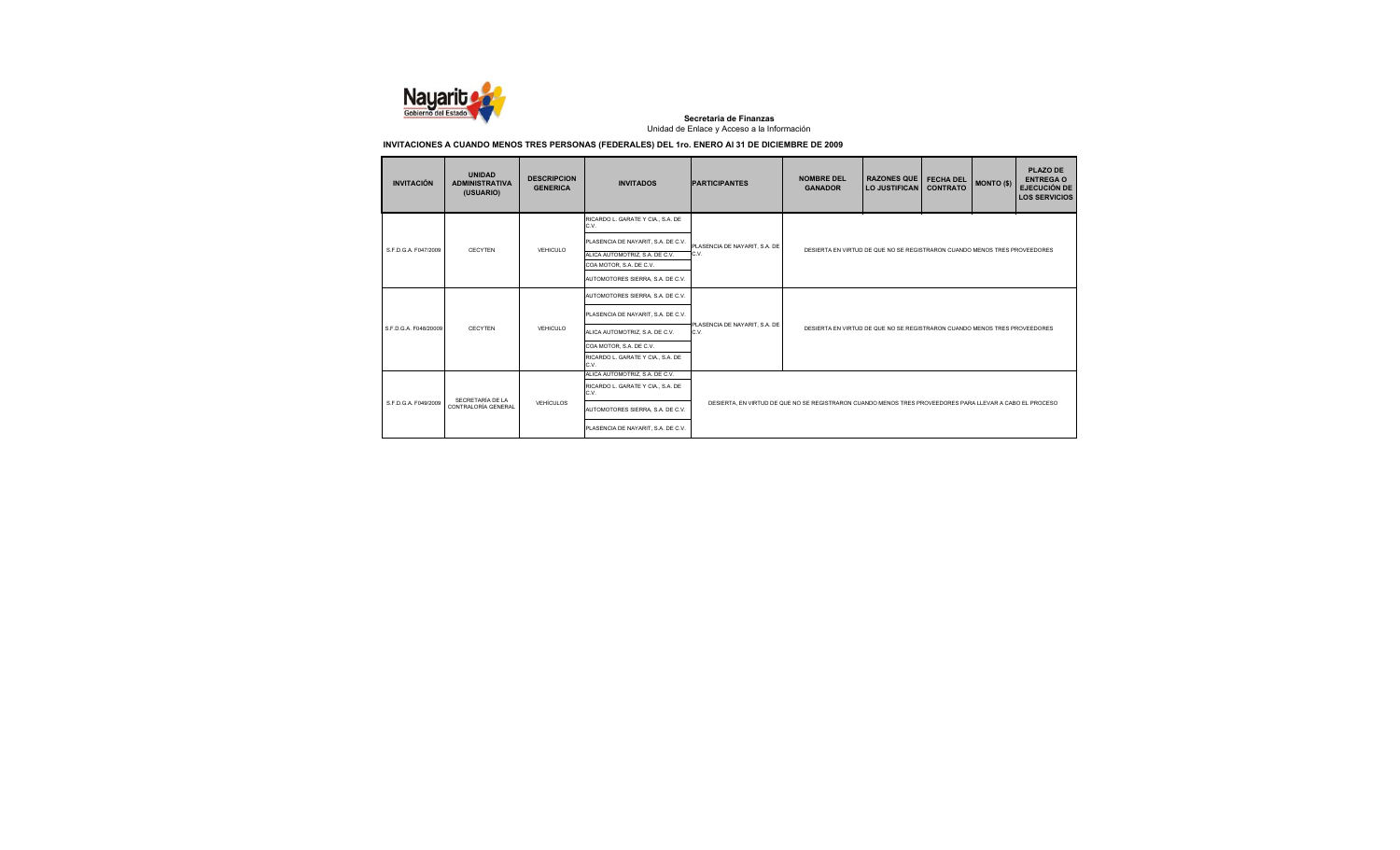

| <b>INVITACIÓN</b>     | <b>UNIDAD</b><br><b>ADMINISTRATIVA</b><br>(USUARIO) | <b>DESCRIPCION</b><br><b>GENERICA</b> | <b>INVITADOS</b>                                                                                                                                                                 | <b>PARTICIPANTES</b>                  | <b>NOMBRE DEL</b><br><b>GANADOR</b>                                                                      | <b>RAZONES QUE</b><br>LO JUSTIFICAN                                       | <b>FECHA DEL</b><br><b>CONTRATO</b> | <b>MONTO (\$)</b> | <b>PLAZO DE</b><br><b>ENTREGA O</b><br><b>EJECUCIÓN DE</b><br><b>LOS SERVICIOS</b> |  |
|-----------------------|-----------------------------------------------------|---------------------------------------|----------------------------------------------------------------------------------------------------------------------------------------------------------------------------------|---------------------------------------|----------------------------------------------------------------------------------------------------------|---------------------------------------------------------------------------|-------------------------------------|-------------------|------------------------------------------------------------------------------------|--|
| S.F.D.G.A. F047/2009  | CECYTEN                                             | VEHICULO                              | RICARDO L. GARATE Y CIA., S.A. DE<br>C.V.<br>PLASENCIA DE NAYARIT. S.A. DE C.V.<br>ALICA AUTOMOTRIZ, S.A. DE C.V.<br>COA MOTOR, S.A. DE C.V.<br>AUTOMOTORES SIERRA, S.A. DE C.V. | PLASENCIA DE NAYARIT, S.A. DE<br>C.V. |                                                                                                          | DESIERTA EN VIRTUD DE QUE NO SE REGISTRARON CUANDO MENOS TRES PROVEEDORES |                                     |                   |                                                                                    |  |
| S.F.D.G.A. F048/20009 | CECYTEN                                             | VEHICULO                              | AUTOMOTORES SIERRA, S.A. DE C.V.<br>PLASENCIA DE NAYARIT, S.A. DE C.V.<br>ALICA AUTOMOTRIZ. S.A. DE C.V.<br>COA MOTOR. S.A. DE C.V.<br>RICARDO L. GARATE Y CIA., S.A. DE<br>C.V. | PLASENCIA DE NAYARIT, S.A. DE<br>C.V. | DESIERTA EN VIRTUD DE QUE NO SE REGISTRARON CUANDO MENOS TRES PROVEEDORES                                |                                                                           |                                     |                   |                                                                                    |  |
| S F D G A F049/2009   | SECRETARÍA DE LA<br>CONTRALORÍA GENERAL             | VEHÍCULOS                             | ALICA AUTOMOTRIZ. S.A. DE C.V.<br>RICARDO L. GARATE Y CIA., S.A. DE<br>C.V.<br>AUTOMOTORES SIERRA, S.A. DE C.V.<br>PLASENCIA DE NAYARIT, S.A. DE C.V.                            |                                       | DESIERTA. EN VIRTUD DE QUE NO SE REGISTRARON CUANDO MENOS TRES PROVEEDORES PARA LLEVAR A CABO EL PROCESO |                                                                           |                                     |                   |                                                                                    |  |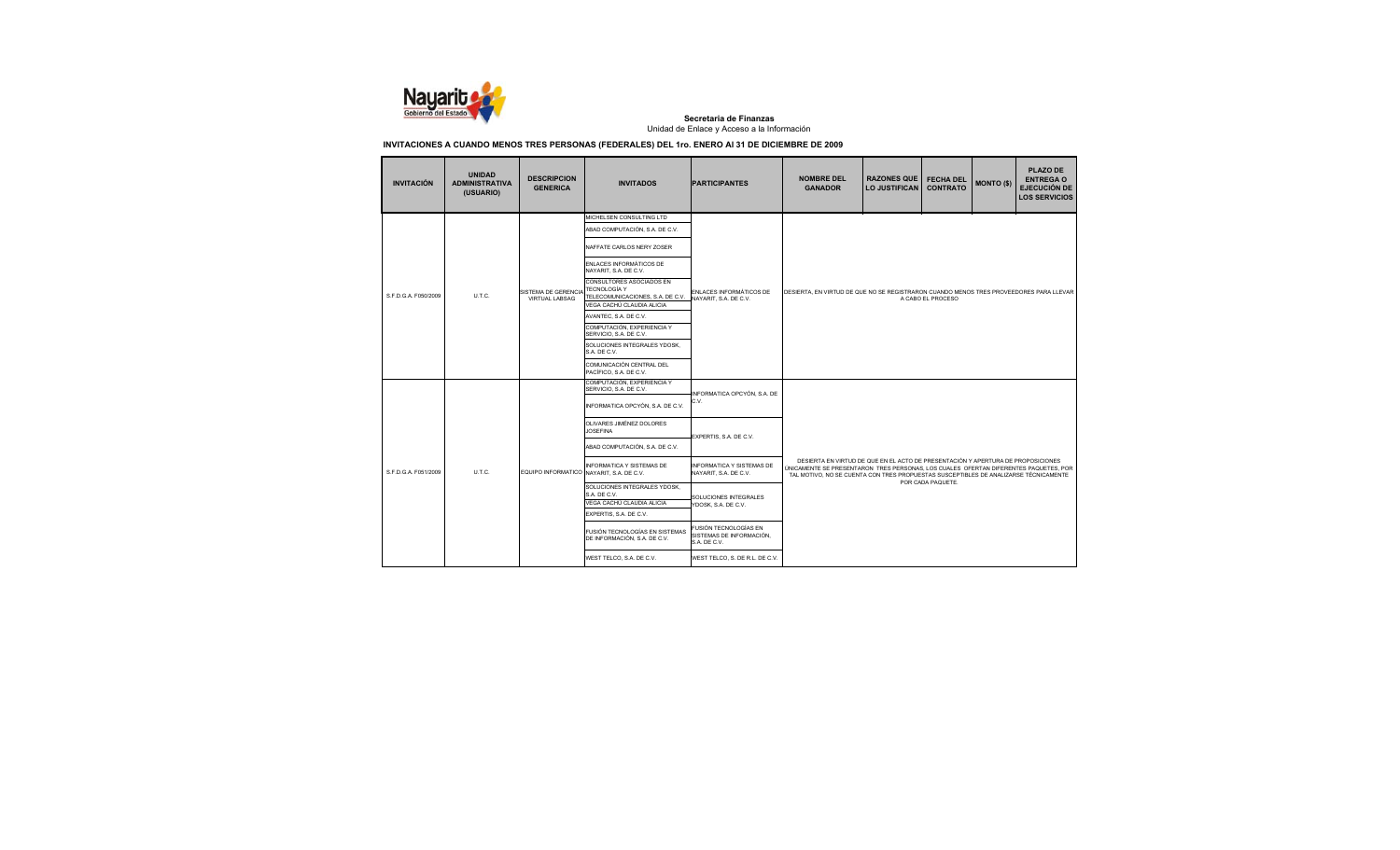

| <b>INVITACIÓN</b>    | <b>UNIDAD</b><br><b>ADMINISTRATIVA</b><br>(USUARIO) | <b>DESCRIPCION</b><br><b>GENERICA</b>    | <b>INVITADOS</b>                                                                                          | <b>PARTICIPANTES</b>                                              | <b>NOMBRE DEL</b><br><b>GANADOR</b>                                                                                                                                                                                                                              | <b>RAZONES QUE</b><br><b>LO JUSTIFICAN</b> | <b>FECHA DEL</b><br><b>CONTRATO</b> | <b>MONTO (\$)</b> | <b>PLAZO DE</b><br><b>ENTREGA O</b><br><b>EJECUCIÓN DE</b><br><b>LOS SERVICIOS</b> |  |  |
|----------------------|-----------------------------------------------------|------------------------------------------|-----------------------------------------------------------------------------------------------------------|-------------------------------------------------------------------|------------------------------------------------------------------------------------------------------------------------------------------------------------------------------------------------------------------------------------------------------------------|--------------------------------------------|-------------------------------------|-------------------|------------------------------------------------------------------------------------|--|--|
|                      |                                                     |                                          | MICHELSEN CONSULTING LTD<br>ABAD COMPUTACIÓN, S.A. DE C.V.                                                |                                                                   |                                                                                                                                                                                                                                                                  |                                            |                                     |                   |                                                                                    |  |  |
|                      |                                                     |                                          | NAFFATE CARLOS NERY ZOSER                                                                                 |                                                                   |                                                                                                                                                                                                                                                                  |                                            |                                     |                   |                                                                                    |  |  |
|                      |                                                     |                                          | ENLACES INFORMÁTICOS DE<br>NAYARIT, S.A. DE C.V.                                                          |                                                                   |                                                                                                                                                                                                                                                                  |                                            |                                     |                   |                                                                                    |  |  |
| S.F.D.G.A. F050/2009 | U.T.C.                                              | SISTEMA DE GERENCIA<br>VIRTUAL LABSAG    | CONSULTORES ASOCIADOS EN<br>TECNOLOGÍA Y<br>TELECOMUNICACIONES, S.A. DE C.V.<br>VEGA CACHÚ CLAUDIA ALICIA | ENLACES INFORMÁTICOS DE<br>NAYARIT, S.A. DE C.V.                  | DESIERTA, EN VIRTUD DE QUE NO SE REGISTRARON CUANDO MENOS TRES PROVEEDORES PARA LLEVAR<br>A CABO EL PROCESO                                                                                                                                                      |                                            |                                     |                   |                                                                                    |  |  |
|                      |                                                     |                                          | AVANTEC, S.A. DE C.V.                                                                                     |                                                                   |                                                                                                                                                                                                                                                                  |                                            |                                     |                   |                                                                                    |  |  |
|                      |                                                     |                                          | COMPUTACIÓN, EXPERIENCIA Y<br>SERVICIO, S.A. DE C.V.                                                      |                                                                   |                                                                                                                                                                                                                                                                  |                                            |                                     |                   |                                                                                    |  |  |
|                      |                                                     |                                          | SOLUCIONES INTEGRALES YDOSK,<br>S.A. DE C.V.                                                              |                                                                   |                                                                                                                                                                                                                                                                  |                                            |                                     |                   |                                                                                    |  |  |
|                      |                                                     |                                          | COMUNICACIÓN CENTRAL DEL<br>PACÍFICO, S.A. DE C.V.                                                        |                                                                   |                                                                                                                                                                                                                                                                  |                                            |                                     |                   |                                                                                    |  |  |
|                      |                                                     |                                          | COMPUTACIÓN, EXPERIENCIA Y<br>SERVICIO, S.A. DE C.V.                                                      |                                                                   |                                                                                                                                                                                                                                                                  |                                            |                                     |                   |                                                                                    |  |  |
|                      |                                                     |                                          | INFORMATICA OPCYÓN, S.A. DE C.V.                                                                          | INFORMATICA OPCYÓN, S.A. DE<br>C.V.                               |                                                                                                                                                                                                                                                                  |                                            |                                     |                   |                                                                                    |  |  |
|                      |                                                     |                                          | OLIVARES JIMÉNEZ DOLORES<br><b>JOSEFINA</b>                                                               | EXPERTIS, S.A. DE C.V.                                            |                                                                                                                                                                                                                                                                  |                                            |                                     |                   |                                                                                    |  |  |
|                      |                                                     |                                          | ABAD COMPUTACIÓN, S.A. DE C.V.                                                                            |                                                                   |                                                                                                                                                                                                                                                                  |                                            |                                     |                   |                                                                                    |  |  |
| S.F.D.G.A. F051/2009 | U.T.C.                                              | EQUIPO INFORMATICO NAYARIT, S.A. DE C.V. | <b>INFORMATICA Y SISTEMAS DE</b>                                                                          | <b>INFORMATICA Y SISTEMAS DE</b><br>NAYARIT. S.A. DE C.V.         | DESIERTA EN VIRTUD DE QUE EN EL ACTO DE PRESENTACIÓN Y APERTURA DE PROPOSICIONES<br>ÚNICAMENTE SE PRESENTARON TRES PERSONAS, LOS CUALES OFERTAN DIFERENTES PAQUETES, POR<br>TAL MOTIVO, NO SE CUENTA CON TRES PROPUESTAS SUSCEPTIBLES DE ANALIZARSE TÉCNICAMENTE |                                            |                                     |                   |                                                                                    |  |  |
|                      |                                                     |                                          | SOLUCIONES INTEGRALES YDOSK.<br>S.A. DE C.V.<br>VEGA CACHÚ CLAUDIA ALICIA                                 | SOLUCIONES INTEGRALES<br>YDOSK, S.A. DE C.V.                      |                                                                                                                                                                                                                                                                  |                                            | POR CADA PAQUETE.                   |                   |                                                                                    |  |  |
|                      |                                                     |                                          | EXPERTIS, S.A. DE C.V.                                                                                    |                                                                   |                                                                                                                                                                                                                                                                  |                                            |                                     |                   |                                                                                    |  |  |
|                      |                                                     |                                          | FUSIÓN TECNOLOGÍAS EN SISTEMAS<br>DE INFORMACIÓN, S.A. DE C.V.                                            | FUSIÓN TECNOLOGÍAS EN<br>SISTEMAS DE INFORMACIÓN.<br>S.A. DE C.V. |                                                                                                                                                                                                                                                                  |                                            |                                     |                   |                                                                                    |  |  |
|                      |                                                     |                                          | WEST TELCO, S.A. DE C.V.                                                                                  | WEST TELCO, S. DE R.L. DE C.V.                                    |                                                                                                                                                                                                                                                                  |                                            |                                     |                   |                                                                                    |  |  |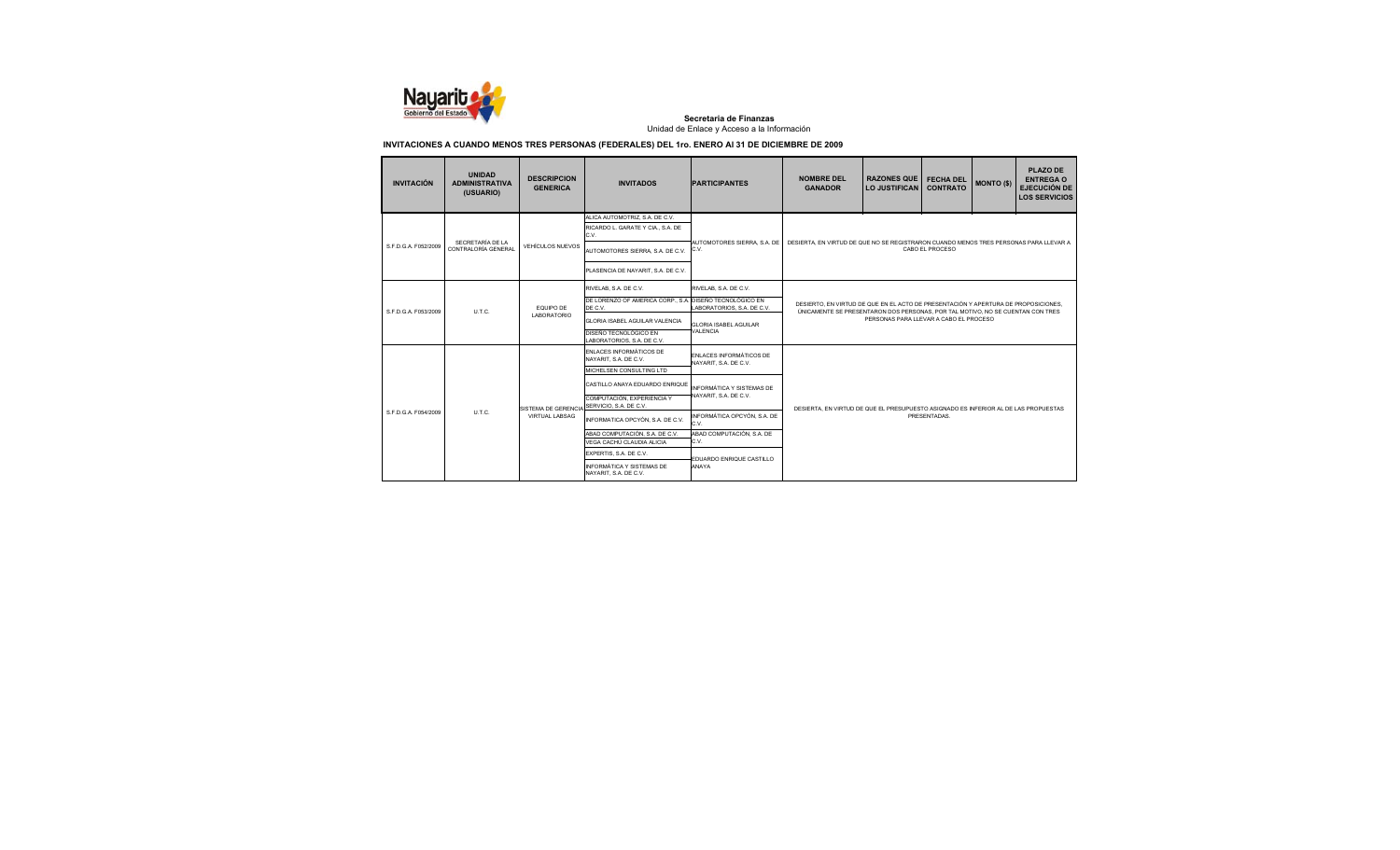

| <b>INVITACIÓN</b>    | <b>UNIDAD</b><br><b>ADMINISTRATIVA</b><br>(USUARIO) | <b>DESCRIPCION</b><br><b>GENERICA</b> | <b>INVITADOS</b>                                                            | <b>PARTICIPANTES</b>                             | <b>NOMBRE DEL</b><br><b>GANADOR</b>                                                   | <b>RAZONES QUE</b><br><b>LO JUSTIFICAN</b>                                                                                                                           | <b>FECHA DEL</b><br><b>CONTRATO</b> | <b>MONTO (\$)</b> | <b>PLAZO DE</b><br><b>ENTREGA O</b><br><b>EJECUCIÓN DE</b><br><b>LOS SERVICIOS</b> |  |  |
|----------------------|-----------------------------------------------------|---------------------------------------|-----------------------------------------------------------------------------|--------------------------------------------------|---------------------------------------------------------------------------------------|----------------------------------------------------------------------------------------------------------------------------------------------------------------------|-------------------------------------|-------------------|------------------------------------------------------------------------------------|--|--|
|                      |                                                     |                                       | ALICA AUTOMOTRIZ. S.A. DE C.V.<br>RICARDO L. GARATE Y CIA., S.A. DE<br>C.V. |                                                  |                                                                                       |                                                                                                                                                                      |                                     |                   |                                                                                    |  |  |
| S.F.D.G.A. F052/2009 | SECRETARÍA DE LA<br>CONTRALORÍA GENERAL             | <b>VEHÍCULOS NUEVOS</b>               | AUTOMOTORES SIERRA, S.A. DE C.V.                                            | AUTOMOTORES SIERRA, S.A. DE<br>C.V.              | DESIERTA. EN VIRTUD DE QUE NO SE REGISTRARON CUANDO MENOS TRES PERSONAS PARA LLEVAR A |                                                                                                                                                                      | CABO EL PROCESO                     |                   |                                                                                    |  |  |
|                      |                                                     |                                       | PLASENCIA DE NAYARIT, S.A. DE C.V.                                          |                                                  |                                                                                       |                                                                                                                                                                      |                                     |                   |                                                                                    |  |  |
|                      |                                                     |                                       | RIVELAB, S.A. DE C.V.                                                       | RIVELAB, S.A. DE C.V.                            |                                                                                       |                                                                                                                                                                      |                                     |                   |                                                                                    |  |  |
|                      |                                                     | FOUIPO DE                             | DE LORENZO OF AMERICA CORP., S.A. DISEÑO TECNOLÓGICO EN<br>DE C.V.          | LABORATORIOS, S.A. DE C.V.                       |                                                                                       | DESIERTO. EN VIRTUD DE QUE EN EL ACTO DE PRESENTACIÓN Y APERTURA DE PROPOSICIONES.<br>ÚNICAMENTE SE PRESENTARON DOS PERSONAS, POR TAL MOTIVO, NO SE CUENTAN CON TRES |                                     |                   |                                                                                    |  |  |
|                      | U.T.C.<br>S.F.D.G.A. F053/2009                      | LABORATORIO                           | GLORIA ISABEL AGUILAR VALENCIA                                              | <b>GLORIA ISABEL AGUILAR</b>                     |                                                                                       | PERSONAS PARA LLEVAR A CABO EL PROCESO                                                                                                                               |                                     |                   |                                                                                    |  |  |
|                      |                                                     |                                       | DISEÑO TECNOLÓGICO EN<br>LABORATORIOS, S.A. DE C.V.                         | <b>VALENCIA</b>                                  |                                                                                       |                                                                                                                                                                      |                                     |                   |                                                                                    |  |  |
|                      |                                                     |                                       | ENLACES INFORMÁTICOS DE<br>NAYARIT. S.A. DE C.V.                            | ENLACES INFORMÁTICOS DE<br>NAYARIT, S.A. DE C.V. |                                                                                       |                                                                                                                                                                      |                                     |                   |                                                                                    |  |  |
|                      |                                                     |                                       | MICHELSEN CONSULTING LTD                                                    |                                                  |                                                                                       |                                                                                                                                                                      |                                     |                   |                                                                                    |  |  |
|                      |                                                     |                                       | CASTILLO ANAYA EDUARDO ENRIQUE                                              | INFORMÁTICA Y SISTEMAS DE                        |                                                                                       |                                                                                                                                                                      |                                     |                   |                                                                                    |  |  |
|                      |                                                     | SISTEMA DE GERENCIA                   | COMPUTACIÓN, EXPERIENCIA Y<br>SERVICIO, S.A. DE C.V.                        | NAYARIT. S.A. DE C.V.                            | DESIERTA, EN VIRTUD DE QUE EL PRESUPUESTO ASIGNADO ES INFERIOR AL DE LAS PROPUESTAS   |                                                                                                                                                                      |                                     |                   |                                                                                    |  |  |
| S F D G A F054/2009  | UTC.                                                | <b>VIRTUAL LABSAG</b>                 | INFORMATICA OPCYÓN, S.A. DE C.V.                                            | INFORMÁTICA OPCYÓN, S.A. DE<br>C.V.              |                                                                                       |                                                                                                                                                                      | PRESENTADAS.                        |                   |                                                                                    |  |  |
|                      |                                                     |                                       | ABAD COMPUTACIÓN, S.A. DE C.V.<br>VEGA CACHÚ CLAUDIA ALICIA                 | ABAD COMPUTACIÓN, S.A. DE<br>C.V.                |                                                                                       |                                                                                                                                                                      |                                     |                   |                                                                                    |  |  |
|                      |                                                     |                                       | EXPERTIS, S.A. DE C.V.                                                      |                                                  |                                                                                       |                                                                                                                                                                      |                                     |                   |                                                                                    |  |  |
|                      |                                                     |                                       | INFORMÁTICA Y SISTEMAS DE<br>NAYARIT. S.A. DE C.V.                          | EDUARDO ENRIQUE CASTILLO<br>ANAYA                |                                                                                       |                                                                                                                                                                      |                                     |                   |                                                                                    |  |  |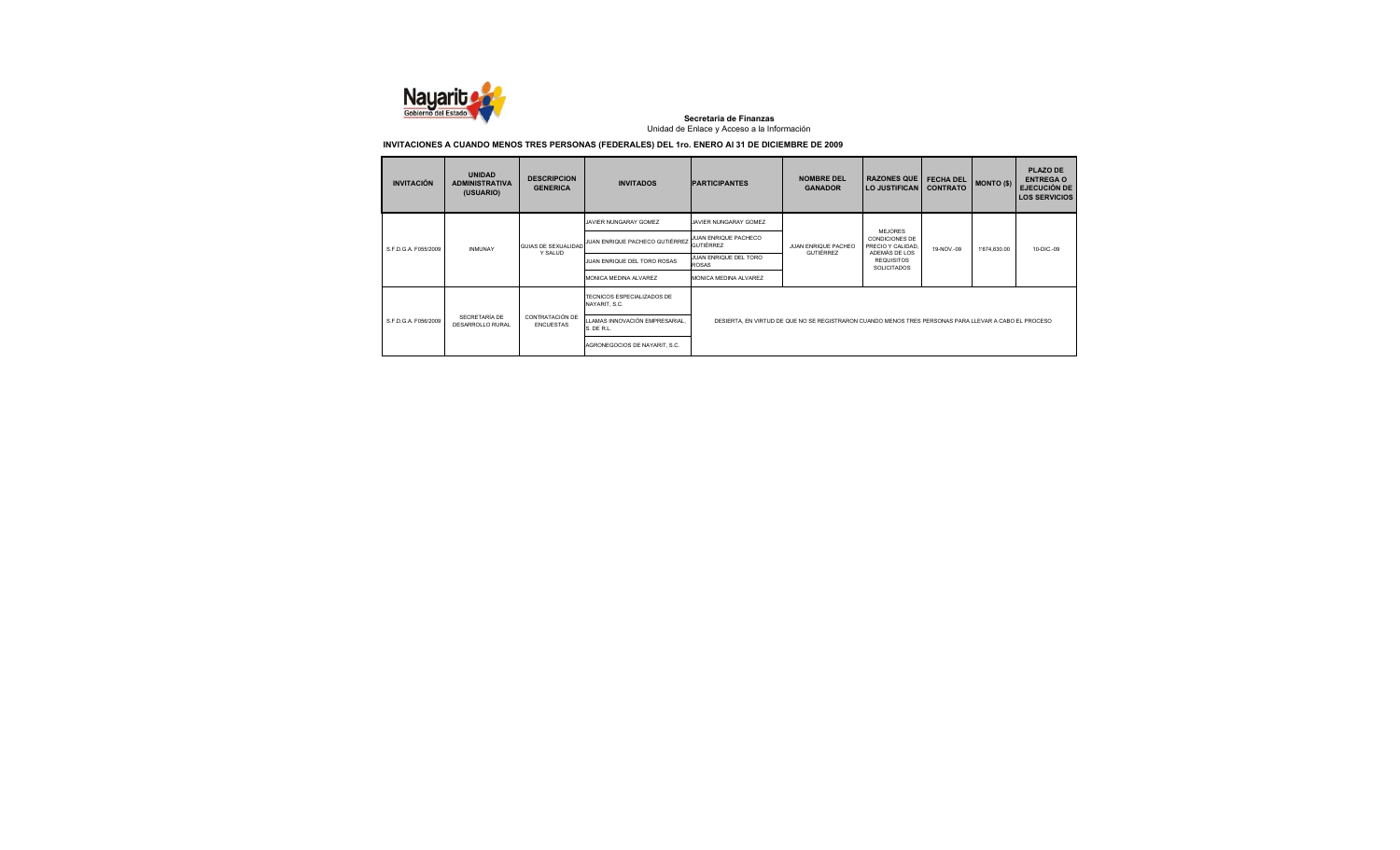

| <b>INVITACIÓN</b>    | <b>UNIDAD</b><br><b>ADMINISTRATIVA</b><br>(USUARIO) | <b>DESCRIPCION</b><br><b>GENERICA</b> | <b>INVITADOS</b>                                    | <b>IPARTICIPANTES</b>                 | <b>NOMBRE DEL</b><br><b>GANADOR</b>                                                                   | <b>RAZONES QUE</b><br><b>LO JUSTIFICAN</b>                             | <b>FECHA DEL</b><br><b>CONTRATO</b> | <b>MONTO (\$)</b> | <b>PLAZO DE</b><br><b>ENTREGA O</b><br><b>EJECUCIÓN DE</b><br><b>LOS SERVICIOS</b> |
|----------------------|-----------------------------------------------------|---------------------------------------|-----------------------------------------------------|---------------------------------------|-------------------------------------------------------------------------------------------------------|------------------------------------------------------------------------|-------------------------------------|-------------------|------------------------------------------------------------------------------------|
|                      |                                                     |                                       | JAVIER NUNGARAY GOMEZ                               | JAVIER NUNGARAY GOMEZ                 |                                                                                                       |                                                                        |                                     |                   |                                                                                    |
| S.F.D.G.A. F055/2009 | <b>INMUNAY</b>                                      | <b>GUIAS DE SEXUALIDAD</b>            | JUAN ENRIQUE PACHECO GUTIÉRREZ JUAN ENRIQUE PACHECO | <b>GUTIÉRREZ</b>                      | JUAN ENRIQUE PACHEO                                                                                   | <b>MEJORES</b><br>CONDICIONES DE<br>PRECIO Y CALIDAD.<br>ADEMÁS DE LOS | 19-NOV .- 09                        | 1'674,630.00      | 10-DIC .- 09                                                                       |
|                      |                                                     | Y SALUD                               | JUAN ENRIQUE DEL TORO ROSAS                         | JUAN ENRIQUE DEL TORO<br><b>ROSAS</b> | <b>GUTIÉRREZ</b>                                                                                      | <b>REQUISITOS</b><br><b>SOLICITADOS</b>                                |                                     |                   |                                                                                    |
|                      |                                                     |                                       | MONICA MEDINA ALVAREZ                               | MONICA MEDINA ALVAREZ                 |                                                                                                       |                                                                        |                                     |                   |                                                                                    |
|                      |                                                     |                                       | TECNICOS ESPECIALIZADOS DE<br>NAYARIT, S.C.         |                                       |                                                                                                       |                                                                        |                                     |                   |                                                                                    |
| S E D G A F056/2009  | SECRETARÍA DE<br>DESARROLLO RURAL                   | CONTRATACIÓN DE<br><b>ENCUESTAS</b>   | LLAMAS INNOVACIÓN EMPRESARIAL<br>S. DE R.L.         |                                       | DESIERTA, EN VIRTUD DE QUE NO SE REGISTRARON CUANDO MENOS TRES PERSONAS PARA LLEVAR A CABO EL PROCESO |                                                                        |                                     |                   |                                                                                    |
|                      |                                                     |                                       | AGRONEGOCIOS DE NAYARIT, S.C.                       |                                       |                                                                                                       |                                                                        |                                     |                   |                                                                                    |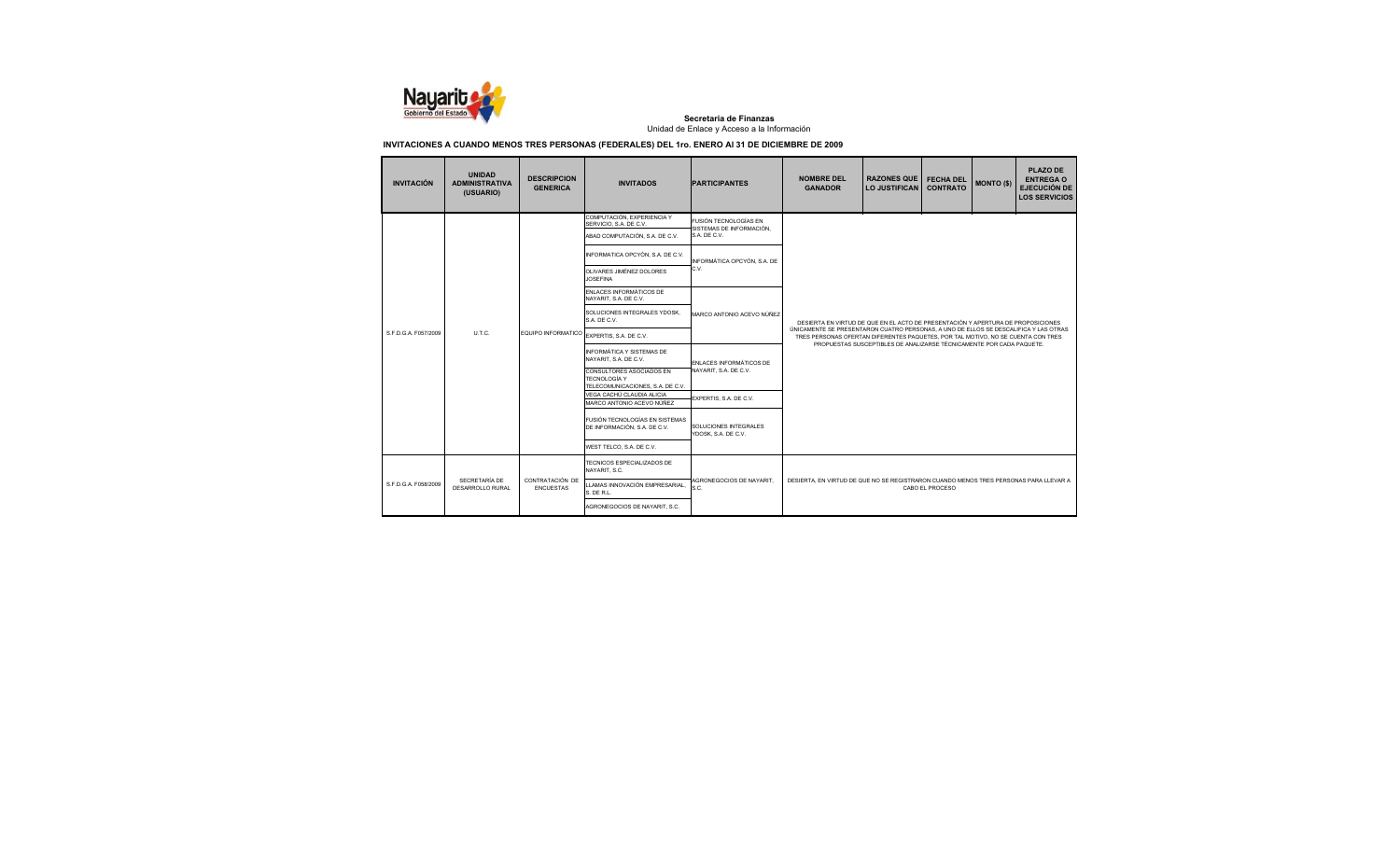

| <b>INVITACIÓN</b>    | <b>UNIDAD</b><br><b>ADMINISTRATIVA</b><br>(USUARIO) | <b>DESCRIPCION</b><br><b>GENERICA</b> | <b>INVITADOS</b>                                                                                                                          | <b>PARTICIPANTES</b>                              | <b>NOMBRE DEL</b><br><b>GANADOR</b>                                                                                                                                                                                                                                                                                                  | <b>RAZONES QUE</b><br><b>LO JUSTIFICAN</b> | <b>FECHA DEL</b><br><b>CONTRATO</b> | <b>MONTO (\$)</b> | PLAZO DE<br><b>ENTREGA O</b><br><b>EJECUCIÓN DE</b><br><b>LOS SERVICIOS</b> |  |  |
|----------------------|-----------------------------------------------------|---------------------------------------|-------------------------------------------------------------------------------------------------------------------------------------------|---------------------------------------------------|--------------------------------------------------------------------------------------------------------------------------------------------------------------------------------------------------------------------------------------------------------------------------------------------------------------------------------------|--------------------------------------------|-------------------------------------|-------------------|-----------------------------------------------------------------------------|--|--|
|                      |                                                     |                                       | COMPUTACIÓN, EXPERIENCIA Y<br>SERVICIO, S.A. DE C.V.                                                                                      | FUSIÓN TECNOLOGÍAS EN<br>SISTEMAS DE INFORMACIÓN. |                                                                                                                                                                                                                                                                                                                                      |                                            |                                     |                   |                                                                             |  |  |
|                      |                                                     |                                       | ABAD COMPUTACIÓN, S.A. DE C.V.                                                                                                            | S.A. DE C.V.                                      |                                                                                                                                                                                                                                                                                                                                      |                                            |                                     |                   |                                                                             |  |  |
|                      |                                                     |                                       | INFORMATICA OPCYÓN, S.A. DE C.V.                                                                                                          | INFORMÁTICA OPCYÓN, S.A. DE                       |                                                                                                                                                                                                                                                                                                                                      |                                            |                                     |                   |                                                                             |  |  |
|                      |                                                     | EQUIPO INFORMATICO                    | OLIVARES JIMÉNEZ DOLORES<br><b>JOSEFINA</b>                                                                                               | C.V.                                              |                                                                                                                                                                                                                                                                                                                                      |                                            |                                     |                   |                                                                             |  |  |
|                      | U.T.C.                                              |                                       | ENLACES INFORMÁTICOS DE<br>NAYARIT, S.A. DE C.V.                                                                                          | MARCO ANTONIO ACEVO NÚÑEZ                         |                                                                                                                                                                                                                                                                                                                                      |                                            |                                     |                   |                                                                             |  |  |
|                      |                                                     |                                       | SOLUCIONES INTEGRALES YDOSK.<br>S.A. DE C.V.                                                                                              |                                                   | DESIERTA EN VIRTUD DE QUE EN EL ACTO DE PRESENTACIÓN Y APERTURA DE PROPOSICIONES<br>ÚNICAMENTE SE PRESENTARON CUATRO PERSONAS. A UNO DE ELLOS SE DESCALIFICA Y LAS OTRAS<br>TRES PERSONAS OFERTAN DIFERENTES PAQUETES, POR TAL MOTIVO, NO SE CUENTA CON TRES<br>PROPUESTAS SUSCEPTIBLES DE ANALIZARSE TÉCNICAMENTE POR CADA PAQUETE. |                                            |                                     |                   |                                                                             |  |  |
| S.F.D.G.A. F057/2009 |                                                     |                                       | EXPERTIS, S.A. DE C.V.                                                                                                                    |                                                   |                                                                                                                                                                                                                                                                                                                                      |                                            |                                     |                   |                                                                             |  |  |
|                      |                                                     |                                       | INFORMÁTICA Y SISTEMAS DE<br>NAYARIT. S.A. DE C.V.<br>CONSULTORES ASOCIADOS EN<br><b>TECNOLOGÍA Y</b><br>TELECOMUNICACIONES, S.A. DE C.V. | ENLACES INFORMÁTICOS DE<br>NAYARIT, S.A. DE C.V.  |                                                                                                                                                                                                                                                                                                                                      |                                            |                                     |                   |                                                                             |  |  |
|                      |                                                     |                                       | VEGA CACHÚ CLAUDIA ALICIA<br>MARCO ANTONIO ACEVO NÚÑEZ                                                                                    | EXPERTIS, S.A. DE C.V.                            |                                                                                                                                                                                                                                                                                                                                      |                                            |                                     |                   |                                                                             |  |  |
|                      |                                                     |                                       | FUSIÓN TECNOLOGÍAS EN SISTEMAS<br>DE INFORMACIÓN. S.A. DE C.V.                                                                            | SOLUCIONES INTEGRALES<br>YDOSK, S.A. DE C.V.      |                                                                                                                                                                                                                                                                                                                                      |                                            |                                     |                   |                                                                             |  |  |
|                      |                                                     |                                       | WEST TELCO. S.A. DE C.V.                                                                                                                  |                                                   |                                                                                                                                                                                                                                                                                                                                      |                                            |                                     |                   |                                                                             |  |  |
|                      | <b>SECRETARÍA DE</b><br>DESARROLLO RURAL            | CONTRATACIÓN DE<br><b>ENCUESTAS</b>   | TECNICOS ESPECIALIZADOS DE<br>NAYARIT, S.C.                                                                                               |                                                   |                                                                                                                                                                                                                                                                                                                                      |                                            |                                     |                   |                                                                             |  |  |
| S.F.D.G.A. F058/2009 |                                                     |                                       | LLAMAS INNOVACIÓN EMPRESARIAL.<br>S. DE R.L.                                                                                              | AGRONEGOCIOS DE NAYARIT.<br>S.C.                  | DESIERTA, EN VIRTUD DE QUE NO SE REGISTRARON CUANDO MENOS TRES PERSONAS PARA LLEVAR A<br>CABO EL PROCESO                                                                                                                                                                                                                             |                                            |                                     |                   |                                                                             |  |  |
|                      |                                                     |                                       | AGRONEGOCIOS DE NAYARIT, S.C.                                                                                                             |                                                   |                                                                                                                                                                                                                                                                                                                                      |                                            |                                     |                   |                                                                             |  |  |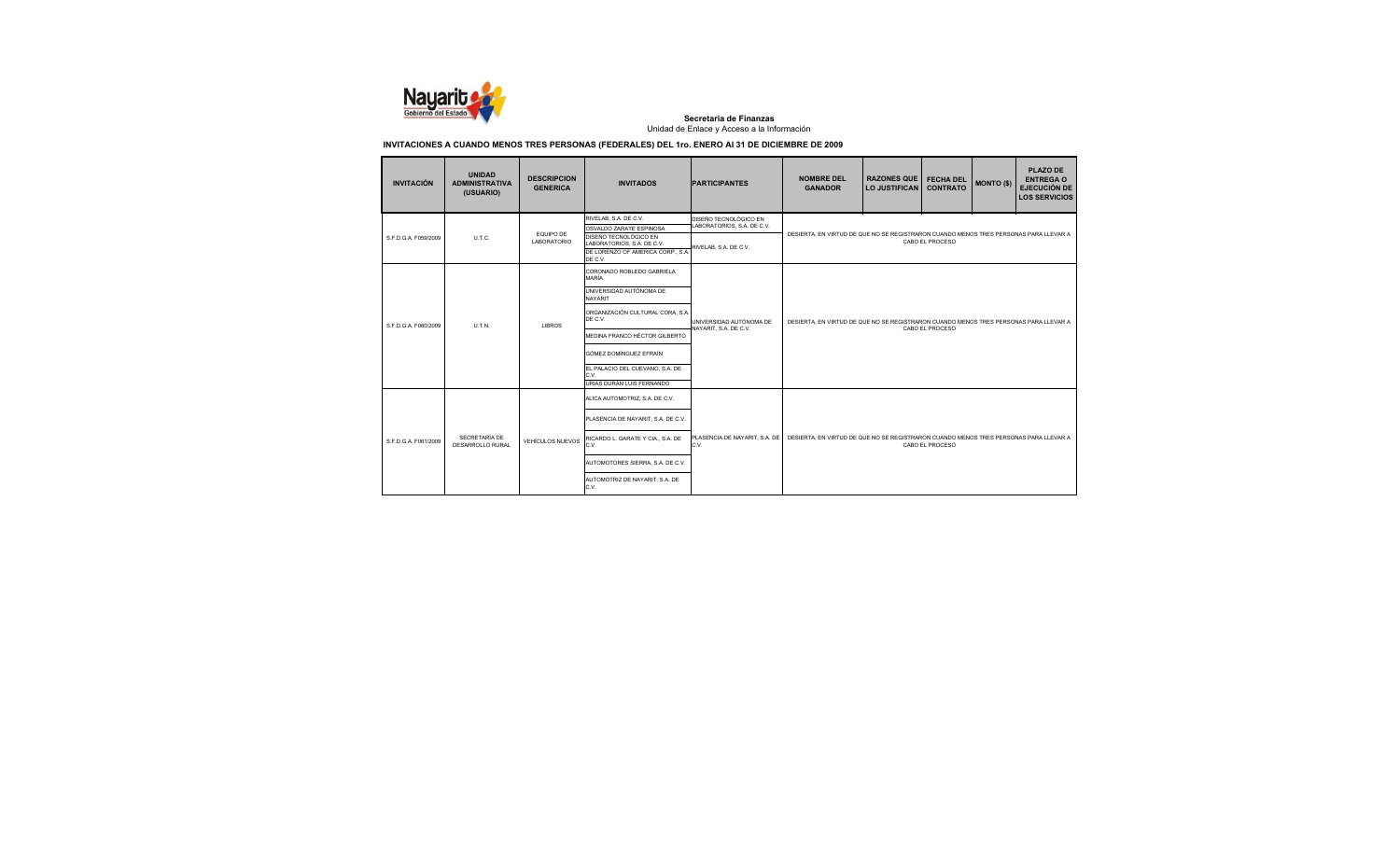

| <b>INVITACIÓN</b>    | <b>UNIDAD</b><br><b>ADMINISTRATIVA</b><br>(USUARIO) | <b>DESCRIPCION</b><br><b>GENERICA</b> | <b>INVITADOS</b>                                                                                    | <b>PARTICIPANTES</b>                                | <b>NOMBRE DEL</b><br><b>GANADOR</b>                                                                      | <b>RAZONES QUE</b><br>LO JUSTIFICAN | <b>FECHA DEL</b><br><b>CONTRATO</b> | <b>MONTO (\$)</b> | PLAZO DE<br><b>ENTREGA O</b><br><b>EJECUCIÓN DE</b><br><b>LOS SERVICIOS</b> |  |
|----------------------|-----------------------------------------------------|---------------------------------------|-----------------------------------------------------------------------------------------------------|-----------------------------------------------------|----------------------------------------------------------------------------------------------------------|-------------------------------------|-------------------------------------|-------------------|-----------------------------------------------------------------------------|--|
|                      |                                                     | EQUIPO DE                             | RIVELAB, S.A. DE C.V.<br>OSVALDO ZARATE ESPINOSA                                                    | DISEÑO TECNOLÓGICO EN<br>LABORATORIOS, S.A. DE C.V. | DESIERTA, EN VIRTUD DE QUE NO SE REGISTRARON CUANDO MENOS TRES PERSONAS PARA LLEVAR A<br>CABO EL PROCESO |                                     |                                     |                   |                                                                             |  |
| S.F.D.G.A. F059/2009 | U.T.C.                                              | <b>LABORATORIO</b>                    | DISEÑO TECNOLÓGICO EN<br>LABORATORIOS, S.A. DE C.V.<br>DE LORENZO OF AMERICA CORP., S.A.<br>DE C.V. | RIVELAB, S.A. DE C.V.                               |                                                                                                          |                                     |                                     |                   |                                                                             |  |
|                      |                                                     |                                       | CORONADO ROBLEDO GABRIELA<br>MARÍA                                                                  |                                                     |                                                                                                          |                                     |                                     |                   |                                                                             |  |
|                      | <b>UTN</b>                                          | <b>LIBROS</b>                         | UNIVERSIDAD AUTÓNOMA DE<br><b>NAYARIT</b>                                                           | UNIVERSIDAD AUTÓNOMA DE<br>NAYARIT, S.A. DE C.V.    |                                                                                                          |                                     |                                     |                   |                                                                             |  |
| S E D G A F060/2009  |                                                     |                                       | ORGANIZACIÓN CULTURAL CORA, S.A.<br>DE C.V.                                                         |                                                     | DESIERTA. EN VIRTUD DE QUE NO SE REGISTRARON CUANDO MENOS TRES PERSONAS PARA LLEVAR A<br>CABO EL PROCESO |                                     |                                     |                   |                                                                             |  |
|                      |                                                     |                                       | MEDINA FRANCO HÉCTOR GILBERTO                                                                       |                                                     |                                                                                                          |                                     |                                     |                   |                                                                             |  |
|                      |                                                     |                                       | GÓMEZ DOMÍNGUEZ EFRAÍN                                                                              |                                                     |                                                                                                          |                                     |                                     |                   |                                                                             |  |
|                      |                                                     |                                       | EL PALACIO DEL CUEVANO, S.A. DE<br>C.V.<br>URIAS DURÁN LUIS FERNANDO                                |                                                     |                                                                                                          |                                     |                                     |                   |                                                                             |  |
|                      |                                                     |                                       | ALICA AUTOMOTRIZ, S.A. DE C.V.                                                                      |                                                     |                                                                                                          |                                     |                                     |                   |                                                                             |  |
|                      |                                                     | <b>VEHÍCULOS NUEVOS</b>               | PLASENCIA DE NAYARIT, S.A. DE C.V.                                                                  | PLASENCIA DE NAYARIT. S.A. DE<br>C.V.               | DESIERTA. EN VIRTUD DE QUE NO SE REGISTRARON CUANDO MENOS TRES PERSONAS PARA LLEVAR A<br>CABO EL PROCESO |                                     |                                     |                   |                                                                             |  |
| S F D G A F061/2009  | SECRETARÍA DE<br>DESARROLLO RURAL                   |                                       | RICARDO L. GARATE Y CIA., S.A. DE<br>C.V.                                                           |                                                     |                                                                                                          |                                     |                                     |                   |                                                                             |  |
|                      |                                                     |                                       | AUTOMOTORES SIERRA, S.A. DE C.V.                                                                    |                                                     |                                                                                                          |                                     |                                     |                   |                                                                             |  |
|                      |                                                     |                                       | AUTOMOTRIZ DE NAYARIT, S.A. DE<br>C.V.                                                              |                                                     |                                                                                                          |                                     |                                     |                   |                                                                             |  |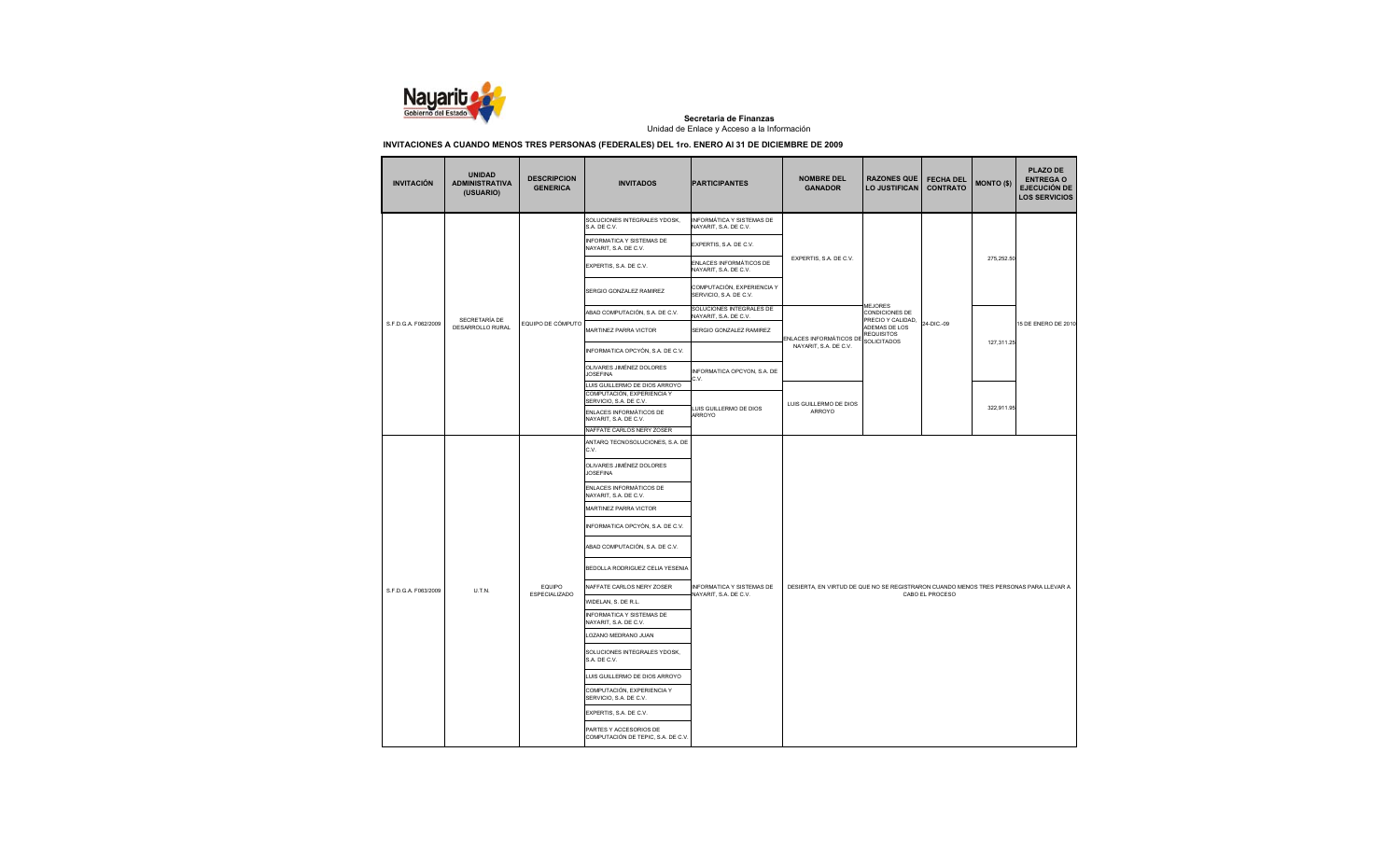

| <b>INVITACIÓN</b>    | <b>UNIDAD</b><br><b>ADMINISTRATIVA</b><br>(USUARIO) | <b>DESCRIPCION</b><br><b>GENERICA</b> | <b>INVITADOS</b>                                                                      | <b>PARTICIPANTES</b>                                 | <b>NOMBRE DEL</b><br><b>GANADOR</b>                                                   | <b>RAZONES QUE</b><br><b>LO JUSTIFICAN</b>              | <b>FECHA DEL</b><br><b>CONTRATO</b> | <b>MONTO (\$)</b>        | <b>PLAZO DE</b><br><b>ENTREGA O</b><br><b>EJECUCIÓN DE</b><br><b>LOS SERVICIOS</b> |  |
|----------------------|-----------------------------------------------------|---------------------------------------|---------------------------------------------------------------------------------------|------------------------------------------------------|---------------------------------------------------------------------------------------|---------------------------------------------------------|-------------------------------------|--------------------------|------------------------------------------------------------------------------------|--|
|                      |                                                     |                                       | SOLUCIONES INTEGRALES YDOSK,<br>S.A. DE C.V.                                          | INFORMÁTICA Y SISTEMAS DE<br>NAYARIT, S.A. DE C.V.   |                                                                                       |                                                         |                                     |                          |                                                                                    |  |
|                      |                                                     |                                       | INFORMATICA Y SISTEMAS DE<br>NAYARIT, S.A. DE C.V.                                    | EXPERTIS, S.A. DE C.V.                               |                                                                                       |                                                         |                                     |                          |                                                                                    |  |
|                      |                                                     |                                       | EXPERTIS, S.A. DE C.V.                                                                | ENLACES INFORMÁTICOS DE<br>NAYARIT, S.A. DE C.V.     | EXPERTIS, S.A. DE C.V.                                                                |                                                         |                                     | 275,252.50<br>127,311.25 |                                                                                    |  |
|                      |                                                     |                                       | SERGIO GONZALEZ RAMIREZ                                                               | COMPUTACIÓN, EXPERIENCIA Y<br>SERVICIO, S.A. DE C.V. |                                                                                       |                                                         |                                     |                          |                                                                                    |  |
|                      |                                                     |                                       | ABAD COMPUTACIÓN, S.A. DE C.V.                                                        | SOLUCIONES INTEGRALES DE<br>NAYARIT, S.A. DE C.V.    |                                                                                       | <b>MEJORES</b><br>CONDICIONES DE                        |                                     |                          |                                                                                    |  |
| S.F.D.G.A. F062/2009 | SECRETARÍA DE<br>DESARROLLO RURAL                   | EQUIPO DE CÓMPUTO                     | MARTINEZ PARRA VICTOR                                                                 | SERGIO GONZALEZ RAMIREZ                              |                                                                                       | PRECIO Y CALIDAD,<br>ADEMAS DE LOS<br><b>REQUISITOS</b> | 24-DIC .- 09                        |                          | 15 DE ENERO DE 2010                                                                |  |
|                      |                                                     |                                       | INFORMATICA OPCYÓN, S.A. DE C.V.                                                      |                                                      | ENLACES INFORMÁTICOS DE SOLICITADOS<br>NAYARIT, S.A. DE C.V.                          |                                                         |                                     |                          |                                                                                    |  |
|                      |                                                     |                                       | OLIVARES JIMÉNEZ DOLORES<br><b>JOSEFINA</b>                                           | INFORMATICA OPCYON, S.A. DE<br>C.V.                  |                                                                                       |                                                         |                                     |                          |                                                                                    |  |
|                      |                                                     |                                       | LUIS GUILLERMO DE DIOS ARROYO<br>COMPUTACIÓN, EXPERIENCIA Y<br>SERVICIO, S.A. DE C.V. |                                                      | LUIS GUILLERMO DE DIOS                                                                |                                                         |                                     |                          |                                                                                    |  |
|                      |                                                     |                                       | ENLACES INFORMÁTICOS DE<br>NAYARIT. S.A. DE C.V.<br>NAFFATE CARLOS NERY ZOSER         | LUIS GUILLERMO DE DIOS<br>ARROYO                     | ARROYO                                                                                |                                                         |                                     | 322,911.95               |                                                                                    |  |
|                      |                                                     |                                       | ANTARQ TECNOSOLUCIONES, S.A. DE                                                       |                                                      |                                                                                       |                                                         |                                     |                          |                                                                                    |  |
|                      |                                                     |                                       | C.V.                                                                                  |                                                      |                                                                                       |                                                         |                                     |                          |                                                                                    |  |
|                      |                                                     |                                       | OLIVARES JIMÉNEZ DOLORES<br><b>JOSEFINA</b>                                           |                                                      |                                                                                       |                                                         |                                     |                          |                                                                                    |  |
|                      |                                                     |                                       | ENLACES INFORMÁTICOS DE<br>NAYARIT, S.A. DE C.V.                                      |                                                      |                                                                                       |                                                         |                                     |                          |                                                                                    |  |
|                      |                                                     |                                       | MARTINEZ PARRA VICTOR                                                                 |                                                      |                                                                                       |                                                         |                                     |                          |                                                                                    |  |
|                      |                                                     |                                       | INFORMATICA OPCYÓN, S.A. DE C.V.                                                      |                                                      |                                                                                       |                                                         |                                     |                          |                                                                                    |  |
|                      |                                                     |                                       | ABAD COMPUTACIÓN, S.A. DE C.V.                                                        |                                                      |                                                                                       |                                                         |                                     |                          |                                                                                    |  |
|                      |                                                     |                                       | BEDOLLA RODRIGUEZ CELIA YESENIA                                                       |                                                      |                                                                                       |                                                         |                                     |                          |                                                                                    |  |
| S.F.D.G.A. F063/2009 | U.T.N.                                              | EQUIPO                                | NAFFATE CARLOS NERY ZOSER                                                             | INFORMATICA Y SISTEMAS DE<br>NAYARIT, S.A. DE C.V.   | DESIERTA, EN VIRTUD DE QUE NO SE REGISTRARON CUANDO MENOS TRES PERSONAS PARA LLEVAR A |                                                         | CABO EL PROCESO                     |                          |                                                                                    |  |
|                      |                                                     | <b>ESPECIALIZADO</b>                  | WIDELAN, S. DE R.L.                                                                   |                                                      |                                                                                       |                                                         |                                     |                          |                                                                                    |  |
|                      |                                                     |                                       | INFORMATICA Y SISTEMAS DE<br>NAYARIT, S.A. DE C.V.                                    |                                                      |                                                                                       |                                                         |                                     |                          |                                                                                    |  |
|                      |                                                     |                                       | LOZANO MEDRANO JUAN                                                                   |                                                      |                                                                                       |                                                         |                                     |                          |                                                                                    |  |
|                      |                                                     |                                       | SOLUCIONES INTEGRALES YDOSK,<br>S.A. DE C.V.                                          |                                                      |                                                                                       |                                                         |                                     |                          |                                                                                    |  |
|                      |                                                     |                                       | LUIS GUILLERMO DE DIOS ARROYO                                                         |                                                      |                                                                                       |                                                         |                                     |                          |                                                                                    |  |
|                      |                                                     |                                       | COMPUTACIÓN, EXPERIENCIA Y<br>SERVICIO, S.A. DE C.V.                                  |                                                      |                                                                                       |                                                         |                                     |                          |                                                                                    |  |
|                      |                                                     |                                       | EXPERTIS, S.A. DE C.V.                                                                |                                                      |                                                                                       |                                                         |                                     |                          |                                                                                    |  |
|                      |                                                     |                                       | PARTES Y ACCESORIOS DE<br>COMPUTACIÓN DE TEPIC, S.A. DE C.V.                          |                                                      |                                                                                       |                                                         |                                     |                          |                                                                                    |  |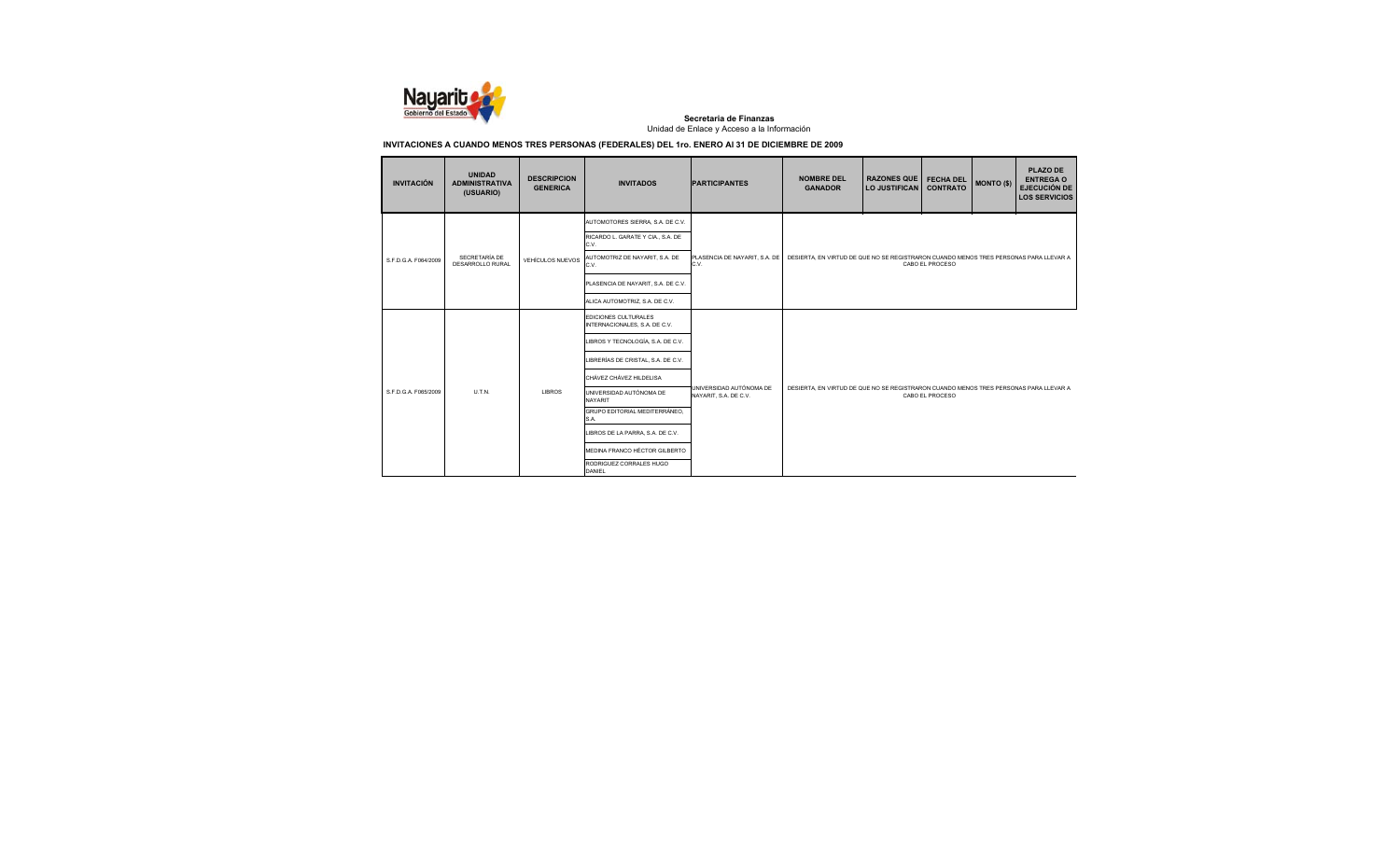

| <b>INVITACIÓN</b>    | <b>UNIDAD</b><br><b>ADMINISTRATIVA</b><br>(USUARIO) | <b>DESCRIPCION</b><br><b>GENERICA</b> | <b>INVITADOS</b>                                      | <b>PARTICIPANTES</b>                             | <b>NOMBRE DEL</b><br><b>GANADOR</b>                                                                      | <b>RAZONES QUE</b><br><b>LO JUSTIFICAN</b> | <b>FECHA DEL</b><br><b>CONTRATO</b> | <b>MONTO (\$)</b> | <b>PLAZO DE</b><br><b>ENTREGA O</b><br><b>EJECUCIÓN DE</b><br><b>LOS SERVICIOS</b> |  |
|----------------------|-----------------------------------------------------|---------------------------------------|-------------------------------------------------------|--------------------------------------------------|----------------------------------------------------------------------------------------------------------|--------------------------------------------|-------------------------------------|-------------------|------------------------------------------------------------------------------------|--|
|                      |                                                     |                                       | AUTOMOTORES SIERRA, S.A. DE C.V.                      |                                                  |                                                                                                          |                                            |                                     |                   |                                                                                    |  |
|                      |                                                     |                                       | RICARDO L. GARATE Y CIA., S.A. DE<br>C.V.             |                                                  | DESIERTA, EN VIRTUD DE QUE NO SE REGISTRARON CUANDO MENOS TRES PERSONAS PARA LLEVAR A<br>CABO EL PROCESO |                                            |                                     |                   |                                                                                    |  |
| S.F.D.G.A. F064/2009 | SECRETARÍA DE<br>DESARROLLO RURAL                   | <b>VEHÍCULOS NUEVOS</b>               | AUTOMOTRIZ DE NAYARIT, S.A. DE<br>C.V.                | PLASENCIA DE NAYARIT, S.A. DE<br>C.V.            |                                                                                                          |                                            |                                     |                   |                                                                                    |  |
|                      |                                                     |                                       | PLASENCIA DE NAYARIT, S.A. DE C.V.                    |                                                  |                                                                                                          |                                            |                                     |                   |                                                                                    |  |
|                      |                                                     |                                       | ALICA AUTOMOTRIZ, S.A. DE C.V.                        |                                                  |                                                                                                          |                                            |                                     |                   |                                                                                    |  |
|                      | U.T.N.                                              | <b>LIBROS</b>                         | EDICIONES CULTURALES<br>INTERNACIONALES, S.A. DE C.V. | UNIVERSIDAD AUTÓNOMA DE<br>NAYARIT, S.A. DE C.V. |                                                                                                          |                                            |                                     |                   |                                                                                    |  |
|                      |                                                     |                                       | LIBROS Y TECNOLOGÍA, S.A. DE C.V.                     |                                                  | DESIERTA. EN VIRTUD DE QUE NO SE REGISTRARON CUANDO MENOS TRES PERSONAS PARA LLEVAR A<br>CABO EL PROCESO |                                            |                                     |                   |                                                                                    |  |
|                      |                                                     |                                       | LIBRERÍAS DE CRISTAL, S.A. DE C.V.                    |                                                  |                                                                                                          |                                            |                                     |                   |                                                                                    |  |
|                      |                                                     |                                       | CHÁVEZ CHÁVEZ HILDELISA                               |                                                  |                                                                                                          |                                            |                                     |                   |                                                                                    |  |
| S.F.D.G.A. F065/2009 |                                                     |                                       | UNIVERSIDAD AUTÓNOMA DE<br><b>NAYARIT</b>             |                                                  |                                                                                                          |                                            |                                     |                   |                                                                                    |  |
|                      |                                                     |                                       | GRUPO EDITORIAL MEDITERRÁNEO.<br>S.A.                 |                                                  |                                                                                                          |                                            |                                     |                   |                                                                                    |  |
|                      |                                                     |                                       | LIBROS DE LA PARRA, S.A. DE C.V.                      |                                                  |                                                                                                          |                                            |                                     |                   |                                                                                    |  |
|                      |                                                     |                                       | MEDINA FRANCO HÉCTOR GILBERTO                         |                                                  |                                                                                                          |                                            |                                     |                   |                                                                                    |  |
|                      |                                                     |                                       | RODRIGUEZ CORRALES HUGO<br><b>DANIEL</b>              |                                                  |                                                                                                          |                                            |                                     |                   |                                                                                    |  |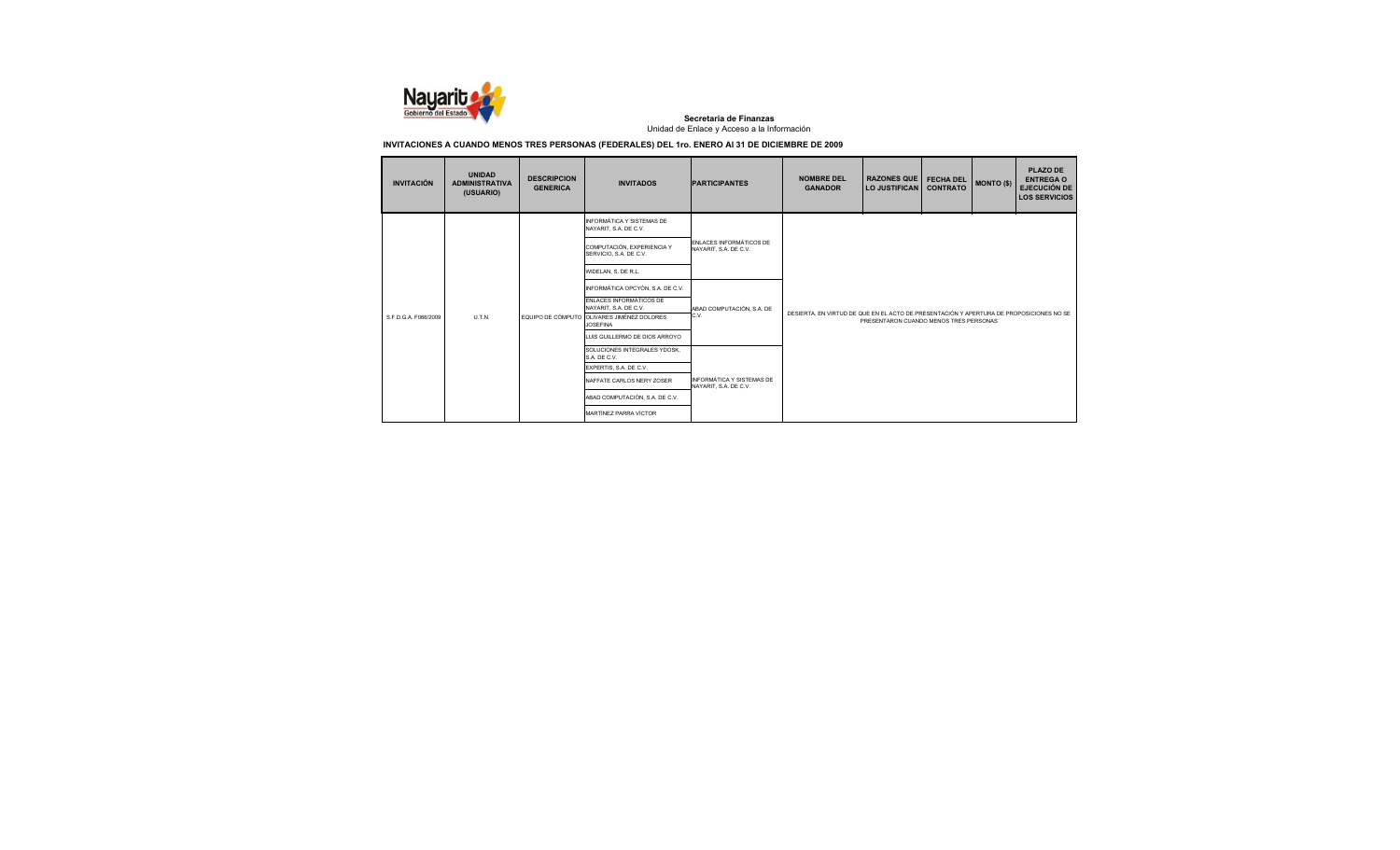

| <b>INVITACIÓN</b>    | <b>UNIDAD</b><br><b>ADMINISTRATIVA</b><br>(USUARIO) | <b>DESCRIPCION</b><br><b>GENERICA</b> | <b>INVITADOS</b>                                              | <b>PARTICIPANTES</b>                               | <b>NOMBRE DEL</b><br><b>GANADOR</b>                                                                                               | <b>RAZONES QUE</b><br><b>LO JUSTIFICAN</b> | <b>FECHA DEL</b><br><b>CONTRATO</b> | <b>MONTO (\$)</b> | <b>PLAZO DE</b><br><b>ENTREGA O</b><br><b>EJECUCIÓN DE</b><br><b>LOS SERVICIOS</b> |  |
|----------------------|-----------------------------------------------------|---------------------------------------|---------------------------------------------------------------|----------------------------------------------------|-----------------------------------------------------------------------------------------------------------------------------------|--------------------------------------------|-------------------------------------|-------------------|------------------------------------------------------------------------------------|--|
|                      |                                                     |                                       | INFORMÁTICA Y SISTEMAS DE<br>NAYARIT, S.A. DE C.V.            | ENLACES INFORMÁTICOS DE<br>NAYARIT, S.A. DE C.V.   |                                                                                                                                   |                                            |                                     |                   |                                                                                    |  |
|                      |                                                     |                                       | COMPUTACIÓN, EXPERIENCIA Y<br>SERVICIO, S.A. DE C.V.          |                                                    |                                                                                                                                   |                                            |                                     |                   |                                                                                    |  |
|                      | U.T.N.                                              |                                       | WIDELAN, S. DE R.L.                                           |                                                    |                                                                                                                                   |                                            |                                     |                   |                                                                                    |  |
|                      |                                                     |                                       | INFORMÁTICA OPCYÓN, S.A. DE C.V.                              | ABAD COMPUTACIÓN, S.A. DE<br>C.V.                  | DESIERTA. EN VIRTUD DE QUE EN EL ACTO DE PRESENTACIÓN Y APERTURA DE PROPOSICIONES NO SE<br>PRESENTARON CUANDO MENOS TRES PERSONAS |                                            |                                     |                   |                                                                                    |  |
|                      |                                                     |                                       | ENLACES INFORMÁTICOS DE<br>NAYARIT, S.A. DE C.V.              |                                                    |                                                                                                                                   |                                            |                                     |                   |                                                                                    |  |
| S.F.D.G.A. F066/2009 |                                                     |                                       | EQUIPO DE CÓMPUTO OLIVARES JIMÉNEZ DOLORES<br><b>JOSEFINA</b> |                                                    |                                                                                                                                   |                                            |                                     |                   |                                                                                    |  |
|                      |                                                     |                                       | LUIS GUILLERMO DE DIOS ARROYO                                 |                                                    |                                                                                                                                   |                                            |                                     |                   |                                                                                    |  |
|                      |                                                     |                                       | SOLUCIONES INTEGRALES YDOSK,<br>S.A. DE C.V.                  |                                                    |                                                                                                                                   |                                            |                                     |                   |                                                                                    |  |
|                      |                                                     |                                       | EXPERTIS, S.A. DE C.V.                                        |                                                    |                                                                                                                                   |                                            |                                     |                   |                                                                                    |  |
|                      |                                                     |                                       | NAFFATE CARLOS NERY ZOSER                                     | INFORMÁTICA Y SISTEMAS DE<br>NAYARIT, S.A. DE C.V. |                                                                                                                                   |                                            |                                     |                   |                                                                                    |  |
|                      |                                                     |                                       | ABAD COMPUTACIÓN, S.A. DE C.V.                                |                                                    |                                                                                                                                   |                                            |                                     |                   |                                                                                    |  |
|                      |                                                     |                                       | MARTÍNEZ PARRA VÍCTOR                                         |                                                    |                                                                                                                                   |                                            |                                     |                   |                                                                                    |  |